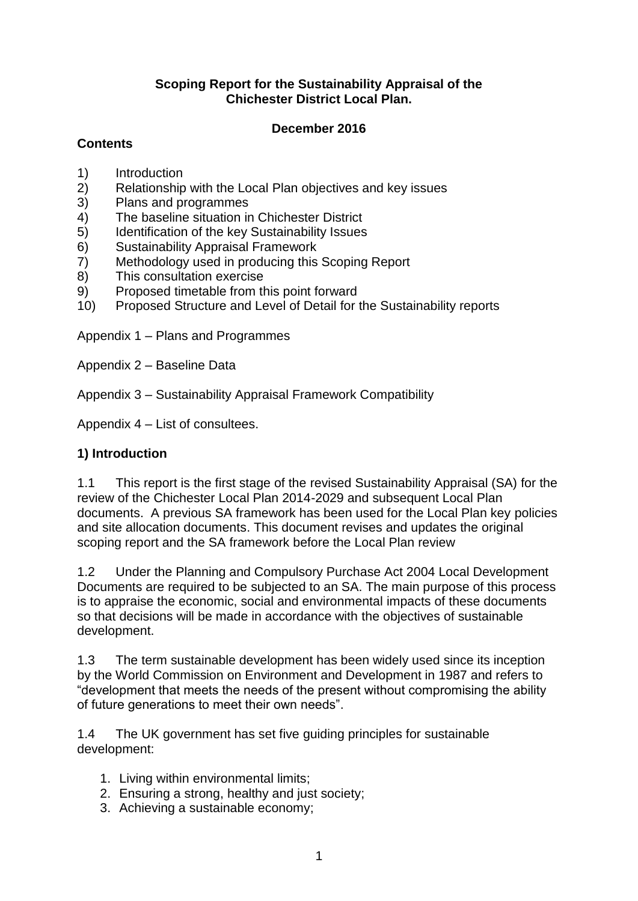#### **Scoping Report for the Sustainability Appraisal of the Chichester District Local Plan.**

#### **December 2016**

## **Contents**

- 1) Introduction
- 2) Relationship with the Local Plan objectives and key issues
- 3) Plans and programmes
- 4) The baseline situation in Chichester District
- 5) Identification of the key Sustainability Issues
- 6) Sustainability Appraisal Framework
- 7) Methodology used in producing this Scoping Report
- 8) This consultation exercise
- 9) Proposed timetable from this point forward
- 10) Proposed Structure and Level of Detail for the Sustainability reports

Appendix 1 – Plans and Programmes

Appendix 2 – Baseline Data

Appendix 3 – Sustainability Appraisal Framework Compatibility

Appendix 4 – List of consultees.

# **1) Introduction**

1.1 This report is the first stage of the revised Sustainability Appraisal (SA) for the review of the Chichester Local Plan 2014-2029 and subsequent Local Plan documents. A previous SA framework has been used for the Local Plan key policies and site allocation documents. This document revises and updates the original scoping report and the SA framework before the Local Plan review

1.2 Under the Planning and Compulsory Purchase Act 2004 Local Development Documents are required to be subjected to an SA. The main purpose of this process is to appraise the economic, social and environmental impacts of these documents so that decisions will be made in accordance with the objectives of sustainable development.

1.3 The term sustainable development has been widely used since its inception by the World Commission on Environment and Development in 1987 and refers to "development that meets the needs of the present without compromising the ability of future generations to meet their own needs".

1.4 The UK government has set five guiding principles for sustainable development:

- 1. Living within environmental limits;
- 2. Ensuring a strong, healthy and just society;
- 3. Achieving a sustainable economy;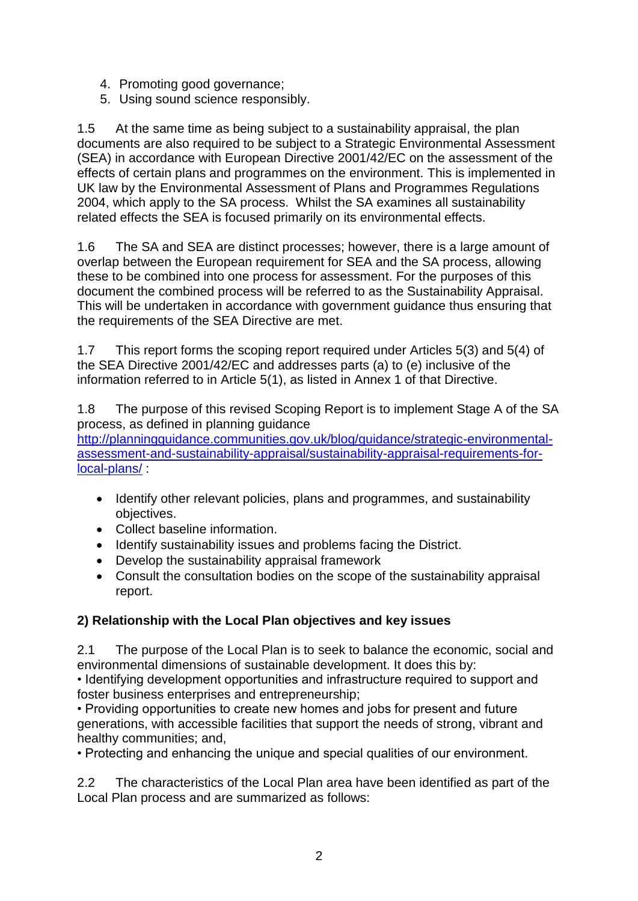- 4. Promoting good governance;
- 5. Using sound science responsibly.

1.5 At the same time as being subject to a sustainability appraisal, the plan documents are also required to be subject to a Strategic Environmental Assessment (SEA) in accordance with European Directive 2001/42/EC on the assessment of the effects of certain plans and programmes on the environment. This is implemented in UK law by the Environmental Assessment of Plans and Programmes Regulations 2004, which apply to the SA process. Whilst the SA examines all sustainability related effects the SEA is focused primarily on its environmental effects.

1.6 The SA and SEA are distinct processes; however, there is a large amount of overlap between the European requirement for SEA and the SA process, allowing these to be combined into one process for assessment. For the purposes of this document the combined process will be referred to as the Sustainability Appraisal. This will be undertaken in accordance with government guidance thus ensuring that the requirements of the SEA Directive are met.

1.7 This report forms the scoping report required under Articles 5(3) and 5(4) of the SEA Directive 2001/42/EC and addresses parts (a) to (e) inclusive of the information referred to in Article 5(1), as listed in Annex 1 of that Directive.

1.8 The purpose of this revised Scoping Report is to implement Stage A of the SA process, as defined in planning guidance

[http://planningguidance.communities.gov.uk/blog/guidance/strategic-environmental](http://planningguidance.communities.gov.uk/blog/guidance/strategic-environmental-assessment-and-sustainability-appraisal/sustainability-appraisal-requirements-for-local-plans/)[assessment-and-sustainability-appraisal/sustainability-appraisal-requirements-for](http://planningguidance.communities.gov.uk/blog/guidance/strategic-environmental-assessment-and-sustainability-appraisal/sustainability-appraisal-requirements-for-local-plans/)[local-plans/](http://planningguidance.communities.gov.uk/blog/guidance/strategic-environmental-assessment-and-sustainability-appraisal/sustainability-appraisal-requirements-for-local-plans/) :

- Identify other relevant policies, plans and programmes, and sustainability objectives.
- Collect baseline information.
- Identify sustainability issues and problems facing the District.
- Develop the sustainability appraisal framework
- Consult the consultation bodies on the scope of the sustainability appraisal report.

# **2) Relationship with the Local Plan objectives and key issues**

2.1 The purpose of the Local Plan is to seek to balance the economic, social and environmental dimensions of sustainable development. It does this by:

• Identifying development opportunities and infrastructure required to support and foster business enterprises and entrepreneurship;

• Providing opportunities to create new homes and jobs for present and future generations, with accessible facilities that support the needs of strong, vibrant and healthy communities; and,

• Protecting and enhancing the unique and special qualities of our environment.

2.2 The characteristics of the Local Plan area have been identified as part of the Local Plan process and are summarized as follows: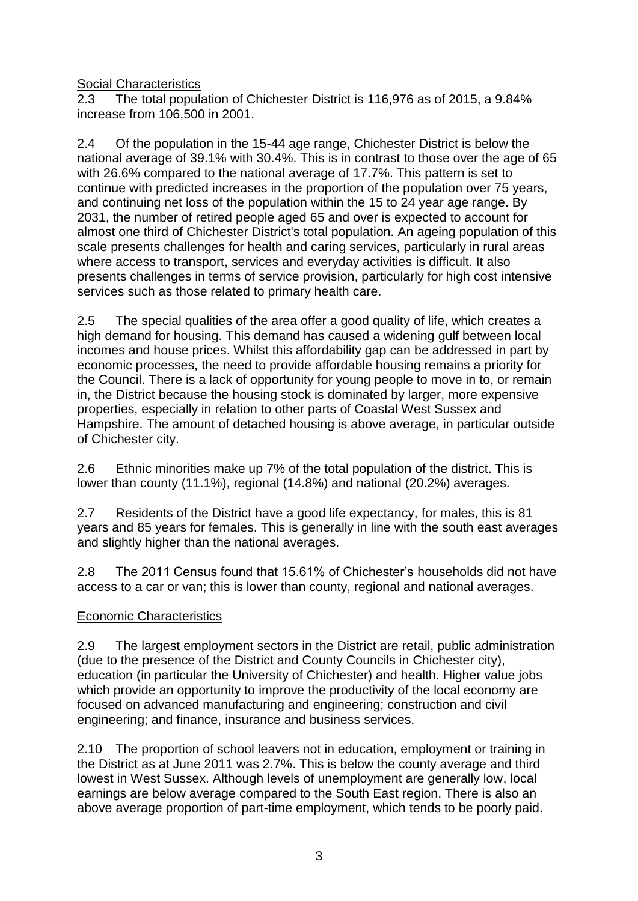Social Characteristics

2.3 The total population of Chichester District is 116,976 as of 2015, a 9.84% increase from 106,500 in 2001.

2.4 Of the population in the 15-44 age range, Chichester District is below the national average of 39.1% with 30.4%. This is in contrast to those over the age of 65 with 26.6% compared to the national average of 17.7%. This pattern is set to continue with predicted increases in the proportion of the population over 75 years, and continuing net loss of the population within the 15 to 24 year age range. By 2031, the number of retired people aged 65 and over is expected to account for almost one third of Chichester District's total population. An ageing population of this scale presents challenges for health and caring services, particularly in rural areas where access to transport, services and everyday activities is difficult. It also presents challenges in terms of service provision, particularly for high cost intensive services such as those related to primary health care.

2.5 The special qualities of the area offer a good quality of life, which creates a high demand for housing. This demand has caused a widening gulf between local incomes and house prices. Whilst this affordability gap can be addressed in part by economic processes, the need to provide affordable housing remains a priority for the Council. There is a lack of opportunity for young people to move in to, or remain in, the District because the housing stock is dominated by larger, more expensive properties, especially in relation to other parts of Coastal West Sussex and Hampshire. The amount of detached housing is above average, in particular outside of Chichester city.

2.6 Ethnic minorities make up 7% of the total population of the district. This is lower than county (11.1%), regional (14.8%) and national (20.2%) averages.

2.7 Residents of the District have a good life expectancy, for males, this is 81 years and 85 years for females. This is generally in line with the south east averages and slightly higher than the national averages.

2.8 The 2011 Census found that 15.61% of Chichester's households did not have access to a car or van; this is lower than county, regional and national averages.

#### Economic Characteristics

2.9 The largest employment sectors in the District are retail, public administration (due to the presence of the District and County Councils in Chichester city), education (in particular the University of Chichester) and health. Higher value jobs which provide an opportunity to improve the productivity of the local economy are focused on advanced manufacturing and engineering; construction and civil engineering; and finance, insurance and business services.

2.10 The proportion of school leavers not in education, employment or training in the District as at June 2011 was 2.7%. This is below the county average and third lowest in West Sussex. Although levels of unemployment are generally low, local earnings are below average compared to the South East region. There is also an above average proportion of part-time employment, which tends to be poorly paid.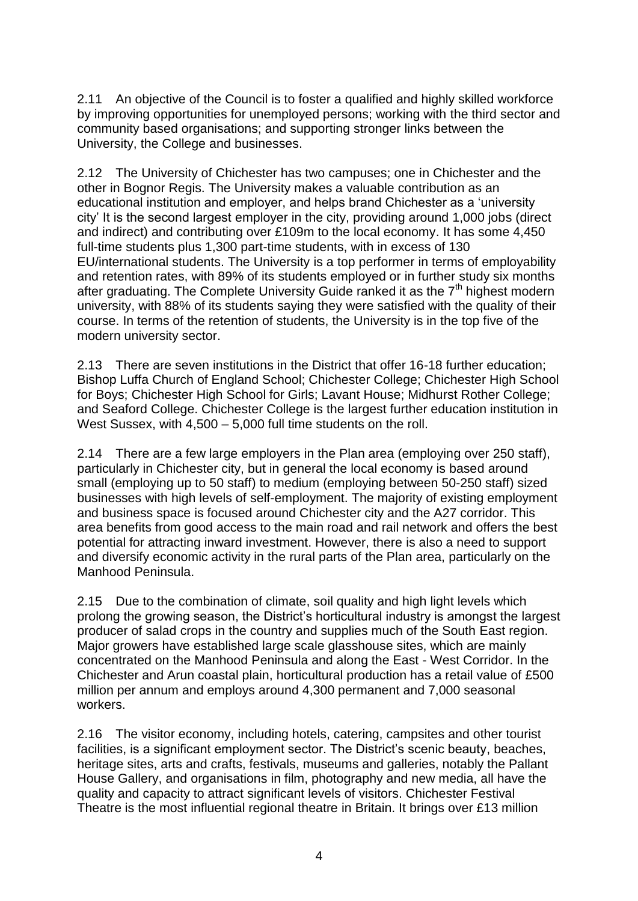2.11 An objective of the Council is to foster a qualified and highly skilled workforce by improving opportunities for unemployed persons; working with the third sector and community based organisations; and supporting stronger links between the University, the College and businesses.

2.12 The University of Chichester has two campuses; one in Chichester and the other in Bognor Regis. The University makes a valuable contribution as an educational institution and employer, and helps brand Chichester as a 'university city' It is the second largest employer in the city, providing around 1,000 jobs (direct and indirect) and contributing over £109m to the local economy. It has some 4,450 full-time students plus 1,300 part-time students, with in excess of 130 EU/international students. The University is a top performer in terms of employability and retention rates, with 89% of its students employed or in further study six months after graduating. The Complete University Guide ranked it as the  $7<sup>th</sup>$  highest modern university, with 88% of its students saying they were satisfied with the quality of their course. In terms of the retention of students, the University is in the top five of the modern university sector.

2.13 There are seven institutions in the District that offer 16-18 further education; Bishop Luffa Church of England School; Chichester College; Chichester High School for Boys; Chichester High School for Girls; Lavant House; Midhurst Rother College; and Seaford College. Chichester College is the largest further education institution in West Sussex, with 4,500 – 5,000 full time students on the roll.

2.14 There are a few large employers in the Plan area (employing over 250 staff), particularly in Chichester city, but in general the local economy is based around small (employing up to 50 staff) to medium (employing between 50-250 staff) sized businesses with high levels of self-employment. The majority of existing employment and business space is focused around Chichester city and the A27 corridor. This area benefits from good access to the main road and rail network and offers the best potential for attracting inward investment. However, there is also a need to support and diversify economic activity in the rural parts of the Plan area, particularly on the Manhood Peninsula.

2.15 Due to the combination of climate, soil quality and high light levels which prolong the growing season, the District's horticultural industry is amongst the largest producer of salad crops in the country and supplies much of the South East region. Major growers have established large scale glasshouse sites, which are mainly concentrated on the Manhood Peninsula and along the East - West Corridor. In the Chichester and Arun coastal plain, horticultural production has a retail value of £500 million per annum and employs around 4,300 permanent and 7,000 seasonal workers.

2.16 The visitor economy, including hotels, catering, campsites and other tourist facilities, is a significant employment sector. The District's scenic beauty, beaches, heritage sites, arts and crafts, festivals, museums and galleries, notably the Pallant House Gallery, and organisations in film, photography and new media, all have the quality and capacity to attract significant levels of visitors. Chichester Festival Theatre is the most influential regional theatre in Britain. It brings over £13 million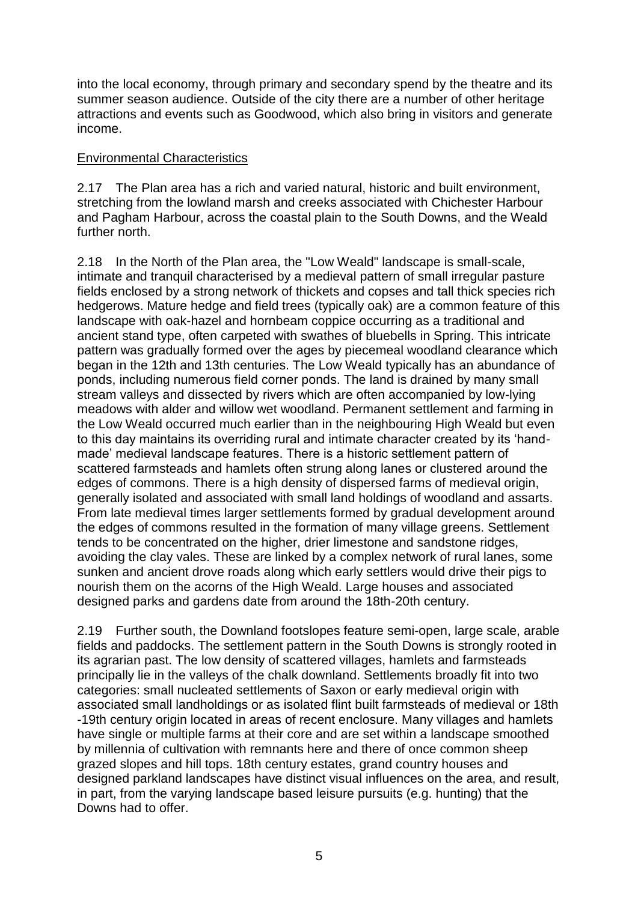into the local economy, through primary and secondary spend by the theatre and its summer season audience. Outside of the city there are a number of other heritage attractions and events such as Goodwood, which also bring in visitors and generate income.

#### Environmental Characteristics

2.17 The Plan area has a rich and varied natural, historic and built environment, stretching from the lowland marsh and creeks associated with Chichester Harbour and Pagham Harbour, across the coastal plain to the South Downs, and the Weald further north.

2.18 In the North of the Plan area, the "Low Weald" landscape is small-scale, intimate and tranquil characterised by a medieval pattern of small irregular pasture fields enclosed by a strong network of thickets and copses and tall thick species rich hedgerows. Mature hedge and field trees (typically oak) are a common feature of this landscape with oak-hazel and hornbeam coppice occurring as a traditional and ancient stand type, often carpeted with swathes of bluebells in Spring. This intricate pattern was gradually formed over the ages by piecemeal woodland clearance which began in the 12th and 13th centuries. The Low Weald typically has an abundance of ponds, including numerous field corner ponds. The land is drained by many small stream valleys and dissected by rivers which are often accompanied by low-lying meadows with alder and willow wet woodland. Permanent settlement and farming in the Low Weald occurred much earlier than in the neighbouring High Weald but even to this day maintains its overriding rural and intimate character created by its 'handmade' medieval landscape features. There is a historic settlement pattern of scattered farmsteads and hamlets often strung along lanes or clustered around the edges of commons. There is a high density of dispersed farms of medieval origin, generally isolated and associated with small land holdings of woodland and assarts. From late medieval times larger settlements formed by gradual development around the edges of commons resulted in the formation of many village greens. Settlement tends to be concentrated on the higher, drier limestone and sandstone ridges, avoiding the clay vales. These are linked by a complex network of rural lanes, some sunken and ancient drove roads along which early settlers would drive their pigs to nourish them on the acorns of the High Weald. Large houses and associated designed parks and gardens date from around the 18th-20th century.

2.19 Further south, the Downland footslopes feature semi-open, large scale, arable fields and paddocks. The settlement pattern in the South Downs is strongly rooted in its agrarian past. The low density of scattered villages, hamlets and farmsteads principally lie in the valleys of the chalk downland. Settlements broadly fit into two categories: small nucleated settlements of Saxon or early medieval origin with associated small landholdings or as isolated flint built farmsteads of medieval or 18th -19th century origin located in areas of recent enclosure. Many villages and hamlets have single or multiple farms at their core and are set within a landscape smoothed by millennia of cultivation with remnants here and there of once common sheep grazed slopes and hill tops. 18th century estates, grand country houses and designed parkland landscapes have distinct visual influences on the area, and result, in part, from the varying landscape based leisure pursuits (e.g. hunting) that the Downs had to offer.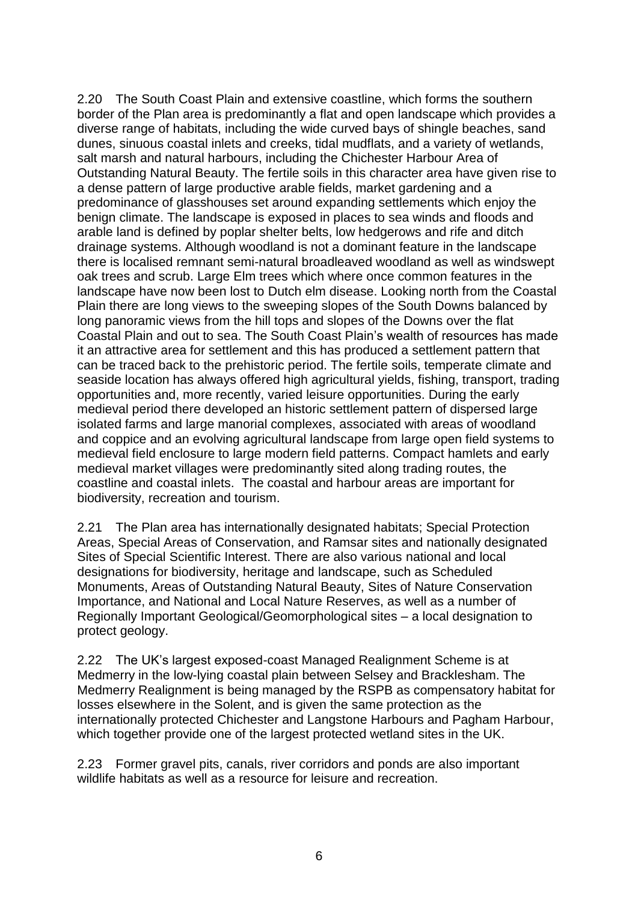2.20 The South Coast Plain and extensive coastline, which forms the southern border of the Plan area is predominantly a flat and open landscape which provides a diverse range of habitats, including the wide curved bays of shingle beaches, sand dunes, sinuous coastal inlets and creeks, tidal mudflats, and a variety of wetlands, salt marsh and natural harbours, including the Chichester Harbour Area of Outstanding Natural Beauty. The fertile soils in this character area have given rise to a dense pattern of large productive arable fields, market gardening and a predominance of glasshouses set around expanding settlements which enjoy the benign climate. The landscape is exposed in places to sea winds and floods and arable land is defined by poplar shelter belts, low hedgerows and rife and ditch drainage systems. Although woodland is not a dominant feature in the landscape there is localised remnant semi-natural broadleaved woodland as well as windswept oak trees and scrub. Large Elm trees which where once common features in the landscape have now been lost to Dutch elm disease. Looking north from the Coastal Plain there are long views to the sweeping slopes of the South Downs balanced by long panoramic views from the hill tops and slopes of the Downs over the flat Coastal Plain and out to sea. The South Coast Plain's wealth of resources has made it an attractive area for settlement and this has produced a settlement pattern that can be traced back to the prehistoric period. The fertile soils, temperate climate and seaside location has always offered high agricultural yields, fishing, transport, trading opportunities and, more recently, varied leisure opportunities. During the early medieval period there developed an historic settlement pattern of dispersed large isolated farms and large manorial complexes, associated with areas of woodland and coppice and an evolving agricultural landscape from large open field systems to medieval field enclosure to large modern field patterns. Compact hamlets and early medieval market villages were predominantly sited along trading routes, the coastline and coastal inlets. The coastal and harbour areas are important for biodiversity, recreation and tourism.

2.21 The Plan area has internationally designated habitats; Special Protection Areas, Special Areas of Conservation, and Ramsar sites and nationally designated Sites of Special Scientific Interest. There are also various national and local designations for biodiversity, heritage and landscape, such as Scheduled Monuments, Areas of Outstanding Natural Beauty, Sites of Nature Conservation Importance, and National and Local Nature Reserves, as well as a number of Regionally Important Geological/Geomorphological sites – a local designation to protect geology.

2.22 The UK's largest exposed-coast Managed Realignment Scheme is at Medmerry in the low-lying coastal plain between Selsey and Bracklesham. The Medmerry Realignment is being managed by the RSPB as compensatory habitat for losses elsewhere in the Solent, and is given the same protection as the internationally protected Chichester and Langstone Harbours and Pagham Harbour, which together provide one of the largest protected wetland sites in the UK.

2.23 Former gravel pits, canals, river corridors and ponds are also important wildlife habitats as well as a resource for leisure and recreation.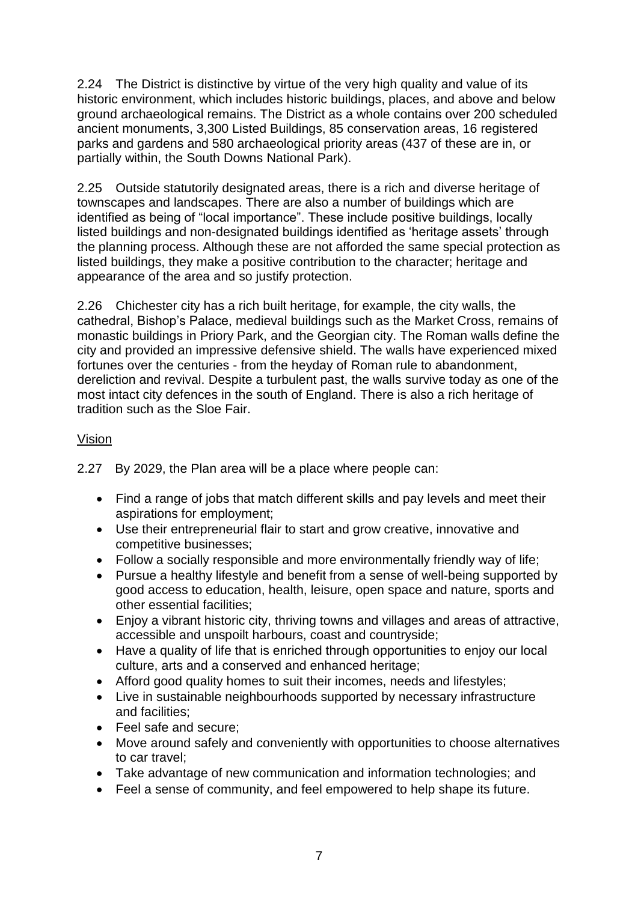2.24 The District is distinctive by virtue of the very high quality and value of its historic environment, which includes historic buildings, places, and above and below ground archaeological remains. The District as a whole contains over 200 scheduled ancient monuments, 3,300 Listed Buildings, 85 conservation areas, 16 registered parks and gardens and 580 archaeological priority areas (437 of these are in, or partially within, the South Downs National Park).

2.25 Outside statutorily designated areas, there is a rich and diverse heritage of townscapes and landscapes. There are also a number of buildings which are identified as being of "local importance". These include positive buildings, locally listed buildings and non-designated buildings identified as 'heritage assets' through the planning process. Although these are not afforded the same special protection as listed buildings, they make a positive contribution to the character; heritage and appearance of the area and so justify protection.

2.26 Chichester city has a rich built heritage, for example, the city walls, the cathedral, Bishop's Palace, medieval buildings such as the Market Cross, remains of monastic buildings in Priory Park, and the Georgian city. The Roman walls define the city and provided an impressive defensive shield. The walls have experienced mixed fortunes over the centuries - from the heyday of Roman rule to abandonment, dereliction and revival. Despite a turbulent past, the walls survive today as one of the most intact city defences in the south of England. There is also a rich heritage of tradition such as the Sloe Fair.

#### Vision

2.27 By 2029, the Plan area will be a place where people can:

- Find a range of jobs that match different skills and pay levels and meet their aspirations for employment;
- Use their entrepreneurial flair to start and grow creative, innovative and competitive businesses;
- Follow a socially responsible and more environmentally friendly way of life;
- Pursue a healthy lifestyle and benefit from a sense of well-being supported by good access to education, health, leisure, open space and nature, sports and other essential facilities;
- Enjoy a vibrant historic city, thriving towns and villages and areas of attractive, accessible and unspoilt harbours, coast and countryside;
- Have a quality of life that is enriched through opportunities to enjoy our local culture, arts and a conserved and enhanced heritage;
- Afford good quality homes to suit their incomes, needs and lifestyles;
- Live in sustainable neighbourhoods supported by necessary infrastructure and facilities;
- Feel safe and secure:
- Move around safely and conveniently with opportunities to choose alternatives to car travel;
- Take advantage of new communication and information technologies; and
- Feel a sense of community, and feel empowered to help shape its future.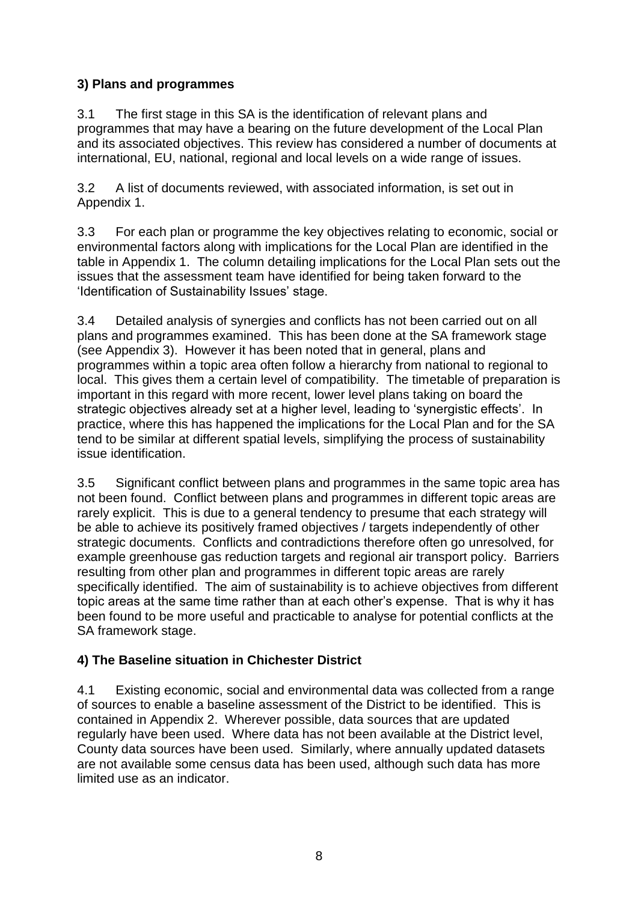# **3) Plans and programmes**

3.1 The first stage in this SA is the identification of relevant plans and programmes that may have a bearing on the future development of the Local Plan and its associated objectives. This review has considered a number of documents at international, EU, national, regional and local levels on a wide range of issues.

3.2 A list of documents reviewed, with associated information, is set out in Appendix 1.

3.3 For each plan or programme the key objectives relating to economic, social or environmental factors along with implications for the Local Plan are identified in the table in Appendix 1. The column detailing implications for the Local Plan sets out the issues that the assessment team have identified for being taken forward to the 'Identification of Sustainability Issues' stage.

3.4 Detailed analysis of synergies and conflicts has not been carried out on all plans and programmes examined. This has been done at the SA framework stage (see Appendix 3). However it has been noted that in general, plans and programmes within a topic area often follow a hierarchy from national to regional to local. This gives them a certain level of compatibility. The timetable of preparation is important in this regard with more recent, lower level plans taking on board the strategic objectives already set at a higher level, leading to 'synergistic effects'. In practice, where this has happened the implications for the Local Plan and for the SA tend to be similar at different spatial levels, simplifying the process of sustainability issue identification.

3.5 Significant conflict between plans and programmes in the same topic area has not been found. Conflict between plans and programmes in different topic areas are rarely explicit. This is due to a general tendency to presume that each strategy will be able to achieve its positively framed objectives / targets independently of other strategic documents. Conflicts and contradictions therefore often go unresolved, for example greenhouse gas reduction targets and regional air transport policy. Barriers resulting from other plan and programmes in different topic areas are rarely specifically identified. The aim of sustainability is to achieve objectives from different topic areas at the same time rather than at each other's expense. That is why it has been found to be more useful and practicable to analyse for potential conflicts at the SA framework stage.

# **4) The Baseline situation in Chichester District**

4.1 Existing economic, social and environmental data was collected from a range of sources to enable a baseline assessment of the District to be identified. This is contained in Appendix 2. Wherever possible, data sources that are updated regularly have been used. Where data has not been available at the District level, County data sources have been used. Similarly, where annually updated datasets are not available some census data has been used, although such data has more limited use as an indicator.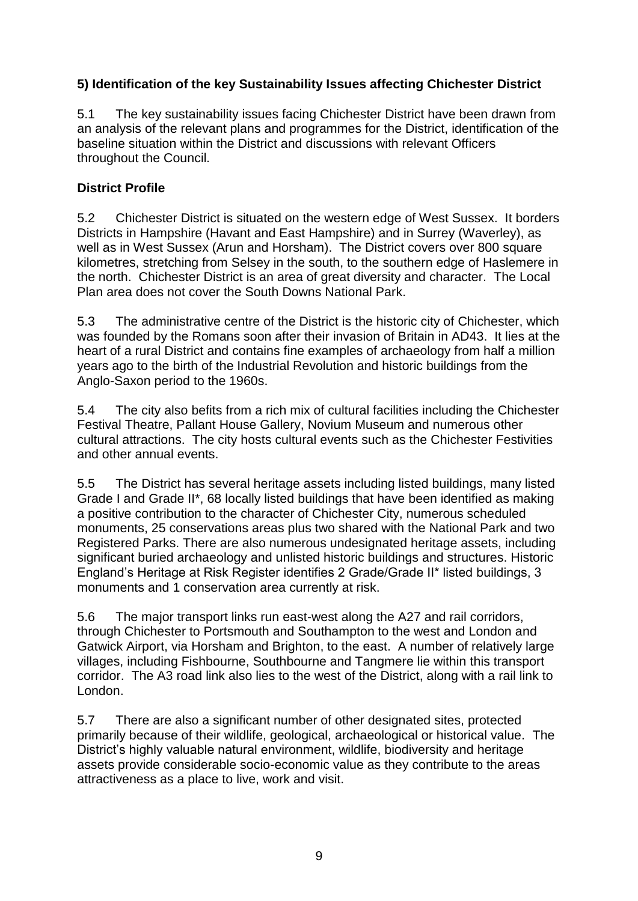# **5) Identification of the key Sustainability Issues affecting Chichester District**

5.1 The key sustainability issues facing Chichester District have been drawn from an analysis of the relevant plans and programmes for the District, identification of the baseline situation within the District and discussions with relevant Officers throughout the Council.

#### **District Profile**

5.2 Chichester District is situated on the western edge of West Sussex. It borders Districts in Hampshire (Havant and East Hampshire) and in Surrey (Waverley), as well as in West Sussex (Arun and Horsham). The District covers over 800 square kilometres, stretching from Selsey in the south, to the southern edge of Haslemere in the north. Chichester District is an area of great diversity and character. The Local Plan area does not cover the South Downs National Park.

5.3 The administrative centre of the District is the historic city of Chichester, which was founded by the Romans soon after their invasion of Britain in AD43. It lies at the heart of a rural District and contains fine examples of archaeology from half a million years ago to the birth of the Industrial Revolution and historic buildings from the Anglo-Saxon period to the 1960s.

5.4 The city also befits from a rich mix of cultural facilities including the Chichester Festival Theatre, Pallant House Gallery, Novium Museum and numerous other cultural attractions. The city hosts cultural events such as the Chichester Festivities and other annual events.

5.5 The District has several heritage assets including listed buildings, many listed Grade I and Grade II\*, 68 locally listed buildings that have been identified as making a positive contribution to the character of Chichester City, numerous scheduled monuments, 25 conservations areas plus two shared with the National Park and two Registered Parks. There are also numerous undesignated heritage assets, including significant buried archaeology and unlisted historic buildings and structures. Historic England's Heritage at Risk Register identifies 2 Grade/Grade II\* listed buildings, 3 monuments and 1 conservation area currently at risk.

5.6 The major transport links run east-west along the A27 and rail corridors, through Chichester to Portsmouth and Southampton to the west and London and Gatwick Airport, via Horsham and Brighton, to the east. A number of relatively large villages, including Fishbourne, Southbourne and Tangmere lie within this transport corridor. The A3 road link also lies to the west of the District, along with a rail link to London.

5.7 There are also a significant number of other designated sites, protected primarily because of their wildlife, geological, archaeological or historical value. The District's highly valuable natural environment, wildlife, biodiversity and heritage assets provide considerable socio-economic value as they contribute to the areas attractiveness as a place to live, work and visit.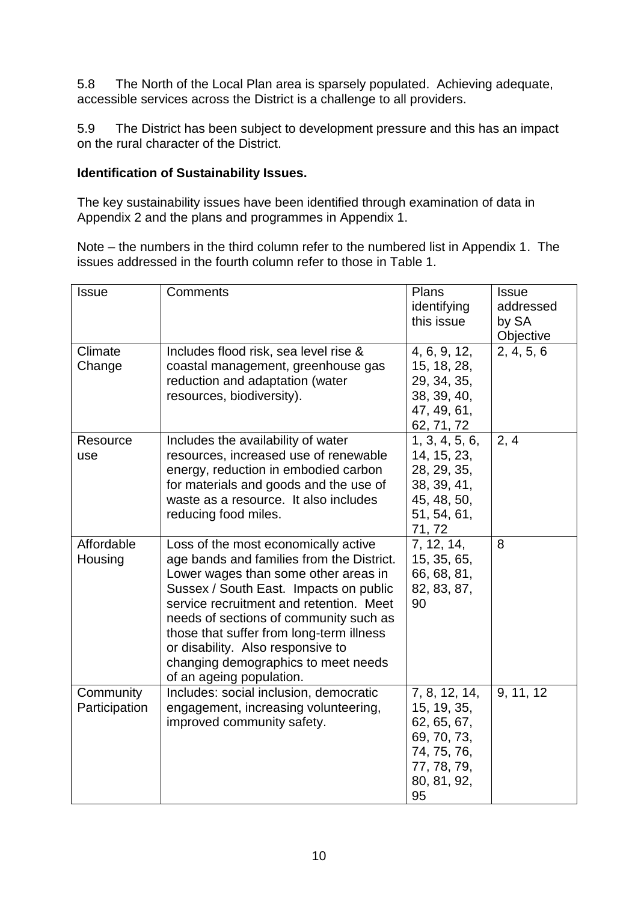5.8 The North of the Local Plan area is sparsely populated. Achieving adequate, accessible services across the District is a challenge to all providers.

5.9 The District has been subject to development pressure and this has an impact on the rural character of the District.

#### **Identification of Sustainability Issues.**

The key sustainability issues have been identified through examination of data in Appendix 2 and the plans and programmes in Appendix 1.

Note – the numbers in the third column refer to the numbered list in Appendix 1. The issues addressed in the fourth column refer to those in Table 1.

| <b>Issue</b>               | Comments                                                                                                                                                                                                                                                                                                                                                                                                     | Plans<br>identifying<br>this issue                                                                            | <b>Issue</b><br>addressed<br>by SA<br>Objective |
|----------------------------|--------------------------------------------------------------------------------------------------------------------------------------------------------------------------------------------------------------------------------------------------------------------------------------------------------------------------------------------------------------------------------------------------------------|---------------------------------------------------------------------------------------------------------------|-------------------------------------------------|
| Climate<br>Change          | Includes flood risk, sea level rise &<br>coastal management, greenhouse gas<br>reduction and adaptation (water<br>resources, biodiversity).                                                                                                                                                                                                                                                                  | 4, 6, 9, 12,<br>15, 18, 28,<br>29, 34, 35,<br>38, 39, 40,<br>47, 49, 61,<br>62, 71, 72                        | 2, 4, 5, 6                                      |
| Resource<br>use            | Includes the availability of water<br>resources, increased use of renewable<br>energy, reduction in embodied carbon<br>for materials and goods and the use of<br>waste as a resource. It also includes<br>reducing food miles.                                                                                                                                                                               | 1, 3, 4, 5, 6,<br>14, 15, 23,<br>28, 29, 35,<br>38, 39, 41,<br>45, 48, 50,<br>51, 54, 61,<br>71,72            | 2, 4                                            |
| Affordable<br>Housing      | Loss of the most economically active<br>age bands and families from the District.<br>Lower wages than some other areas in<br>Sussex / South East. Impacts on public<br>service recruitment and retention. Meet<br>needs of sections of community such as<br>those that suffer from long-term illness<br>or disability. Also responsive to<br>changing demographics to meet needs<br>of an ageing population. | 7, 12, 14,<br>15, 35, 65,<br>66, 68, 81,<br>82, 83, 87,<br>90                                                 | 8                                               |
| Community<br>Participation | Includes: social inclusion, democratic<br>engagement, increasing volunteering,<br>improved community safety.                                                                                                                                                                                                                                                                                                 | 7, 8, 12, 14,<br>15, 19, 35,<br>62, 65, 67,<br>69, 70, 73,<br>74, 75, 76,<br>77, 78, 79,<br>80, 81, 92,<br>95 | 9, 11, 12                                       |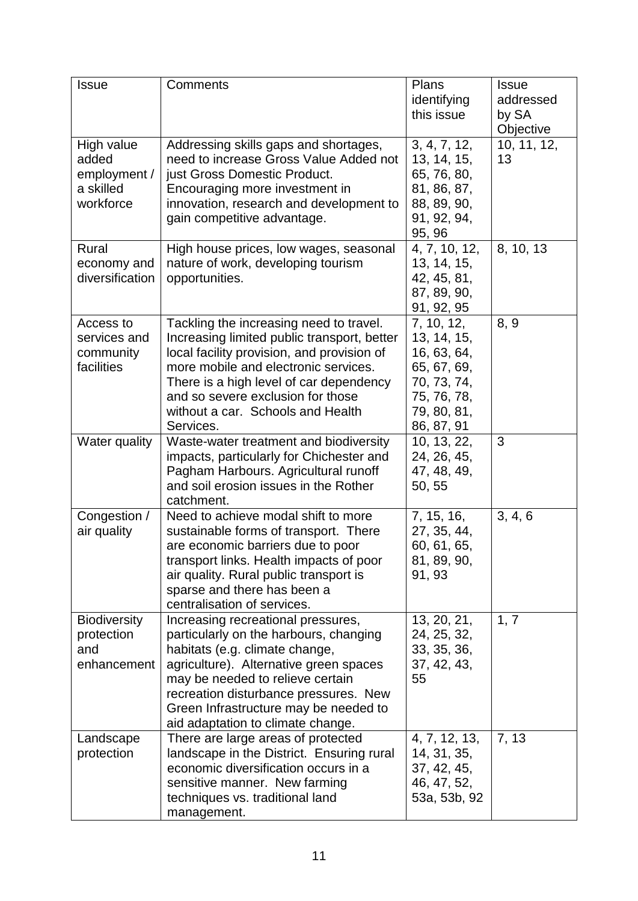| <b>Issue</b>                                                  | Comments                                                                                                                                                                                                                                                                                                            | Plans<br>identifying<br>this issue                                                                                 | <b>Issue</b><br>addressed<br>by SA<br>Objective |
|---------------------------------------------------------------|---------------------------------------------------------------------------------------------------------------------------------------------------------------------------------------------------------------------------------------------------------------------------------------------------------------------|--------------------------------------------------------------------------------------------------------------------|-------------------------------------------------|
| High value<br>added<br>employment /<br>a skilled<br>workforce | Addressing skills gaps and shortages,<br>need to increase Gross Value Added not<br>just Gross Domestic Product.<br>Encouraging more investment in<br>innovation, research and development to<br>gain competitive advantage.                                                                                         | 3, 4, 7, 12,<br>13, 14, 15,<br>65, 76, 80,<br>81, 86, 87,<br>88, 89, 90,<br>91, 92, 94,<br>95, 96                  | 10, 11, 12,<br>13                               |
| Rural<br>economy and<br>diversification                       | High house prices, low wages, seasonal<br>nature of work, developing tourism<br>opportunities.                                                                                                                                                                                                                      | 4, 7, 10, 12,<br>13, 14, 15,<br>42, 45, 81,<br>87, 89, 90,<br>91, 92, 95                                           | 8, 10, 13                                       |
| Access to<br>services and<br>community<br>facilities          | Tackling the increasing need to travel.<br>Increasing limited public transport, better<br>local facility provision, and provision of<br>more mobile and electronic services.<br>There is a high level of car dependency<br>and so severe exclusion for those<br>without a car. Schools and Health<br>Services.      | 7, 10, 12,<br>13, 14, 15,<br>16, 63, 64,<br>65, 67, 69,<br>70, 73, 74,<br>75, 76, 78,<br>79, 80, 81,<br>86, 87, 91 | 8, 9                                            |
| Water quality                                                 | Waste-water treatment and biodiversity<br>impacts, particularly for Chichester and<br>Pagham Harbours. Agricultural runoff<br>and soil erosion issues in the Rother<br>catchment.                                                                                                                                   | 10, 13, 22,<br>24, 26, 45,<br>47, 48, 49,<br>50, 55                                                                | 3                                               |
| Congestion /<br>air quality                                   | Need to achieve modal shift to more<br>sustainable forms of transport. There<br>are economic barriers due to poor<br>transport links. Health impacts of poor<br>air quality. Rural public transport is<br>sparse and there has been a<br>centralisation of services.                                                | 7, 15, 16,<br>27, 35, 44,<br>60, 61, 65,<br>81, 89, 90,<br>91, 93                                                  | 3, 4, 6                                         |
| <b>Biodiversity</b><br>protection<br>and<br>enhancement       | Increasing recreational pressures,<br>particularly on the harbours, changing<br>habitats (e.g. climate change,<br>agriculture). Alternative green spaces<br>may be needed to relieve certain<br>recreation disturbance pressures. New<br>Green Infrastructure may be needed to<br>aid adaptation to climate change. | 13, 20, 21,<br>24, 25, 32,<br>33, 35, 36,<br>37, 42, 43,<br>55                                                     | 1, 7                                            |
| Landscape<br>protection                                       | There are large areas of protected<br>landscape in the District. Ensuring rural<br>economic diversification occurs in a<br>sensitive manner. New farming<br>techniques vs. traditional land<br>management.                                                                                                          | 4, 7, 12, 13,<br>14, 31, 35,<br>37, 42, 45,<br>46, 47, 52,<br>53a, 53b, 92                                         | 7, 13                                           |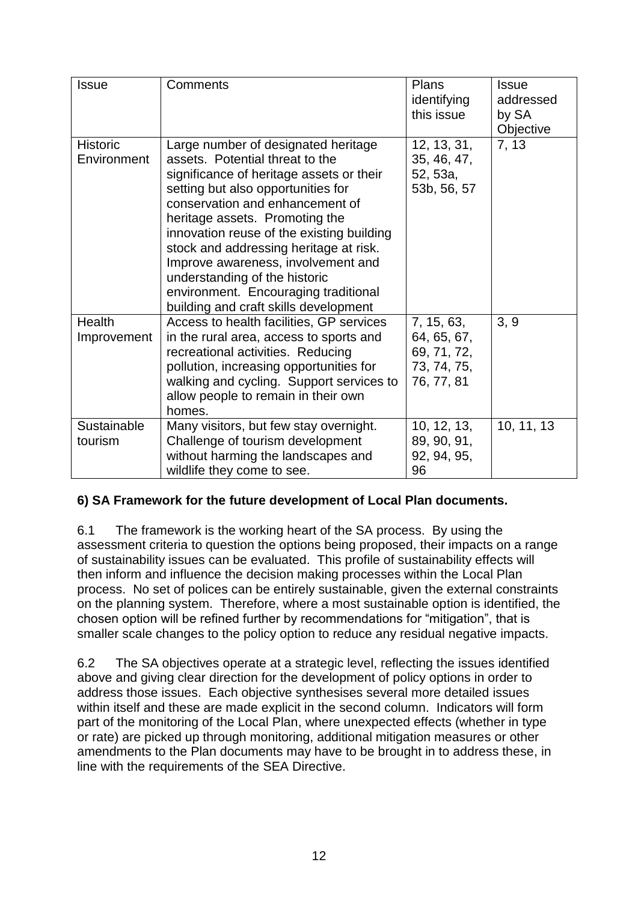| <b>Issue</b>                   | Comments                                                                                                                                                                                                                                                                                                                                                                                                                                                                     | <b>Plans</b><br>identifying<br>this issue                             | <b>Issue</b><br>addressed<br>by SA<br>Objective |
|--------------------------------|------------------------------------------------------------------------------------------------------------------------------------------------------------------------------------------------------------------------------------------------------------------------------------------------------------------------------------------------------------------------------------------------------------------------------------------------------------------------------|-----------------------------------------------------------------------|-------------------------------------------------|
| <b>Historic</b><br>Environment | Large number of designated heritage<br>assets. Potential threat to the<br>significance of heritage assets or their<br>setting but also opportunities for<br>conservation and enhancement of<br>heritage assets. Promoting the<br>innovation reuse of the existing building<br>stock and addressing heritage at risk.<br>Improve awareness, involvement and<br>understanding of the historic<br>environment. Encouraging traditional<br>building and craft skills development | 12, 13, 31,<br>35, 46, 47,<br>52, 53a,<br>53b, 56, 57                 | 7, 13                                           |
| Health<br>Improvement          | Access to health facilities, GP services<br>in the rural area, access to sports and<br>recreational activities. Reducing<br>pollution, increasing opportunities for<br>walking and cycling. Support services to<br>allow people to remain in their own<br>homes.                                                                                                                                                                                                             | 7, 15, 63,<br>64, 65, 67,<br>69, 71, 72,<br>73, 74, 75,<br>76, 77, 81 | 3, 9                                            |
| Sustainable<br>tourism         | Many visitors, but few stay overnight.<br>Challenge of tourism development<br>without harming the landscapes and<br>wildlife they come to see.                                                                                                                                                                                                                                                                                                                               | 10, 12, 13,<br>89, 90, 91,<br>92, 94, 95,<br>96                       | 10, 11, 13                                      |

# **6) SA Framework for the future development of Local Plan documents.**

6.1 The framework is the working heart of the SA process. By using the assessment criteria to question the options being proposed, their impacts on a range of sustainability issues can be evaluated. This profile of sustainability effects will then inform and influence the decision making processes within the Local Plan process. No set of polices can be entirely sustainable, given the external constraints on the planning system. Therefore, where a most sustainable option is identified, the chosen option will be refined further by recommendations for "mitigation", that is smaller scale changes to the policy option to reduce any residual negative impacts.

6.2 The SA objectives operate at a strategic level, reflecting the issues identified above and giving clear direction for the development of policy options in order to address those issues. Each objective synthesises several more detailed issues within itself and these are made explicit in the second column. Indicators will form part of the monitoring of the Local Plan, where unexpected effects (whether in type or rate) are picked up through monitoring, additional mitigation measures or other amendments to the Plan documents may have to be brought in to address these, in line with the requirements of the SEA Directive.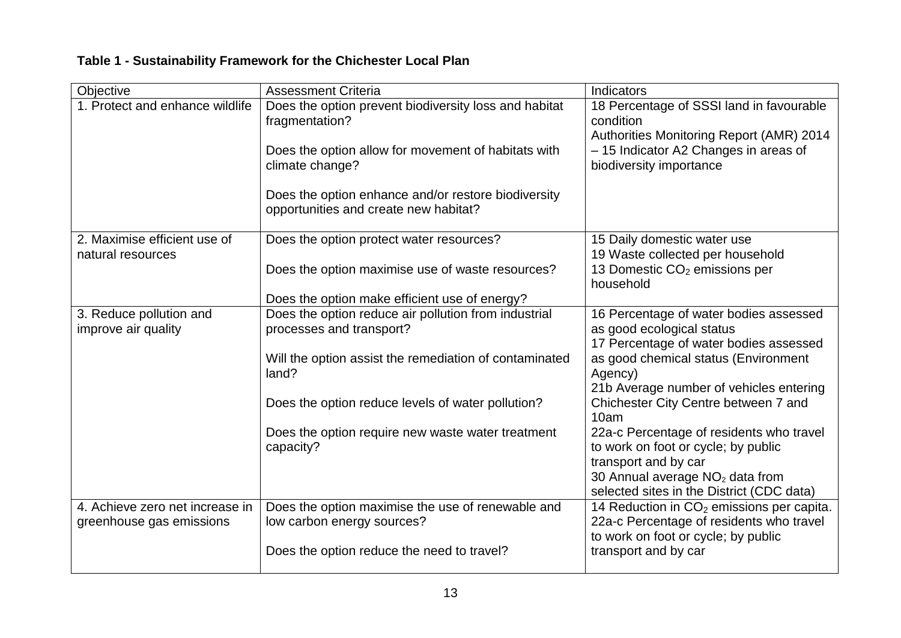| Objective                                         | <b>Assessment Criteria</b>                                                                   | Indicators                                                                                        |
|---------------------------------------------------|----------------------------------------------------------------------------------------------|---------------------------------------------------------------------------------------------------|
| 1. Protect and enhance wildlife                   | Does the option prevent biodiversity loss and habitat<br>fragmentation?                      | 18 Percentage of SSSI land in favourable<br>condition<br>Authorities Monitoring Report (AMR) 2014 |
|                                                   | Does the option allow for movement of habitats with<br>climate change?                       | - 15 Indicator A2 Changes in areas of<br>biodiversity importance                                  |
|                                                   | Does the option enhance and/or restore biodiversity<br>opportunities and create new habitat? |                                                                                                   |
| 2. Maximise efficient use of<br>natural resources | Does the option protect water resources?                                                     | 15 Daily domestic water use<br>19 Waste collected per household                                   |
|                                                   | Does the option maximise use of waste resources?                                             | 13 Domestic CO <sub>2</sub> emissions per<br>household                                            |
|                                                   | Does the option make efficient use of energy?                                                |                                                                                                   |
| 3. Reduce pollution and                           | Does the option reduce air pollution from industrial                                         | 16 Percentage of water bodies assessed                                                            |
| improve air quality                               | processes and transport?                                                                     | as good ecological status                                                                         |
|                                                   |                                                                                              | 17 Percentage of water bodies assessed                                                            |
|                                                   | Will the option assist the remediation of contaminated<br>land?                              | as good chemical status (Environment<br>Agency)                                                   |
|                                                   |                                                                                              | 21b Average number of vehicles entering                                                           |
|                                                   | Does the option reduce levels of water pollution?                                            | Chichester City Centre between 7 and<br>10am                                                      |
|                                                   | Does the option require new waste water treatment<br>capacity?                               | 22a-c Percentage of residents who travel<br>to work on foot or cycle; by public                   |
|                                                   |                                                                                              | transport and by car                                                                              |
|                                                   |                                                                                              | 30 Annual average $NO2$ data from<br>selected sites in the District (CDC data)                    |
| 4. Achieve zero net increase in                   | Does the option maximise the use of renewable and                                            | 14 Reduction in $CO2$ emissions per capita.                                                       |
| greenhouse gas emissions                          | low carbon energy sources?                                                                   | 22a-c Percentage of residents who travel<br>to work on foot or cycle; by public                   |
|                                                   | Does the option reduce the need to travel?                                                   | transport and by car                                                                              |

# **Table 1 - Sustainability Framework for the Chichester Local Plan**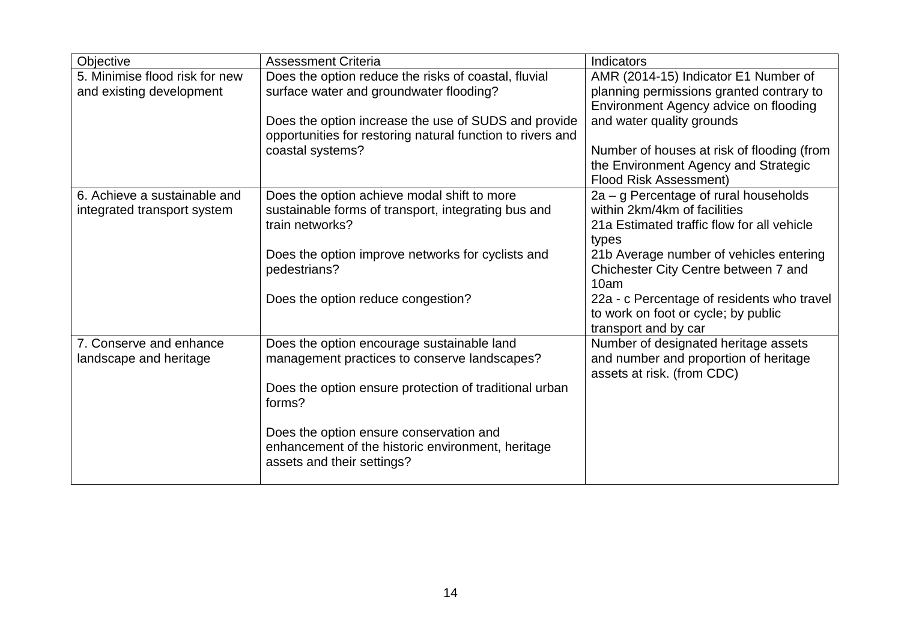| Objective                      | <b>Assessment Criteria</b>                                             | Indicators                                                            |
|--------------------------------|------------------------------------------------------------------------|-----------------------------------------------------------------------|
| 5. Minimise flood risk for new | Does the option reduce the risks of coastal, fluvial                   | AMR (2014-15) Indicator E1 Number of                                  |
| and existing development       | surface water and groundwater flooding?                                | planning permissions granted contrary to                              |
|                                |                                                                        | Environment Agency advice on flooding                                 |
|                                | Does the option increase the use of SUDS and provide                   | and water quality grounds                                             |
|                                | opportunities for restoring natural function to rivers and             |                                                                       |
|                                | coastal systems?                                                       | Number of houses at risk of flooding (from                            |
|                                |                                                                        | the Environment Agency and Strategic                                  |
|                                |                                                                        | <b>Flood Risk Assessment)</b>                                         |
| 6. Achieve a sustainable and   | Does the option achieve modal shift to more                            | 2a – g Percentage of rural households<br>within 2km/4km of facilities |
| integrated transport system    | sustainable forms of transport, integrating bus and<br>train networks? | 21a Estimated traffic flow for all vehicle                            |
|                                |                                                                        | types                                                                 |
|                                | Does the option improve networks for cyclists and                      | 21b Average number of vehicles entering                               |
|                                | pedestrians?                                                           | Chichester City Centre between 7 and                                  |
|                                |                                                                        | 10am                                                                  |
|                                | Does the option reduce congestion?                                     | 22a - c Percentage of residents who travel                            |
|                                |                                                                        | to work on foot or cycle; by public                                   |
|                                |                                                                        | transport and by car                                                  |
| 7. Conserve and enhance        | Does the option encourage sustainable land                             | Number of designated heritage assets                                  |
| landscape and heritage         | management practices to conserve landscapes?                           | and number and proportion of heritage                                 |
|                                |                                                                        | assets at risk. (from CDC)                                            |
|                                | Does the option ensure protection of traditional urban                 |                                                                       |
|                                | forms?                                                                 |                                                                       |
|                                |                                                                        |                                                                       |
|                                | Does the option ensure conservation and                                |                                                                       |
|                                | enhancement of the historic environment, heritage                      |                                                                       |
|                                | assets and their settings?                                             |                                                                       |
|                                |                                                                        |                                                                       |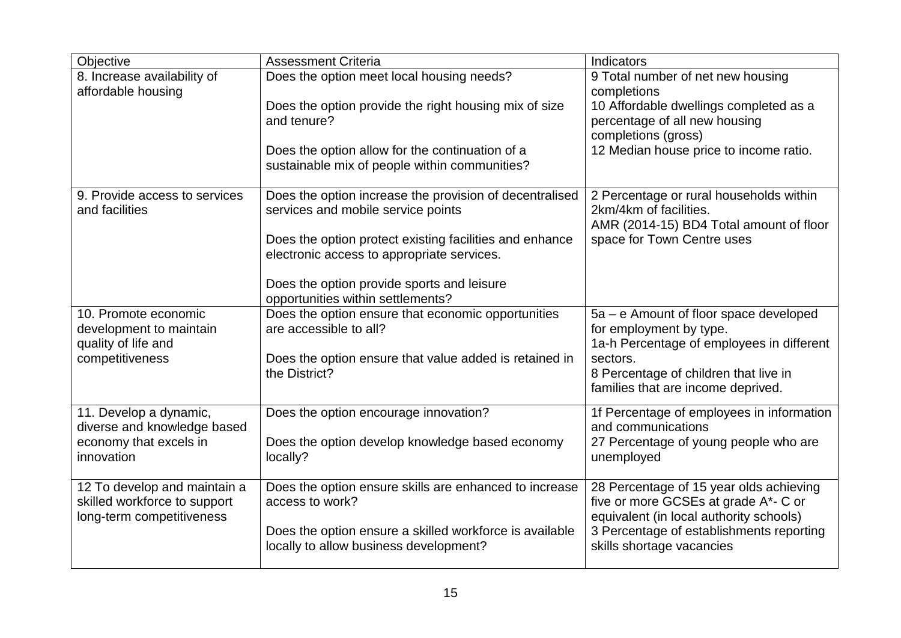| Objective                                                                                 | <b>Assessment Criteria</b>                                                                                                                                               | Indicators                                                                                                                                              |
|-------------------------------------------------------------------------------------------|--------------------------------------------------------------------------------------------------------------------------------------------------------------------------|---------------------------------------------------------------------------------------------------------------------------------------------------------|
| 8. Increase availability of                                                               | Does the option meet local housing needs?                                                                                                                                | 9 Total number of net new housing                                                                                                                       |
| affordable housing                                                                        | Does the option provide the right housing mix of size<br>and tenure?<br>Does the option allow for the continuation of a<br>sustainable mix of people within communities? | completions<br>10 Affordable dwellings completed as a<br>percentage of all new housing<br>completions (gross)<br>12 Median house price to income ratio. |
|                                                                                           |                                                                                                                                                                          |                                                                                                                                                         |
| 9. Provide access to services<br>and facilities                                           | Does the option increase the provision of decentralised<br>services and mobile service points                                                                            | 2 Percentage or rural households within<br>2km/4km of facilities.<br>AMR (2014-15) BD4 Total amount of floor                                            |
|                                                                                           | Does the option protect existing facilities and enhance<br>electronic access to appropriate services.                                                                    | space for Town Centre uses                                                                                                                              |
|                                                                                           | Does the option provide sports and leisure<br>opportunities within settlements?                                                                                          |                                                                                                                                                         |
| 10. Promote economic<br>development to maintain<br>quality of life and                    | Does the option ensure that economic opportunities<br>are accessible to all?                                                                                             | 5a – e Amount of floor space developed<br>for employment by type.<br>1a-h Percentage of employees in different                                          |
| competitiveness                                                                           | Does the option ensure that value added is retained in<br>the District?                                                                                                  | sectors.<br>8 Percentage of children that live in<br>families that are income deprived.                                                                 |
| 11. Develop a dynamic,<br>diverse and knowledge based                                     | Does the option encourage innovation?                                                                                                                                    | 1f Percentage of employees in information<br>and communications                                                                                         |
| economy that excels in<br>innovation                                                      | Does the option develop knowledge based economy<br>locally?                                                                                                              | 27 Percentage of young people who are<br>unemployed                                                                                                     |
| 12 To develop and maintain a<br>skilled workforce to support<br>long-term competitiveness | Does the option ensure skills are enhanced to increase<br>access to work?                                                                                                | 28 Percentage of 15 year olds achieving<br>five or more GCSEs at grade A*- C or<br>equivalent (in local authority schools)                              |
|                                                                                           | Does the option ensure a skilled workforce is available<br>locally to allow business development?                                                                        | 3 Percentage of establishments reporting<br>skills shortage vacancies                                                                                   |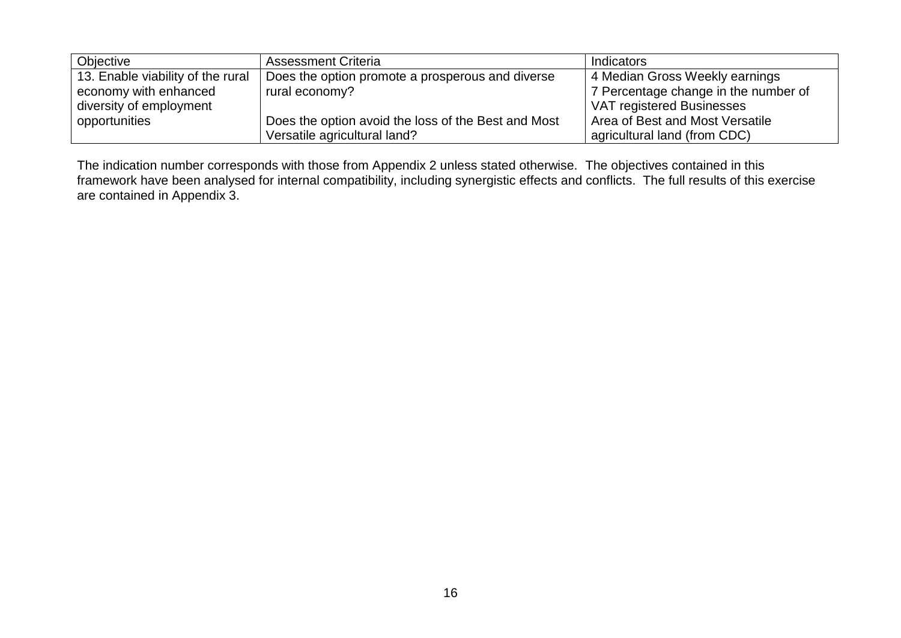| Objective                         | <b>Assessment Criteria</b>                          | <b>Indicators</b>                    |
|-----------------------------------|-----------------------------------------------------|--------------------------------------|
| 13. Enable viability of the rural | Does the option promote a prosperous and diverse    | 4 Median Gross Weekly earnings       |
| economy with enhanced             | rural economy?                                      | 7 Percentage change in the number of |
| diversity of employment           |                                                     | VAT registered Businesses            |
| opportunities                     | Does the option avoid the loss of the Best and Most | Area of Best and Most Versatile      |
|                                   | Versatile agricultural land?                        | agricultural land (from CDC)         |

The indication number corresponds with those from Appendix 2 unless stated otherwise. The objectives contained in this framework have been analysed for internal compatibility, including synergistic effects and conflicts. The full results of this exercise are contained in Appendix 3.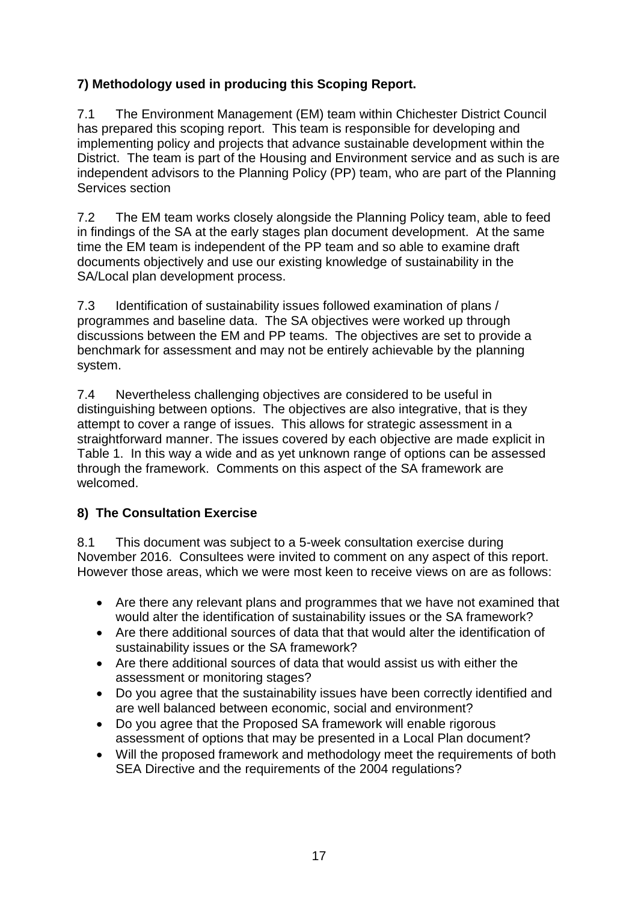# **7) Methodology used in producing this Scoping Report.**

7.1 The Environment Management (EM) team within Chichester District Council has prepared this scoping report. This team is responsible for developing and implementing policy and projects that advance sustainable development within the District. The team is part of the Housing and Environment service and as such is are independent advisors to the Planning Policy (PP) team, who are part of the Planning Services section

7.2 The EM team works closely alongside the Planning Policy team, able to feed in findings of the SA at the early stages plan document development. At the same time the EM team is independent of the PP team and so able to examine draft documents objectively and use our existing knowledge of sustainability in the SA/Local plan development process.

7.3 Identification of sustainability issues followed examination of plans / programmes and baseline data. The SA objectives were worked up through discussions between the EM and PP teams. The objectives are set to provide a benchmark for assessment and may not be entirely achievable by the planning system.

7.4 Nevertheless challenging objectives are considered to be useful in distinguishing between options. The objectives are also integrative, that is they attempt to cover a range of issues. This allows for strategic assessment in a straightforward manner. The issues covered by each objective are made explicit in Table 1. In this way a wide and as yet unknown range of options can be assessed through the framework. Comments on this aspect of the SA framework are welcomed.

# **8) The Consultation Exercise**

8.1 This document was subject to a 5-week consultation exercise during November 2016. Consultees were invited to comment on any aspect of this report. However those areas, which we were most keen to receive views on are as follows:

- Are there any relevant plans and programmes that we have not examined that would alter the identification of sustainability issues or the SA framework?
- Are there additional sources of data that that would alter the identification of sustainability issues or the SA framework?
- Are there additional sources of data that would assist us with either the assessment or monitoring stages?
- Do you agree that the sustainability issues have been correctly identified and are well balanced between economic, social and environment?
- Do you agree that the Proposed SA framework will enable rigorous assessment of options that may be presented in a Local Plan document?
- Will the proposed framework and methodology meet the requirements of both SEA Directive and the requirements of the 2004 regulations?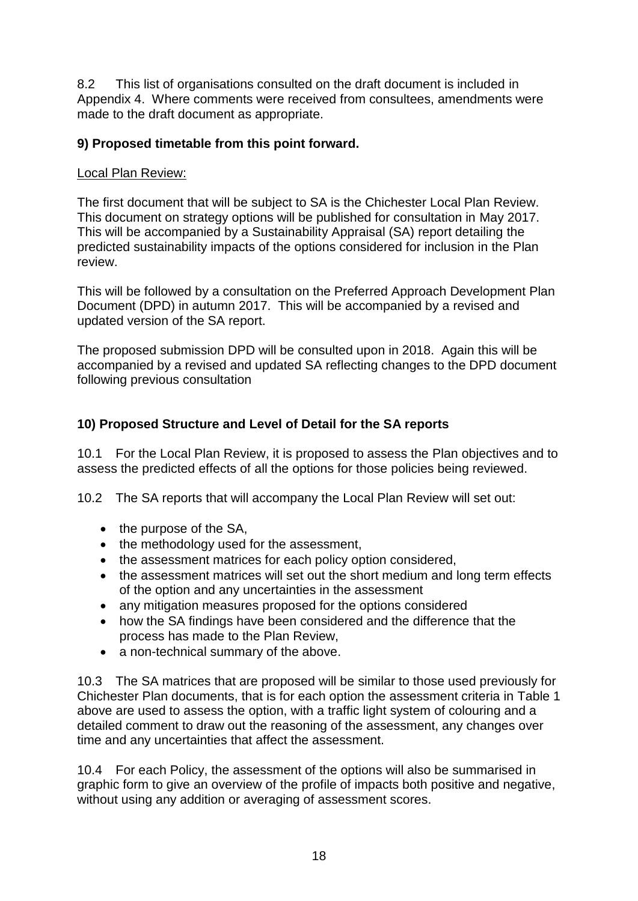8.2 This list of organisations consulted on the draft document is included in Appendix 4. Where comments were received from consultees, amendments were made to the draft document as appropriate.

## **9) Proposed timetable from this point forward.**

#### Local Plan Review:

The first document that will be subject to SA is the Chichester Local Plan Review. This document on strategy options will be published for consultation in May 2017. This will be accompanied by a Sustainability Appraisal (SA) report detailing the predicted sustainability impacts of the options considered for inclusion in the Plan review.

This will be followed by a consultation on the Preferred Approach Development Plan Document (DPD) in autumn 2017. This will be accompanied by a revised and updated version of the SA report.

The proposed submission DPD will be consulted upon in 2018. Again this will be accompanied by a revised and updated SA reflecting changes to the DPD document following previous consultation

# **10) Proposed Structure and Level of Detail for the SA reports**

10.1 For the Local Plan Review, it is proposed to assess the Plan objectives and to assess the predicted effects of all the options for those policies being reviewed.

10.2 The SA reports that will accompany the Local Plan Review will set out:

- $\bullet$  the purpose of the SA,
- the methodology used for the assessment,
- the assessment matrices for each policy option considered,
- the assessment matrices will set out the short medium and long term effects of the option and any uncertainties in the assessment
- any mitigation measures proposed for the options considered
- how the SA findings have been considered and the difference that the process has made to the Plan Review,
- a non-technical summary of the above.

10.3 The SA matrices that are proposed will be similar to those used previously for Chichester Plan documents, that is for each option the assessment criteria in Table 1 above are used to assess the option, with a traffic light system of colouring and a detailed comment to draw out the reasoning of the assessment, any changes over time and any uncertainties that affect the assessment.

10.4 For each Policy, the assessment of the options will also be summarised in graphic form to give an overview of the profile of impacts both positive and negative, without using any addition or averaging of assessment scores.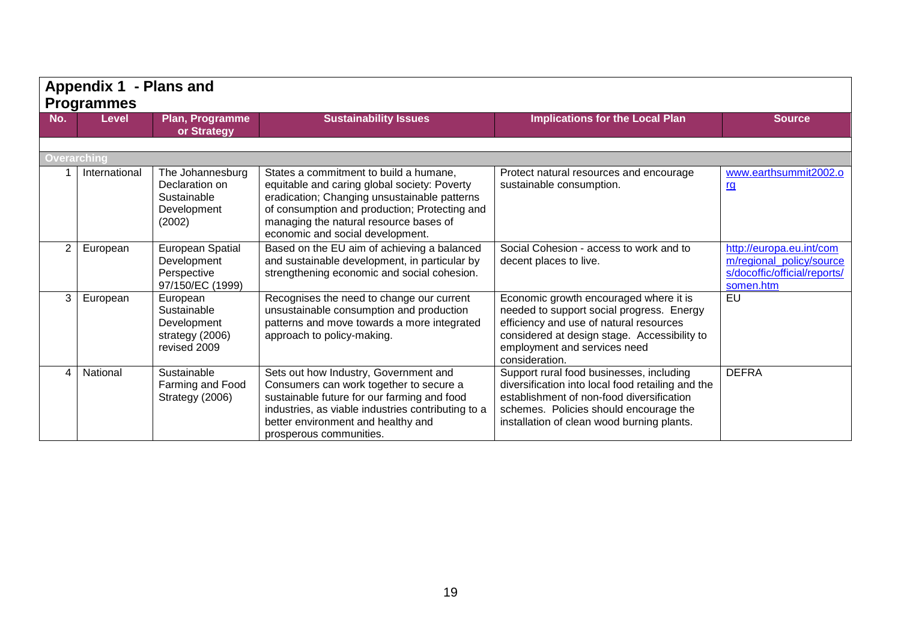|     | Appendix 1 - Plans and<br><b>Programmes</b> |                                                                            |                                                                                                                                                                                                                                                                       |                                                                                                                                                                                                                                    |                                                                                                   |
|-----|---------------------------------------------|----------------------------------------------------------------------------|-----------------------------------------------------------------------------------------------------------------------------------------------------------------------------------------------------------------------------------------------------------------------|------------------------------------------------------------------------------------------------------------------------------------------------------------------------------------------------------------------------------------|---------------------------------------------------------------------------------------------------|
| No. | <b>Level</b>                                | Plan, Programme<br>or Strategy                                             | <b>Sustainability Issues</b>                                                                                                                                                                                                                                          | <b>Implications for the Local Plan</b>                                                                                                                                                                                             | <b>Source</b>                                                                                     |
|     | <b>Overarching</b>                          |                                                                            |                                                                                                                                                                                                                                                                       |                                                                                                                                                                                                                                    |                                                                                                   |
|     | International                               | The Johannesburg<br>Declaration on<br>Sustainable<br>Development<br>(2002) | States a commitment to build a humane,<br>equitable and caring global society: Poverty<br>eradication; Changing unsustainable patterns<br>of consumption and production; Protecting and<br>managing the natural resource bases of<br>economic and social development. | Protect natural resources and encourage<br>sustainable consumption.                                                                                                                                                                | www.earthsummit2002.o<br>rg                                                                       |
| 2   | European                                    | <b>European Spatial</b><br>Development<br>Perspective<br>97/150/EC (1999)  | Based on the EU aim of achieving a balanced<br>and sustainable development, in particular by<br>strengthening economic and social cohesion.                                                                                                                           | Social Cohesion - access to work and to<br>decent places to live.                                                                                                                                                                  | http://europa.eu.int/com<br>m/regional_policy/source<br>s/docoffic/official/reports/<br>somen.htm |
| 3   | European                                    | European<br>Sustainable<br>Development<br>strategy (2006)<br>revised 2009  | Recognises the need to change our current<br>unsustainable consumption and production<br>patterns and move towards a more integrated<br>approach to policy-making.                                                                                                    | Economic growth encouraged where it is<br>needed to support social progress. Energy<br>efficiency and use of natural resources<br>considered at design stage. Accessibility to<br>employment and services need<br>consideration.   | $E$ U                                                                                             |
|     | National                                    | Sustainable<br>Farming and Food<br>Strategy (2006)                         | Sets out how Industry, Government and<br>Consumers can work together to secure a<br>sustainable future for our farming and food<br>industries, as viable industries contributing to a<br>better environment and healthy and<br>prosperous communities.                | Support rural food businesses, including<br>diversification into local food retailing and the<br>establishment of non-food diversification<br>schemes. Policies should encourage the<br>installation of clean wood burning plants. | <b>DEFRA</b>                                                                                      |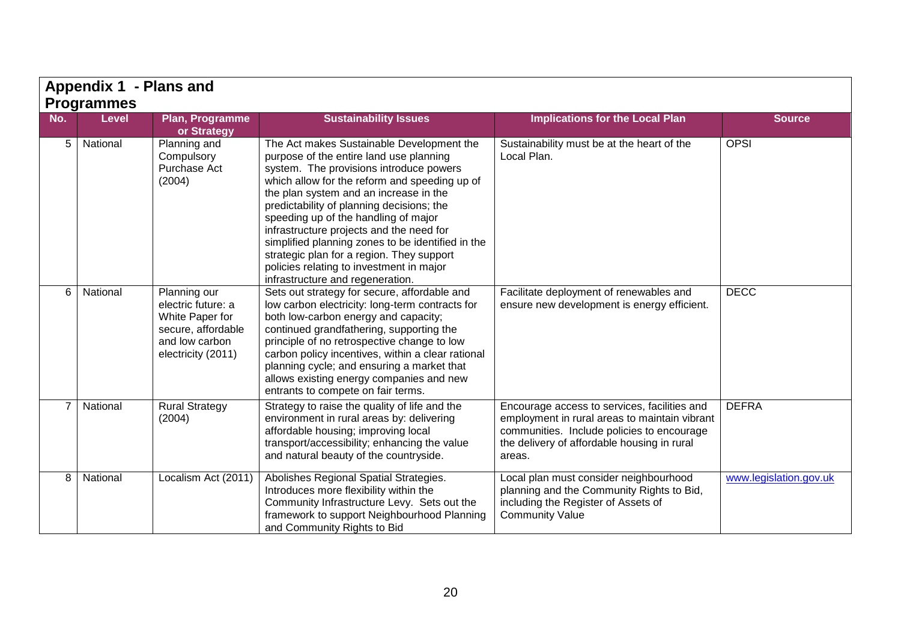|                | Appendix 1 - Plans and            |                                                                                                                     |                                                                                                                                                                                                                                                                                                                                                                                                                                                                                                                                               |                                                                                                                                                                                                      |                        |  |
|----------------|-----------------------------------|---------------------------------------------------------------------------------------------------------------------|-----------------------------------------------------------------------------------------------------------------------------------------------------------------------------------------------------------------------------------------------------------------------------------------------------------------------------------------------------------------------------------------------------------------------------------------------------------------------------------------------------------------------------------------------|------------------------------------------------------------------------------------------------------------------------------------------------------------------------------------------------------|------------------------|--|
| No.            | <b>Programmes</b><br><b>Level</b> | Plan, Programme                                                                                                     | <b>Sustainability Issues</b>                                                                                                                                                                                                                                                                                                                                                                                                                                                                                                                  | <b>Implications for the Local Plan</b>                                                                                                                                                               | <b>Source</b>          |  |
|                |                                   | or Strategy                                                                                                         |                                                                                                                                                                                                                                                                                                                                                                                                                                                                                                                                               |                                                                                                                                                                                                      |                        |  |
| 5              | National                          | Planning and<br>Compulsory<br>Purchase Act<br>(2004)                                                                | The Act makes Sustainable Development the<br>purpose of the entire land use planning<br>system. The provisions introduce powers<br>which allow for the reform and speeding up of<br>the plan system and an increase in the<br>predictability of planning decisions; the<br>speeding up of the handling of major<br>infrastructure projects and the need for<br>simplified planning zones to be identified in the<br>strategic plan for a region. They support<br>policies relating to investment in major<br>infrastructure and regeneration. | Sustainability must be at the heart of the<br>Local Plan.                                                                                                                                            | <b>OPSI</b>            |  |
| 6              | National                          | Planning our<br>electric future: a<br>White Paper for<br>secure, affordable<br>and low carbon<br>electricity (2011) | Sets out strategy for secure, affordable and<br>low carbon electricity: long-term contracts for<br>both low-carbon energy and capacity;<br>continued grandfathering, supporting the<br>principle of no retrospective change to low<br>carbon policy incentives, within a clear rational<br>planning cycle; and ensuring a market that<br>allows existing energy companies and new<br>entrants to compete on fair terms.                                                                                                                       | Facilitate deployment of renewables and<br>ensure new development is energy efficient.                                                                                                               | <b>DECC</b>            |  |
| $\overline{7}$ | National                          | <b>Rural Strategy</b><br>(2004)                                                                                     | Strategy to raise the quality of life and the<br>environment in rural areas by: delivering<br>affordable housing; improving local<br>transport/accessibility; enhancing the value<br>and natural beauty of the countryside.                                                                                                                                                                                                                                                                                                                   | Encourage access to services, facilities and<br>employment in rural areas to maintain vibrant<br>communities. Include policies to encourage<br>the delivery of affordable housing in rural<br>areas. | <b>DEFRA</b>           |  |
| 8              | National                          | Localism Act (2011)                                                                                                 | Abolishes Regional Spatial Strategies.<br>Introduces more flexibility within the<br>Community Infrastructure Levy. Sets out the<br>framework to support Neighbourhood Planning<br>and Community Rights to Bid                                                                                                                                                                                                                                                                                                                                 | Local plan must consider neighbourhood<br>planning and the Community Rights to Bid,<br>including the Register of Assets of<br><b>Community Value</b>                                                 | www.legislation.gov.uk |  |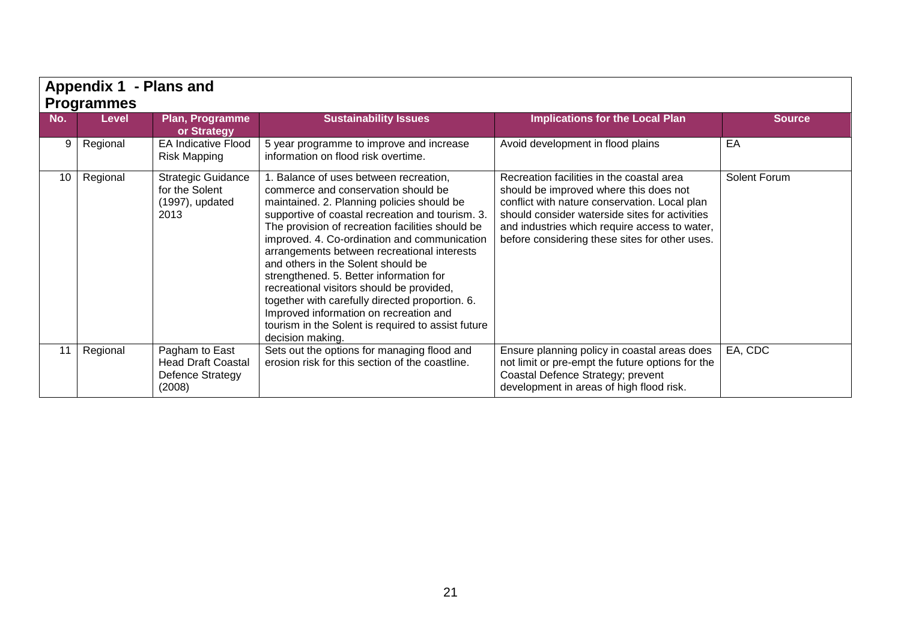|     | <b>Appendix 1</b><br>- Plans and<br><b>Programmes</b> |                                                                           |                                                                                                                                                                                                                                                                                                                                                                                                                                                                                                                                                                                                                                        |                                                                                                                                                                                                                                                                                           |               |  |
|-----|-------------------------------------------------------|---------------------------------------------------------------------------|----------------------------------------------------------------------------------------------------------------------------------------------------------------------------------------------------------------------------------------------------------------------------------------------------------------------------------------------------------------------------------------------------------------------------------------------------------------------------------------------------------------------------------------------------------------------------------------------------------------------------------------|-------------------------------------------------------------------------------------------------------------------------------------------------------------------------------------------------------------------------------------------------------------------------------------------|---------------|--|
| No. | <b>Level</b>                                          | <b>Plan, Programme</b><br>or Strategy                                     | <b>Sustainability Issues</b>                                                                                                                                                                                                                                                                                                                                                                                                                                                                                                                                                                                                           | <b>Implications for the Local Plan</b>                                                                                                                                                                                                                                                    | <b>Source</b> |  |
| 9   | Regional                                              | <b>EA Indicative Flood</b><br><b>Risk Mapping</b>                         | 5 year programme to improve and increase<br>information on flood risk overtime.                                                                                                                                                                                                                                                                                                                                                                                                                                                                                                                                                        | Avoid development in flood plains                                                                                                                                                                                                                                                         | EA            |  |
| 10  | Regional                                              | <b>Strategic Guidance</b><br>for the Solent<br>(1997), updated<br>2013    | . Balance of uses between recreation,<br>commerce and conservation should be<br>maintained. 2. Planning policies should be<br>supportive of coastal recreation and tourism. 3.<br>The provision of recreation facilities should be<br>improved. 4. Co-ordination and communication<br>arrangements between recreational interests<br>and others in the Solent should be<br>strengthened. 5. Better information for<br>recreational visitors should be provided,<br>together with carefully directed proportion. 6.<br>Improved information on recreation and<br>tourism in the Solent is required to assist future<br>decision making. | Recreation facilities in the coastal area<br>should be improved where this does not<br>conflict with nature conservation. Local plan<br>should consider waterside sites for activities<br>and industries which require access to water,<br>before considering these sites for other uses. | Solent Forum  |  |
|     | Regional                                              | Pagham to East<br><b>Head Draft Coastal</b><br>Defence Strategy<br>(2008) | Sets out the options for managing flood and<br>erosion risk for this section of the coastline.                                                                                                                                                                                                                                                                                                                                                                                                                                                                                                                                         | Ensure planning policy in coastal areas does<br>not limit or pre-empt the future options for the<br>Coastal Defence Strategy; prevent<br>development in areas of high flood risk.                                                                                                         | EA, CDC       |  |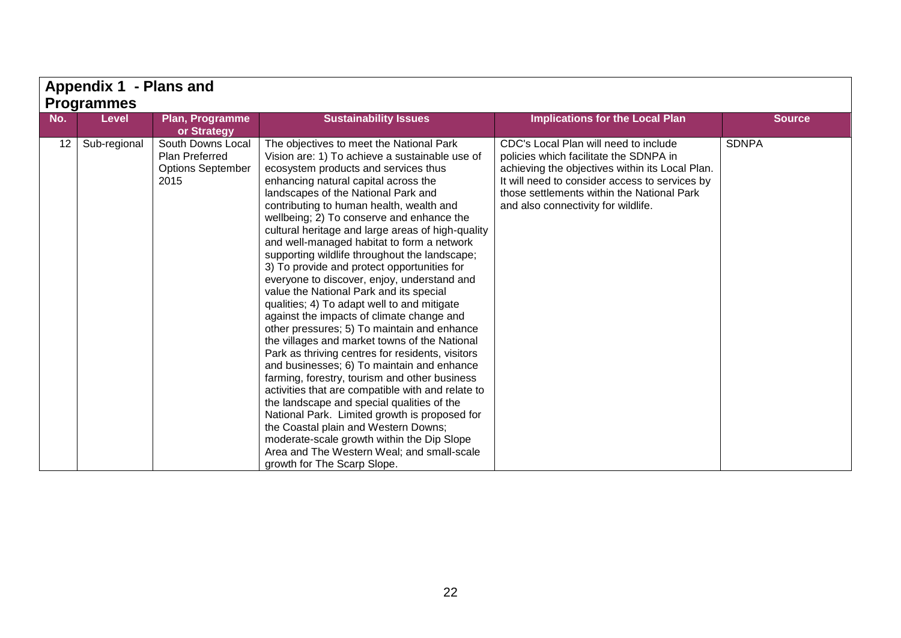|     | Appendix 1 - Plans and<br><b>Programmes</b> |                                                                         |                                                                                                                                                                                                                                                                                                                                                                                                                                                                                                                                                                                                                                                                                                                                                                                                                                                                                                                                                                                                                                                                                                                                                                                                                                                                               |                                                                                                                                                                                                                                                                           |               |  |
|-----|---------------------------------------------|-------------------------------------------------------------------------|-------------------------------------------------------------------------------------------------------------------------------------------------------------------------------------------------------------------------------------------------------------------------------------------------------------------------------------------------------------------------------------------------------------------------------------------------------------------------------------------------------------------------------------------------------------------------------------------------------------------------------------------------------------------------------------------------------------------------------------------------------------------------------------------------------------------------------------------------------------------------------------------------------------------------------------------------------------------------------------------------------------------------------------------------------------------------------------------------------------------------------------------------------------------------------------------------------------------------------------------------------------------------------|---------------------------------------------------------------------------------------------------------------------------------------------------------------------------------------------------------------------------------------------------------------------------|---------------|--|
| No. | <b>Level</b>                                | Plan, Programme<br>or Strategy                                          | <b>Sustainability Issues</b>                                                                                                                                                                                                                                                                                                                                                                                                                                                                                                                                                                                                                                                                                                                                                                                                                                                                                                                                                                                                                                                                                                                                                                                                                                                  | <b>Implications for the Local Plan</b>                                                                                                                                                                                                                                    | <b>Source</b> |  |
| 12  | Sub-regional                                | South Downs Local<br>Plan Preferred<br><b>Options September</b><br>2015 | The objectives to meet the National Park<br>Vision are: 1) To achieve a sustainable use of<br>ecosystem products and services thus<br>enhancing natural capital across the<br>landscapes of the National Park and<br>contributing to human health, wealth and<br>wellbeing; 2) To conserve and enhance the<br>cultural heritage and large areas of high-quality<br>and well-managed habitat to form a network<br>supporting wildlife throughout the landscape;<br>3) To provide and protect opportunities for<br>everyone to discover, enjoy, understand and<br>value the National Park and its special<br>qualities; 4) To adapt well to and mitigate<br>against the impacts of climate change and<br>other pressures; 5) To maintain and enhance<br>the villages and market towns of the National<br>Park as thriving centres for residents, visitors<br>and businesses; 6) To maintain and enhance<br>farming, forestry, tourism and other business<br>activities that are compatible with and relate to<br>the landscape and special qualities of the<br>National Park. Limited growth is proposed for<br>the Coastal plain and Western Downs;<br>moderate-scale growth within the Dip Slope<br>Area and The Western Weal; and small-scale<br>growth for The Scarp Slope. | CDC's Local Plan will need to include<br>policies which facilitate the SDNPA in<br>achieving the objectives within its Local Plan.<br>It will need to consider access to services by<br>those settlements within the National Park<br>and also connectivity for wildlife. | <b>SDNPA</b>  |  |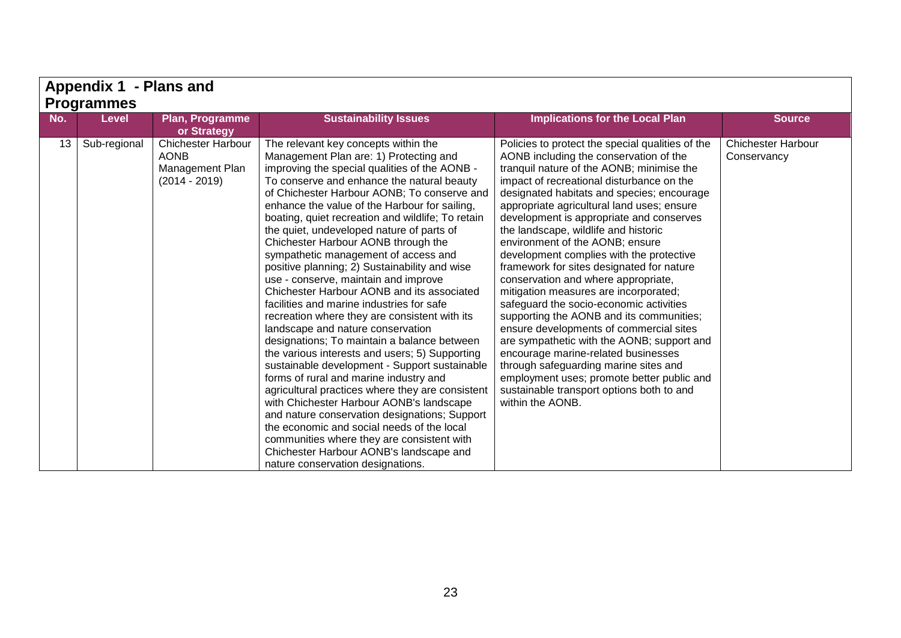|     | Appendix 1 - Plans and |                                                                                |                                                                                                                                                                                                                                                                                                                                                                                                                                                                                                                                                                                                                                                                                                                                                                                                                                                                                                                                                                                                                                                                                                                                                                                                                                                                   |                                                                                                                                                                                                                                                                                                                                                                                                                                                                                                                                                                                                                                                                                                                                                                                                                                                                                                                                                                 |                                          |  |
|-----|------------------------|--------------------------------------------------------------------------------|-------------------------------------------------------------------------------------------------------------------------------------------------------------------------------------------------------------------------------------------------------------------------------------------------------------------------------------------------------------------------------------------------------------------------------------------------------------------------------------------------------------------------------------------------------------------------------------------------------------------------------------------------------------------------------------------------------------------------------------------------------------------------------------------------------------------------------------------------------------------------------------------------------------------------------------------------------------------------------------------------------------------------------------------------------------------------------------------------------------------------------------------------------------------------------------------------------------------------------------------------------------------|-----------------------------------------------------------------------------------------------------------------------------------------------------------------------------------------------------------------------------------------------------------------------------------------------------------------------------------------------------------------------------------------------------------------------------------------------------------------------------------------------------------------------------------------------------------------------------------------------------------------------------------------------------------------------------------------------------------------------------------------------------------------------------------------------------------------------------------------------------------------------------------------------------------------------------------------------------------------|------------------------------------------|--|
|     | <b>Programmes</b>      |                                                                                |                                                                                                                                                                                                                                                                                                                                                                                                                                                                                                                                                                                                                                                                                                                                                                                                                                                                                                                                                                                                                                                                                                                                                                                                                                                                   |                                                                                                                                                                                                                                                                                                                                                                                                                                                                                                                                                                                                                                                                                                                                                                                                                                                                                                                                                                 |                                          |  |
| No. | <b>Level</b>           | Plan, Programme<br>or Strategy                                                 | <b>Sustainability Issues</b>                                                                                                                                                                                                                                                                                                                                                                                                                                                                                                                                                                                                                                                                                                                                                                                                                                                                                                                                                                                                                                                                                                                                                                                                                                      | <b>Implications for the Local Plan</b>                                                                                                                                                                                                                                                                                                                                                                                                                                                                                                                                                                                                                                                                                                                                                                                                                                                                                                                          | <b>Source</b>                            |  |
| 13  | Sub-regional           | <b>Chichester Harbour</b><br><b>AONB</b><br>Management Plan<br>$(2014 - 2019)$ | The relevant key concepts within the<br>Management Plan are: 1) Protecting and<br>improving the special qualities of the AONB -<br>To conserve and enhance the natural beauty<br>of Chichester Harbour AONB; To conserve and<br>enhance the value of the Harbour for sailing,<br>boating, quiet recreation and wildlife; To retain<br>the quiet, undeveloped nature of parts of<br>Chichester Harbour AONB through the<br>sympathetic management of access and<br>positive planning; 2) Sustainability and wise<br>use - conserve, maintain and improve<br>Chichester Harbour AONB and its associated<br>facilities and marine industries for safe<br>recreation where they are consistent with its<br>landscape and nature conservation<br>designations; To maintain a balance between<br>the various interests and users; 5) Supporting<br>sustainable development - Support sustainable<br>forms of rural and marine industry and<br>agricultural practices where they are consistent<br>with Chichester Harbour AONB's landscape<br>and nature conservation designations; Support<br>the economic and social needs of the local<br>communities where they are consistent with<br>Chichester Harbour AONB's landscape and<br>nature conservation designations. | Policies to protect the special qualities of the<br>AONB including the conservation of the<br>tranquil nature of the AONB; minimise the<br>impact of recreational disturbance on the<br>designated habitats and species; encourage<br>appropriate agricultural land uses; ensure<br>development is appropriate and conserves<br>the landscape, wildlife and historic<br>environment of the AONB; ensure<br>development complies with the protective<br>framework for sites designated for nature<br>conservation and where appropriate,<br>mitigation measures are incorporated;<br>safeguard the socio-economic activities<br>supporting the AONB and its communities;<br>ensure developments of commercial sites<br>are sympathetic with the AONB; support and<br>encourage marine-related businesses<br>through safeguarding marine sites and<br>employment uses; promote better public and<br>sustainable transport options both to and<br>within the AONB. | <b>Chichester Harbour</b><br>Conservancy |  |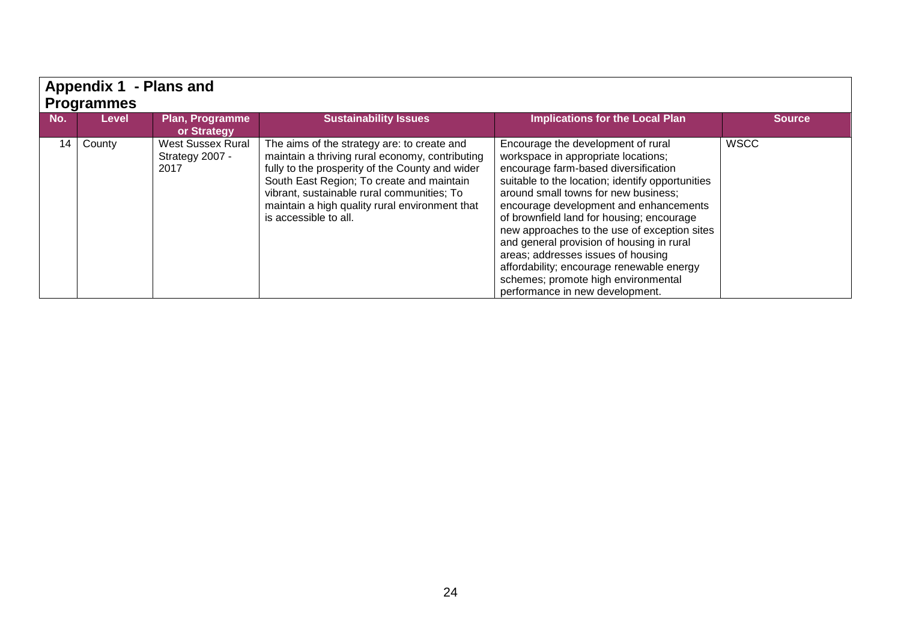|     | - Plans and<br><b>Appendix 1</b><br>  Programmes |                                                     |                                                                                                                                                                                                                                                                                                                         |                                                                                                                                                                                                                                                                                                                                                                                                                                                                                                                                                                |               |  |  |  |  |
|-----|--------------------------------------------------|-----------------------------------------------------|-------------------------------------------------------------------------------------------------------------------------------------------------------------------------------------------------------------------------------------------------------------------------------------------------------------------------|----------------------------------------------------------------------------------------------------------------------------------------------------------------------------------------------------------------------------------------------------------------------------------------------------------------------------------------------------------------------------------------------------------------------------------------------------------------------------------------------------------------------------------------------------------------|---------------|--|--|--|--|
| No. | <b>Level</b>                                     | Plan, Programme<br>or Strategy                      | <b>Sustainability Issues</b>                                                                                                                                                                                                                                                                                            | Implications for the Local Plan                                                                                                                                                                                                                                                                                                                                                                                                                                                                                                                                | <b>Source</b> |  |  |  |  |
|     | 14 County                                        | <b>West Sussex Rural</b><br>Strategy 2007 -<br>2017 | The aims of the strategy are: to create and<br>maintain a thriving rural economy, contributing<br>fully to the prosperity of the County and wider<br>South East Region; To create and maintain<br>vibrant, sustainable rural communities; To<br>maintain a high quality rural environment that<br>is accessible to all. | Encourage the development of rural<br>workspace in appropriate locations;<br>encourage farm-based diversification<br>suitable to the location; identify opportunities<br>around small towns for new business;<br>encourage development and enhancements<br>of brownfield land for housing; encourage<br>new approaches to the use of exception sites<br>and general provision of housing in rural<br>areas; addresses issues of housing<br>affordability; encourage renewable energy<br>schemes; promote high environmental<br>performance in new development. | <b>WSCC</b>   |  |  |  |  |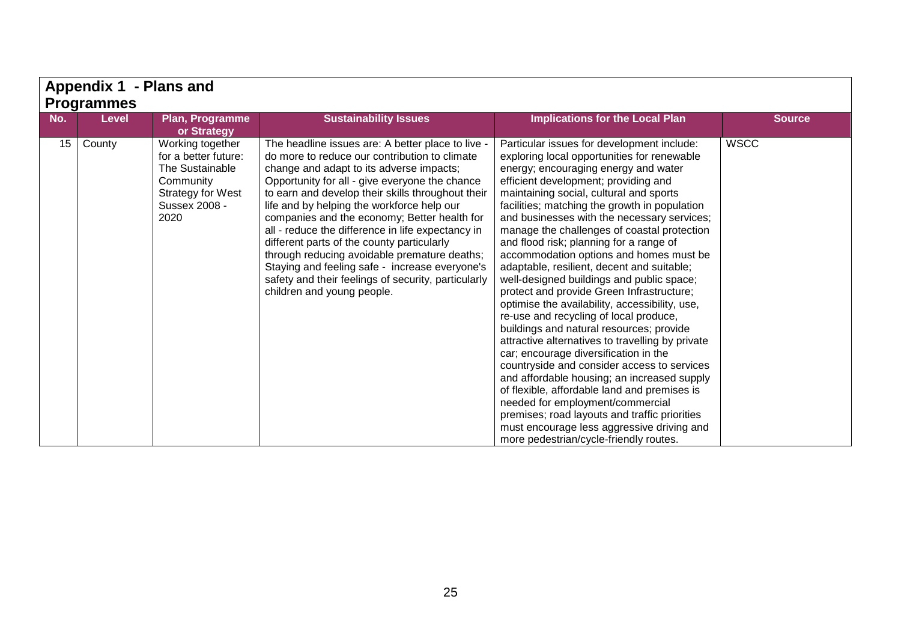|     | Appendix 1 - Plans and |                                                                                                                               |                                                                                                                                                                                                                                                                                                                                                                                                                                                                                                                                                                                                                                               |                                                                                                                                                                                                                                                                                                                                                                                                                                                                                                                                                                                                                                                                                                                                                                                                                                                                                                                                                                                                                                                                                                                                                                   |               |  |
|-----|------------------------|-------------------------------------------------------------------------------------------------------------------------------|-----------------------------------------------------------------------------------------------------------------------------------------------------------------------------------------------------------------------------------------------------------------------------------------------------------------------------------------------------------------------------------------------------------------------------------------------------------------------------------------------------------------------------------------------------------------------------------------------------------------------------------------------|-------------------------------------------------------------------------------------------------------------------------------------------------------------------------------------------------------------------------------------------------------------------------------------------------------------------------------------------------------------------------------------------------------------------------------------------------------------------------------------------------------------------------------------------------------------------------------------------------------------------------------------------------------------------------------------------------------------------------------------------------------------------------------------------------------------------------------------------------------------------------------------------------------------------------------------------------------------------------------------------------------------------------------------------------------------------------------------------------------------------------------------------------------------------|---------------|--|
|     | <b>Programmes</b>      |                                                                                                                               |                                                                                                                                                                                                                                                                                                                                                                                                                                                                                                                                                                                                                                               |                                                                                                                                                                                                                                                                                                                                                                                                                                                                                                                                                                                                                                                                                                                                                                                                                                                                                                                                                                                                                                                                                                                                                                   |               |  |
| No. | <b>Level</b>           | <b>Plan, Programme</b><br>or Strategy                                                                                         | <b>Sustainability Issues</b>                                                                                                                                                                                                                                                                                                                                                                                                                                                                                                                                                                                                                  | <b>Implications for the Local Plan</b>                                                                                                                                                                                                                                                                                                                                                                                                                                                                                                                                                                                                                                                                                                                                                                                                                                                                                                                                                                                                                                                                                                                            | <b>Source</b> |  |
| 15  | County                 | Working together<br>for a better future:<br>The Sustainable<br>Community<br><b>Strategy for West</b><br>Sussex 2008 -<br>2020 | The headline issues are: A better place to live -<br>do more to reduce our contribution to climate<br>change and adapt to its adverse impacts;<br>Opportunity for all - give everyone the chance<br>to earn and develop their skills throughout their<br>life and by helping the workforce help our<br>companies and the economy; Better health for<br>all - reduce the difference in life expectancy in<br>different parts of the county particularly<br>through reducing avoidable premature deaths;<br>Staying and feeling safe - increase everyone's<br>safety and their feelings of security, particularly<br>children and young people. | Particular issues for development include:<br>exploring local opportunities for renewable<br>energy; encouraging energy and water<br>efficient development; providing and<br>maintaining social, cultural and sports<br>facilities; matching the growth in population<br>and businesses with the necessary services;<br>manage the challenges of coastal protection<br>and flood risk; planning for a range of<br>accommodation options and homes must be<br>adaptable, resilient, decent and suitable;<br>well-designed buildings and public space;<br>protect and provide Green Infrastructure;<br>optimise the availability, accessibility, use,<br>re-use and recycling of local produce,<br>buildings and natural resources; provide<br>attractive alternatives to travelling by private<br>car; encourage diversification in the<br>countryside and consider access to services<br>and affordable housing; an increased supply<br>of flexible, affordable land and premises is<br>needed for employment/commercial<br>premises; road layouts and traffic priorities<br>must encourage less aggressive driving and<br>more pedestrian/cycle-friendly routes. | <b>WSCC</b>   |  |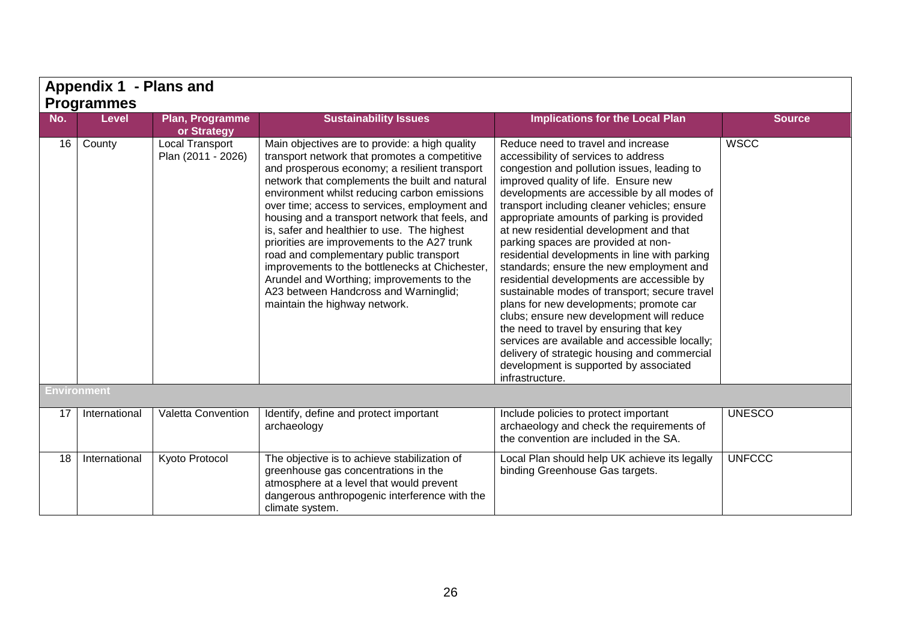|     | Appendix 1 - Plans and |                                       |                                                                                                                                                                                                                                                                                                                                                                                                                                                                                                                                                                                                                                                                           |                                                                                                                                                                                                                                                                                                                                                                                                                                                                                                                                                                                                                                                                                                                                                                                                                                                                                                |               |  |  |  |
|-----|------------------------|---------------------------------------|---------------------------------------------------------------------------------------------------------------------------------------------------------------------------------------------------------------------------------------------------------------------------------------------------------------------------------------------------------------------------------------------------------------------------------------------------------------------------------------------------------------------------------------------------------------------------------------------------------------------------------------------------------------------------|------------------------------------------------------------------------------------------------------------------------------------------------------------------------------------------------------------------------------------------------------------------------------------------------------------------------------------------------------------------------------------------------------------------------------------------------------------------------------------------------------------------------------------------------------------------------------------------------------------------------------------------------------------------------------------------------------------------------------------------------------------------------------------------------------------------------------------------------------------------------------------------------|---------------|--|--|--|
|     | <b>Programmes</b>      |                                       |                                                                                                                                                                                                                                                                                                                                                                                                                                                                                                                                                                                                                                                                           |                                                                                                                                                                                                                                                                                                                                                                                                                                                                                                                                                                                                                                                                                                                                                                                                                                                                                                |               |  |  |  |
| No. | <b>Level</b>           | Plan, Programme<br>or Strategy        | <b>Sustainability Issues</b>                                                                                                                                                                                                                                                                                                                                                                                                                                                                                                                                                                                                                                              | <b>Implications for the Local Plan</b>                                                                                                                                                                                                                                                                                                                                                                                                                                                                                                                                                                                                                                                                                                                                                                                                                                                         | <b>Source</b> |  |  |  |
|     | 16 County              | Local Transport<br>Plan (2011 - 2026) | Main objectives are to provide: a high quality<br>transport network that promotes a competitive<br>and prosperous economy; a resilient transport<br>network that complements the built and natural<br>environment whilst reducing carbon emissions<br>over time; access to services, employment and<br>housing and a transport network that feels, and<br>is, safer and healthier to use. The highest<br>priorities are improvements to the A27 trunk<br>road and complementary public transport<br>improvements to the bottlenecks at Chichester,<br>Arundel and Worthing; improvements to the<br>A23 between Handcross and Warninglid;<br>maintain the highway network. | Reduce need to travel and increase<br>accessibility of services to address<br>congestion and pollution issues, leading to<br>improved quality of life. Ensure new<br>developments are accessible by all modes of<br>transport including cleaner vehicles; ensure<br>appropriate amounts of parking is provided<br>at new residential development and that<br>parking spaces are provided at non-<br>residential developments in line with parking<br>standards; ensure the new employment and<br>residential developments are accessible by<br>sustainable modes of transport; secure travel<br>plans for new developments; promote car<br>clubs; ensure new development will reduce<br>the need to travel by ensuring that key<br>services are available and accessible locally;<br>delivery of strategic housing and commercial<br>development is supported by associated<br>infrastructure. | <b>WSCC</b>   |  |  |  |
|     | <b>Environment</b>     |                                       |                                                                                                                                                                                                                                                                                                                                                                                                                                                                                                                                                                                                                                                                           |                                                                                                                                                                                                                                                                                                                                                                                                                                                                                                                                                                                                                                                                                                                                                                                                                                                                                                |               |  |  |  |
| 17  | International          | Valetta Convention                    | Identify, define and protect important<br>archaeology                                                                                                                                                                                                                                                                                                                                                                                                                                                                                                                                                                                                                     | Include policies to protect important<br>archaeology and check the requirements of<br>the convention are included in the SA.                                                                                                                                                                                                                                                                                                                                                                                                                                                                                                                                                                                                                                                                                                                                                                   | <b>UNESCO</b> |  |  |  |
| 18  | International          | Kyoto Protocol                        | The objective is to achieve stabilization of<br>greenhouse gas concentrations in the<br>atmosphere at a level that would prevent<br>dangerous anthropogenic interference with the<br>climate system.                                                                                                                                                                                                                                                                                                                                                                                                                                                                      | Local Plan should help UK achieve its legally<br>binding Greenhouse Gas targets.                                                                                                                                                                                                                                                                                                                                                                                                                                                                                                                                                                                                                                                                                                                                                                                                               | <b>UNFCCC</b> |  |  |  |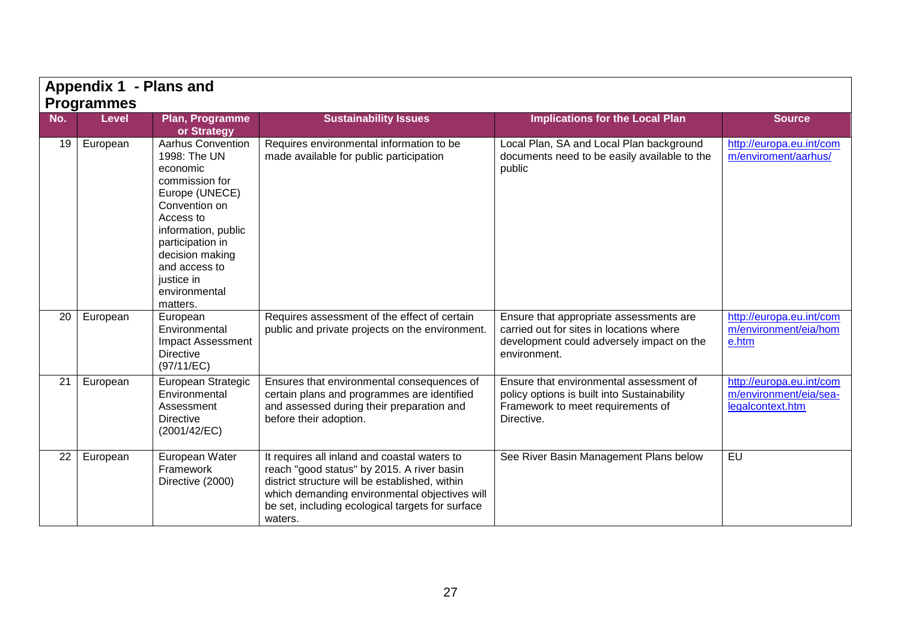|     | Appendix 1 - Plans and<br><b>Programmes</b> |                                                                                                                                                                                                                                                  |                                                                                                                                                                                                                                                              |                                                                                                                                                  |                                                                        |
|-----|---------------------------------------------|--------------------------------------------------------------------------------------------------------------------------------------------------------------------------------------------------------------------------------------------------|--------------------------------------------------------------------------------------------------------------------------------------------------------------------------------------------------------------------------------------------------------------|--------------------------------------------------------------------------------------------------------------------------------------------------|------------------------------------------------------------------------|
| No. | <b>Level</b>                                | Plan, Programme<br>or Strategy                                                                                                                                                                                                                   | <b>Sustainability Issues</b>                                                                                                                                                                                                                                 | <b>Implications for the Local Plan</b>                                                                                                           | <b>Source</b>                                                          |
| 19  | European                                    | <b>Aarhus Convention</b><br>1998: The UN<br>economic<br>commission for<br>Europe (UNECE)<br>Convention on<br>Access to<br>information, public<br>participation in<br>decision making<br>and access to<br>justice in<br>environmental<br>matters. | Requires environmental information to be<br>made available for public participation                                                                                                                                                                          | Local Plan, SA and Local Plan background<br>documents need to be easily available to the<br>public                                               | http://europa.eu.int/com<br>m/enviroment/aarhus/                       |
| 20  | European                                    | European<br>Environmental<br><b>Impact Assessment</b><br><b>Directive</b><br>(97/11/EC)                                                                                                                                                          | Requires assessment of the effect of certain<br>public and private projects on the environment.                                                                                                                                                              | Ensure that appropriate assessments are<br>carried out for sites in locations where<br>development could adversely impact on the<br>environment. | http://europa.eu.int/com<br>m/environment/eia/hom<br>e.htm             |
| 21  | European                                    | European Strategic<br>Environmental<br>Assessment<br><b>Directive</b><br>(2001/42/EC)                                                                                                                                                            | Ensures that environmental consequences of<br>certain plans and programmes are identified<br>and assessed during their preparation and<br>before their adoption.                                                                                             | Ensure that environmental assessment of<br>policy options is built into Sustainability<br>Framework to meet requirements of<br>Directive.        | http://europa.eu.int/com<br>m/environment/eia/sea-<br>legalcontext.htm |
| 22  | European                                    | European Water<br>Framework<br>Directive (2000)                                                                                                                                                                                                  | It requires all inland and coastal waters to<br>reach "good status" by 2015. A river basin<br>district structure will be established, within<br>which demanding environmental objectives will<br>be set, including ecological targets for surface<br>waters. | See River Basin Management Plans below                                                                                                           | EU                                                                     |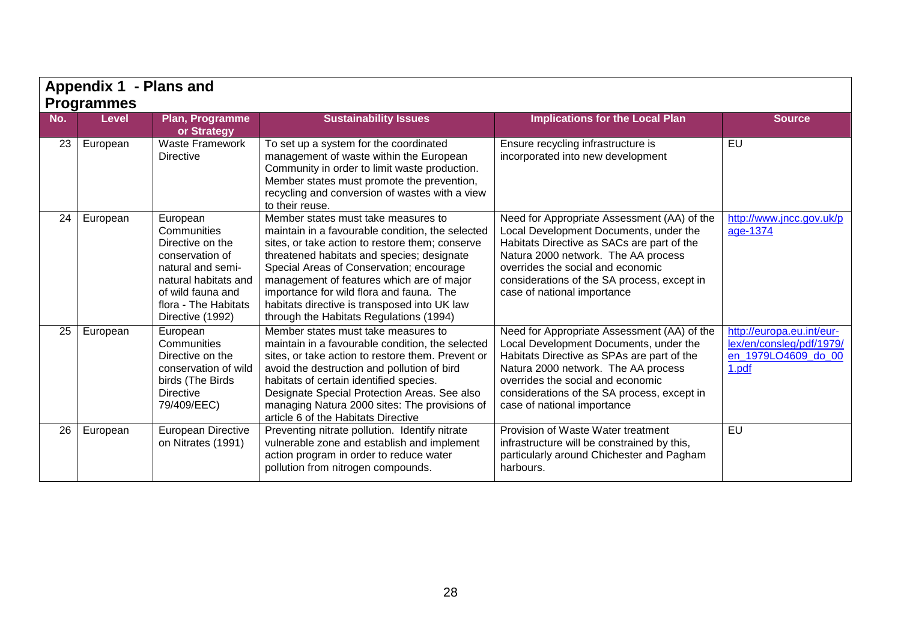|     | Appendix 1 - Plans and            |                                                                                                                                                                              |                                                                                                                                                                                                                                                                                                                                                                                                                          |                                                                                                                                                                                                                                                                                               |                                                                                       |
|-----|-----------------------------------|------------------------------------------------------------------------------------------------------------------------------------------------------------------------------|--------------------------------------------------------------------------------------------------------------------------------------------------------------------------------------------------------------------------------------------------------------------------------------------------------------------------------------------------------------------------------------------------------------------------|-----------------------------------------------------------------------------------------------------------------------------------------------------------------------------------------------------------------------------------------------------------------------------------------------|---------------------------------------------------------------------------------------|
| No. | <b>Programmes</b><br><b>Level</b> | Plan, Programme<br>or Strategy                                                                                                                                               | <b>Sustainability Issues</b>                                                                                                                                                                                                                                                                                                                                                                                             | <b>Implications for the Local Plan</b>                                                                                                                                                                                                                                                        | <b>Source</b>                                                                         |
| 23  | European                          | <b>Waste Framework</b><br>Directive                                                                                                                                          | To set up a system for the coordinated<br>management of waste within the European<br>Community in order to limit waste production.<br>Member states must promote the prevention,<br>recycling and conversion of wastes with a view<br>to their reuse.                                                                                                                                                                    | Ensure recycling infrastructure is<br>incorporated into new development                                                                                                                                                                                                                       | EU                                                                                    |
| 24  | European                          | European<br>Communities<br>Directive on the<br>conservation of<br>natural and semi-<br>natural habitats and<br>of wild fauna and<br>flora - The Habitats<br>Directive (1992) | Member states must take measures to<br>maintain in a favourable condition, the selected<br>sites, or take action to restore them; conserve<br>threatened habitats and species; designate<br>Special Areas of Conservation; encourage<br>management of features which are of major<br>importance for wild flora and fauna. The<br>habitats directive is transposed into UK law<br>through the Habitats Regulations (1994) | Need for Appropriate Assessment (AA) of the<br>Local Development Documents, under the<br>Habitats Directive as SACs are part of the<br>Natura 2000 network. The AA process<br>overrides the social and economic<br>considerations of the SA process, except in<br>case of national importance | http://www.jncc.gov.uk/p<br>age-1374                                                  |
| 25  | European                          | European<br>Communities<br>Directive on the<br>conservation of wild<br>birds (The Birds<br><b>Directive</b><br>79/409/EEC)                                                   | Member states must take measures to<br>maintain in a favourable condition, the selected<br>sites, or take action to restore them. Prevent or<br>avoid the destruction and pollution of bird<br>habitats of certain identified species.<br>Designate Special Protection Areas. See also<br>managing Natura 2000 sites: The provisions of<br>article 6 of the Habitats Directive                                           | Need for Appropriate Assessment (AA) of the<br>Local Development Documents, under the<br>Habitats Directive as SPAs are part of the<br>Natura 2000 network. The AA process<br>overrides the social and economic<br>considerations of the SA process, except in<br>case of national importance | http://europa.eu.int/eur-<br>lex/en/consleg/pdf/1979/<br>en 1979LO4609 do 00<br>1.pdf |
| 26  | European                          | European Directive<br>on Nitrates (1991)                                                                                                                                     | Preventing nitrate pollution. Identify nitrate<br>vulnerable zone and establish and implement<br>action program in order to reduce water<br>pollution from nitrogen compounds.                                                                                                                                                                                                                                           | Provision of Waste Water treatment<br>infrastructure will be constrained by this,<br>particularly around Chichester and Pagham<br>harbours.                                                                                                                                                   | EU                                                                                    |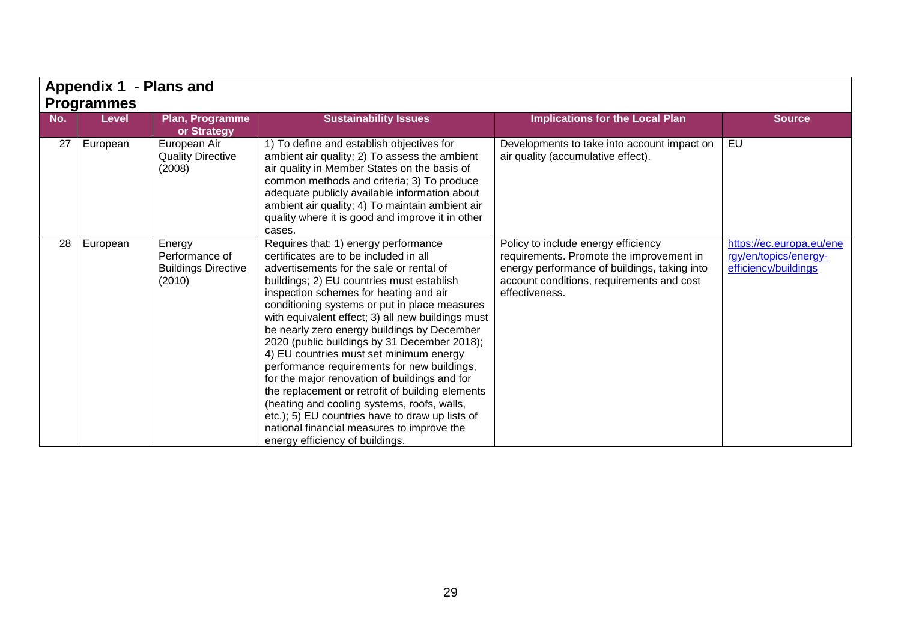|     | Appendix 1 - Plans and |                                                                  |                                                                                                                                                                                                                                                                                                                                                                                                                                                                                                                                                                                                                                                                                                                                                                                                          |                                                                                                                                                                                                |                                                                           |  |  |  |
|-----|------------------------|------------------------------------------------------------------|----------------------------------------------------------------------------------------------------------------------------------------------------------------------------------------------------------------------------------------------------------------------------------------------------------------------------------------------------------------------------------------------------------------------------------------------------------------------------------------------------------------------------------------------------------------------------------------------------------------------------------------------------------------------------------------------------------------------------------------------------------------------------------------------------------|------------------------------------------------------------------------------------------------------------------------------------------------------------------------------------------------|---------------------------------------------------------------------------|--|--|--|
|     | <b>Programmes</b>      |                                                                  |                                                                                                                                                                                                                                                                                                                                                                                                                                                                                                                                                                                                                                                                                                                                                                                                          |                                                                                                                                                                                                |                                                                           |  |  |  |
| No. | <b>Level</b>           | Plan, Programme<br>or Strategy                                   | <b>Sustainability Issues</b>                                                                                                                                                                                                                                                                                                                                                                                                                                                                                                                                                                                                                                                                                                                                                                             | <b>Implications for the Local Plan</b>                                                                                                                                                         | <b>Source</b>                                                             |  |  |  |
| 27  | European               | European Air<br><b>Quality Directive</b><br>(2008)               | 1) To define and establish objectives for<br>ambient air quality; 2) To assess the ambient<br>air quality in Member States on the basis of<br>common methods and criteria; 3) To produce<br>adequate publicly available information about<br>ambient air quality; 4) To maintain ambient air<br>quality where it is good and improve it in other<br>cases.                                                                                                                                                                                                                                                                                                                                                                                                                                               | Developments to take into account impact on<br>air quality (accumulative effect).                                                                                                              | EU                                                                        |  |  |  |
| 28  | European               | Energy<br>Performance of<br><b>Buildings Directive</b><br>(2010) | Requires that: 1) energy performance<br>certificates are to be included in all<br>advertisements for the sale or rental of<br>buildings; 2) EU countries must establish<br>inspection schemes for heating and air<br>conditioning systems or put in place measures<br>with equivalent effect; 3) all new buildings must<br>be nearly zero energy buildings by December<br>2020 (public buildings by 31 December 2018);<br>4) EU countries must set minimum energy<br>performance requirements for new buildings,<br>for the major renovation of buildings and for<br>the replacement or retrofit of building elements<br>(heating and cooling systems, roofs, walls,<br>etc.); 5) EU countries have to draw up lists of<br>national financial measures to improve the<br>energy efficiency of buildings. | Policy to include energy efficiency<br>requirements. Promote the improvement in<br>energy performance of buildings, taking into<br>account conditions, requirements and cost<br>effectiveness. | https://ec.europa.eu/ene<br>rgy/en/topics/energy-<br>efficiency/buildings |  |  |  |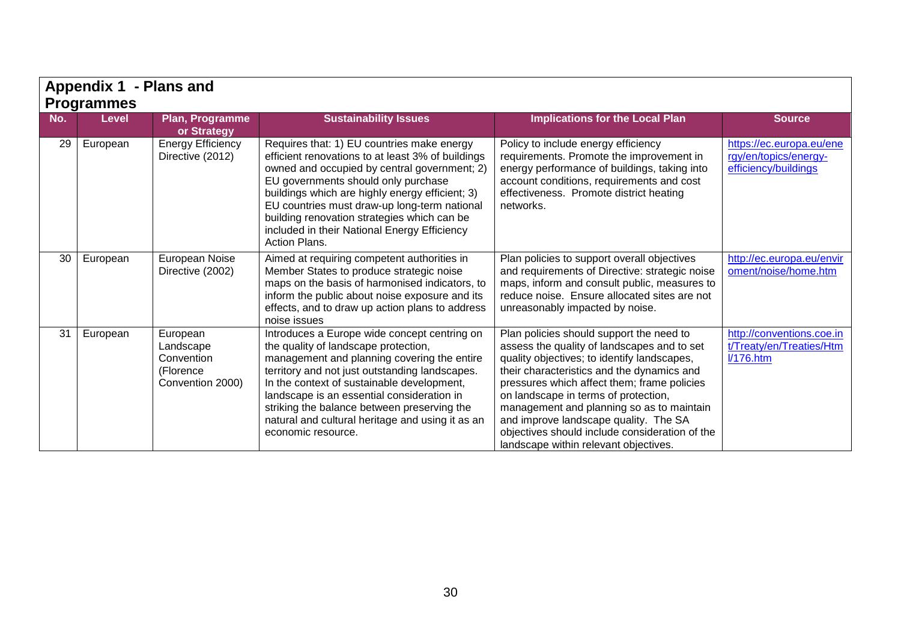|     | Appendix 1 - Plans and                                                                                                                          |                                                                      |                                                                                                                                                                                                                                                                                                                                                                                                            |                                                                                                                                                                                                                                                                                                                                                                                                                                                              |                                                                           |  |  |
|-----|-------------------------------------------------------------------------------------------------------------------------------------------------|----------------------------------------------------------------------|------------------------------------------------------------------------------------------------------------------------------------------------------------------------------------------------------------------------------------------------------------------------------------------------------------------------------------------------------------------------------------------------------------|--------------------------------------------------------------------------------------------------------------------------------------------------------------------------------------------------------------------------------------------------------------------------------------------------------------------------------------------------------------------------------------------------------------------------------------------------------------|---------------------------------------------------------------------------|--|--|
| No. | <b>Programmes</b><br><b>Sustainability Issues</b><br><b>Implications for the Local Plan</b><br>Plan, Programme<br><b>Level</b><br><b>Source</b> |                                                                      |                                                                                                                                                                                                                                                                                                                                                                                                            |                                                                                                                                                                                                                                                                                                                                                                                                                                                              |                                                                           |  |  |
|     |                                                                                                                                                 | or Strategy                                                          |                                                                                                                                                                                                                                                                                                                                                                                                            |                                                                                                                                                                                                                                                                                                                                                                                                                                                              |                                                                           |  |  |
| 29  | European                                                                                                                                        | <b>Energy Efficiency</b><br>Directive (2012)                         | Requires that: 1) EU countries make energy<br>efficient renovations to at least 3% of buildings<br>owned and occupied by central government; 2)<br>EU governments should only purchase<br>buildings which are highly energy efficient; 3)<br>EU countries must draw-up long-term national<br>building renovation strategies which can be<br>included in their National Energy Efficiency<br>Action Plans.  | Policy to include energy efficiency<br>requirements. Promote the improvement in<br>energy performance of buildings, taking into<br>account conditions, requirements and cost<br>effectiveness. Promote district heating<br>networks.                                                                                                                                                                                                                         | https://ec.europa.eu/ene<br>rgy/en/topics/energy-<br>efficiency/buildings |  |  |
| 30  | European                                                                                                                                        | European Noise<br>Directive (2002)                                   | Aimed at requiring competent authorities in<br>Member States to produce strategic noise<br>maps on the basis of harmonised indicators, to<br>inform the public about noise exposure and its<br>effects, and to draw up action plans to address<br>noise issues                                                                                                                                             | Plan policies to support overall objectives<br>and requirements of Directive: strategic noise<br>maps, inform and consult public, measures to<br>reduce noise. Ensure allocated sites are not<br>unreasonably impacted by noise.                                                                                                                                                                                                                             | http://ec.europa.eu/envir<br>oment/noise/home.htm                         |  |  |
| 31  | European                                                                                                                                        | European<br>Landscape<br>Convention<br>(Florence<br>Convention 2000) | Introduces a Europe wide concept centring on<br>the quality of landscape protection,<br>management and planning covering the entire<br>territory and not just outstanding landscapes.<br>In the context of sustainable development,<br>landscape is an essential consideration in<br>striking the balance between preserving the<br>natural and cultural heritage and using it as an<br>economic resource. | Plan policies should support the need to<br>assess the quality of landscapes and to set<br>quality objectives; to identify landscapes,<br>their characteristics and the dynamics and<br>pressures which affect them; frame policies<br>on landscape in terms of protection,<br>management and planning so as to maintain<br>and improve landscape quality. The SA<br>objectives should include consideration of the<br>landscape within relevant objectives. | http://conventions.coe.in<br>t/Treaty/en/Treaties/Htm<br>1/176.htm        |  |  |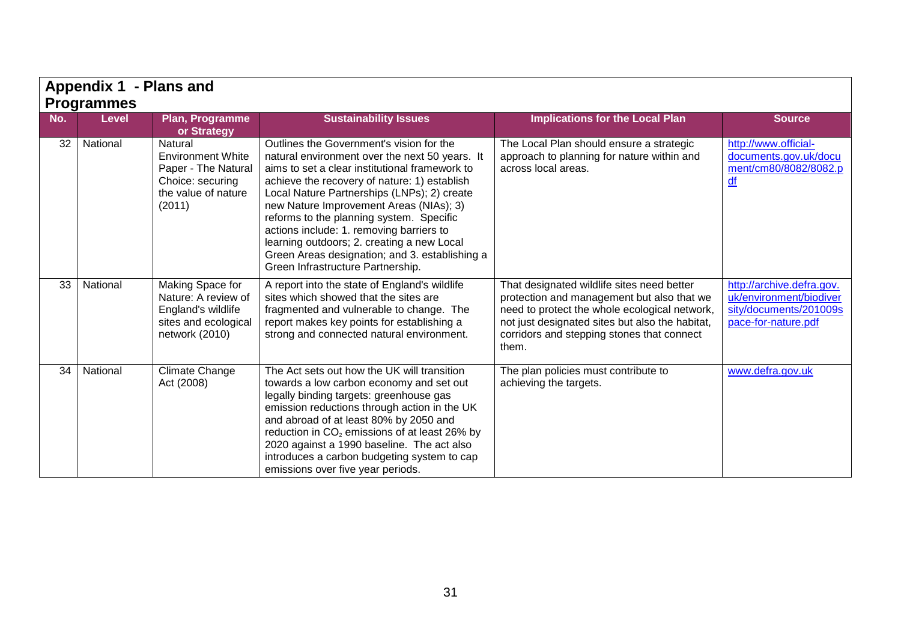|     | Appendix 1 - Plans and<br><b>Programmes</b> |                                                                                                                 |                                                                                                                                                                                                                                                                                                                                                                                                                                                                                                                     |                                                                                                                                                                                                                                                     |                                                                                                       |  |  |
|-----|---------------------------------------------|-----------------------------------------------------------------------------------------------------------------|---------------------------------------------------------------------------------------------------------------------------------------------------------------------------------------------------------------------------------------------------------------------------------------------------------------------------------------------------------------------------------------------------------------------------------------------------------------------------------------------------------------------|-----------------------------------------------------------------------------------------------------------------------------------------------------------------------------------------------------------------------------------------------------|-------------------------------------------------------------------------------------------------------|--|--|
| No. | Level                                       | <b>Plan, Programme</b><br>or Strategy                                                                           | <b>Sustainability Issues</b>                                                                                                                                                                                                                                                                                                                                                                                                                                                                                        | <b>Implications for the Local Plan</b>                                                                                                                                                                                                              | <b>Source</b>                                                                                         |  |  |
| 32  | National                                    | Natural<br><b>Environment White</b><br>Paper - The Natural<br>Choice: securing<br>the value of nature<br>(2011) | Outlines the Government's vision for the<br>natural environment over the next 50 years. It<br>aims to set a clear institutional framework to<br>achieve the recovery of nature: 1) establish<br>Local Nature Partnerships (LNPs); 2) create<br>new Nature Improvement Areas (NIAs); 3)<br>reforms to the planning system. Specific<br>actions include: 1. removing barriers to<br>learning outdoors; 2. creating a new Local<br>Green Areas designation; and 3. establishing a<br>Green Infrastructure Partnership. | The Local Plan should ensure a strategic<br>approach to planning for nature within and<br>across local areas.                                                                                                                                       | http://www.official-<br>documents.gov.uk/docu<br>ment/cm80/8082/8082.p<br>$\underline{df}$            |  |  |
| 33  | National                                    | Making Space for<br>Nature: A review of<br>England's wildlife<br>sites and ecological<br>network (2010)         | A report into the state of England's wildlife<br>sites which showed that the sites are<br>fragmented and vulnerable to change. The<br>report makes key points for establishing a<br>strong and connected natural environment.                                                                                                                                                                                                                                                                                       | That designated wildlife sites need better<br>protection and management but also that we<br>need to protect the whole ecological network,<br>not just designated sites but also the habitat,<br>corridors and stepping stones that connect<br>them. | http://archive.defra.gov.<br>uk/environment/biodiver<br>sity/documents/201009s<br>pace-for-nature.pdf |  |  |
| 34  | National                                    | Climate Change<br>Act (2008)                                                                                    | The Act sets out how the UK will transition<br>towards a low carbon economy and set out<br>legally binding targets: greenhouse gas<br>emission reductions through action in the UK<br>and abroad of at least 80% by 2050 and<br>reduction in CO <sub>2</sub> emissions of at least 26% by<br>2020 against a 1990 baseline. The act also<br>introduces a carbon budgeting system to cap<br>emissions over five year periods.                                                                                         | The plan policies must contribute to<br>achieving the targets.                                                                                                                                                                                      | www.defra.gov.uk                                                                                      |  |  |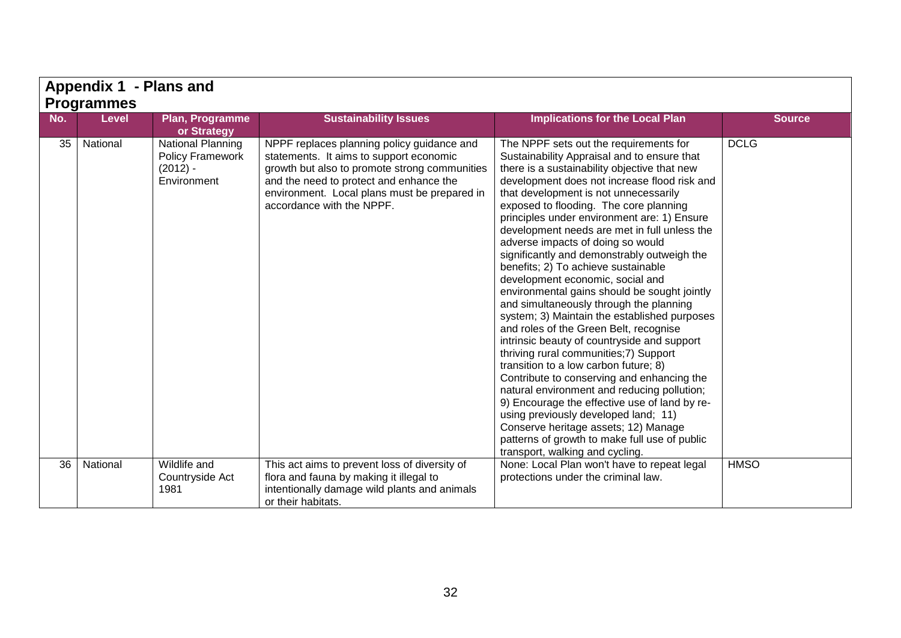|     | Appendix 1 - Plans and |                                                                                  |                                                                                                                                                                                                                                                                |                                                                                                                                                                                                                                                                                                                                                                                                                                                                                                                                                                                                                                                                                                                                                                                                                                                                                                                                                                                                                                                                                                                                                                                 |               |  |  |  |
|-----|------------------------|----------------------------------------------------------------------------------|----------------------------------------------------------------------------------------------------------------------------------------------------------------------------------------------------------------------------------------------------------------|---------------------------------------------------------------------------------------------------------------------------------------------------------------------------------------------------------------------------------------------------------------------------------------------------------------------------------------------------------------------------------------------------------------------------------------------------------------------------------------------------------------------------------------------------------------------------------------------------------------------------------------------------------------------------------------------------------------------------------------------------------------------------------------------------------------------------------------------------------------------------------------------------------------------------------------------------------------------------------------------------------------------------------------------------------------------------------------------------------------------------------------------------------------------------------|---------------|--|--|--|
|     | <b>Programmes</b>      |                                                                                  |                                                                                                                                                                                                                                                                |                                                                                                                                                                                                                                                                                                                                                                                                                                                                                                                                                                                                                                                                                                                                                                                                                                                                                                                                                                                                                                                                                                                                                                                 |               |  |  |  |
| No. | <b>Level</b>           | Plan, Programme<br>or Strategy                                                   | <b>Sustainability Issues</b>                                                                                                                                                                                                                                   | <b>Implications for the Local Plan</b>                                                                                                                                                                                                                                                                                                                                                                                                                                                                                                                                                                                                                                                                                                                                                                                                                                                                                                                                                                                                                                                                                                                                          | <b>Source</b> |  |  |  |
| 35  | National               | <b>National Planning</b><br><b>Policy Framework</b><br>$(2012) -$<br>Environment | NPPF replaces planning policy guidance and<br>statements. It aims to support economic<br>growth but also to promote strong communities<br>and the need to protect and enhance the<br>environment. Local plans must be prepared in<br>accordance with the NPPF. | The NPPF sets out the requirements for<br>Sustainability Appraisal and to ensure that<br>there is a sustainability objective that new<br>development does not increase flood risk and<br>that development is not unnecessarily<br>exposed to flooding. The core planning<br>principles under environment are: 1) Ensure<br>development needs are met in full unless the<br>adverse impacts of doing so would<br>significantly and demonstrably outweigh the<br>benefits; 2) To achieve sustainable<br>development economic, social and<br>environmental gains should be sought jointly<br>and simultaneously through the planning<br>system; 3) Maintain the established purposes<br>and roles of the Green Belt, recognise<br>intrinsic beauty of countryside and support<br>thriving rural communities; 7) Support<br>transition to a low carbon future; 8)<br>Contribute to conserving and enhancing the<br>natural environment and reducing pollution;<br>9) Encourage the effective use of land by re-<br>using previously developed land; 11)<br>Conserve heritage assets; 12) Manage<br>patterns of growth to make full use of public<br>transport, walking and cycling. | <b>DCLG</b>   |  |  |  |
| 36  | National               | Wildlife and<br>Countryside Act<br>1981                                          | This act aims to prevent loss of diversity of<br>flora and fauna by making it illegal to<br>intentionally damage wild plants and animals<br>or their habitats.                                                                                                 | None: Local Plan won't have to repeat legal<br>protections under the criminal law.                                                                                                                                                                                                                                                                                                                                                                                                                                                                                                                                                                                                                                                                                                                                                                                                                                                                                                                                                                                                                                                                                              | <b>HMSO</b>   |  |  |  |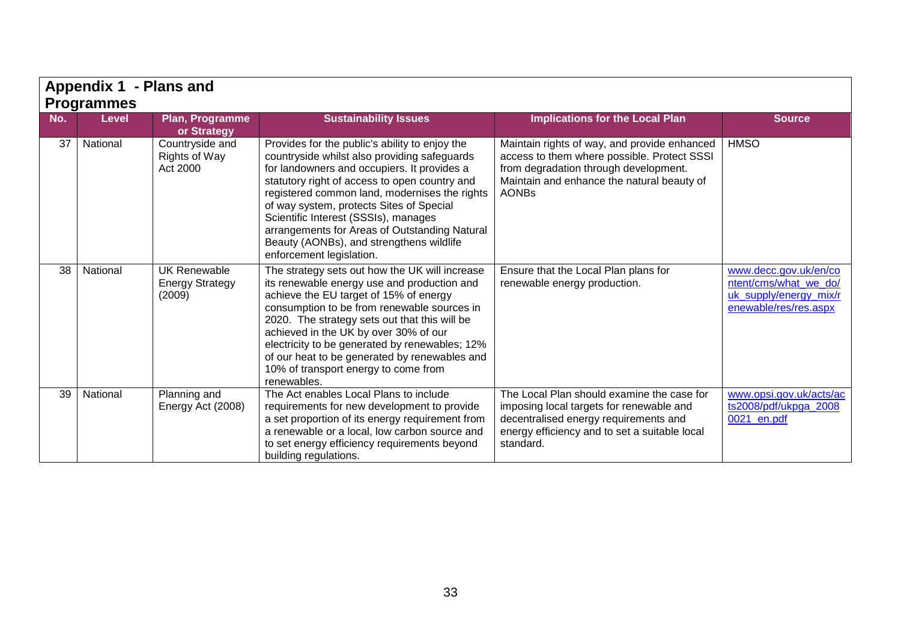|     | Appendix 1 - Plans and            |                                                         |                                                                                                                                                                                                                                                                                                                                                                                                                                                              |                                                                                                                                                                                                    |                                                                                                   |  |  |
|-----|-----------------------------------|---------------------------------------------------------|--------------------------------------------------------------------------------------------------------------------------------------------------------------------------------------------------------------------------------------------------------------------------------------------------------------------------------------------------------------------------------------------------------------------------------------------------------------|----------------------------------------------------------------------------------------------------------------------------------------------------------------------------------------------------|---------------------------------------------------------------------------------------------------|--|--|
| No. | <b>Programmes</b><br><b>Level</b> | Plan, Programme<br>or Strategy                          | <b>Sustainability Issues</b>                                                                                                                                                                                                                                                                                                                                                                                                                                 | <b>Implications for the Local Plan</b>                                                                                                                                                             | <b>Source</b>                                                                                     |  |  |
| 37  | National                          | Countryside and<br>Rights of Way<br>Act 2000            | Provides for the public's ability to enjoy the<br>countryside whilst also providing safeguards<br>for landowners and occupiers. It provides a<br>statutory right of access to open country and<br>registered common land, modernises the rights<br>of way system, protects Sites of Special<br>Scientific Interest (SSSIs), manages<br>arrangements for Areas of Outstanding Natural<br>Beauty (AONBs), and strengthens wildlife<br>enforcement legislation. | Maintain rights of way, and provide enhanced<br>access to them where possible. Protect SSSI<br>from degradation through development.<br>Maintain and enhance the natural beauty of<br><b>AONBs</b> | <b>HMSO</b>                                                                                       |  |  |
| 38  | National                          | <b>UK Renewable</b><br><b>Energy Strategy</b><br>(2009) | The strategy sets out how the UK will increase<br>its renewable energy use and production and<br>achieve the EU target of 15% of energy<br>consumption to be from renewable sources in<br>2020. The strategy sets out that this will be<br>achieved in the UK by over 30% of our<br>electricity to be generated by renewables; 12%<br>of our heat to be generated by renewables and<br>10% of transport energy to come from<br>renewables.                   | Ensure that the Local Plan plans for<br>renewable energy production.                                                                                                                               | www.decc.gov.uk/en/co<br>ntent/cms/what_we_do/<br>uk_supply/energy_mix/r<br>enewable/res/res.aspx |  |  |
| 39  | National                          | Planning and<br>Energy Act (2008)                       | The Act enables Local Plans to include<br>requirements for new development to provide<br>a set proportion of its energy requirement from<br>a renewable or a local, low carbon source and<br>to set energy efficiency requirements beyond<br>building regulations.                                                                                                                                                                                           | The Local Plan should examine the case for<br>imposing local targets for renewable and<br>decentralised energy requirements and<br>energy efficiency and to set a suitable local<br>standard.      | www.opsi.gov.uk/acts/ac<br>ts2008/pdf/ukpga_2008<br>0021 en.pdf                                   |  |  |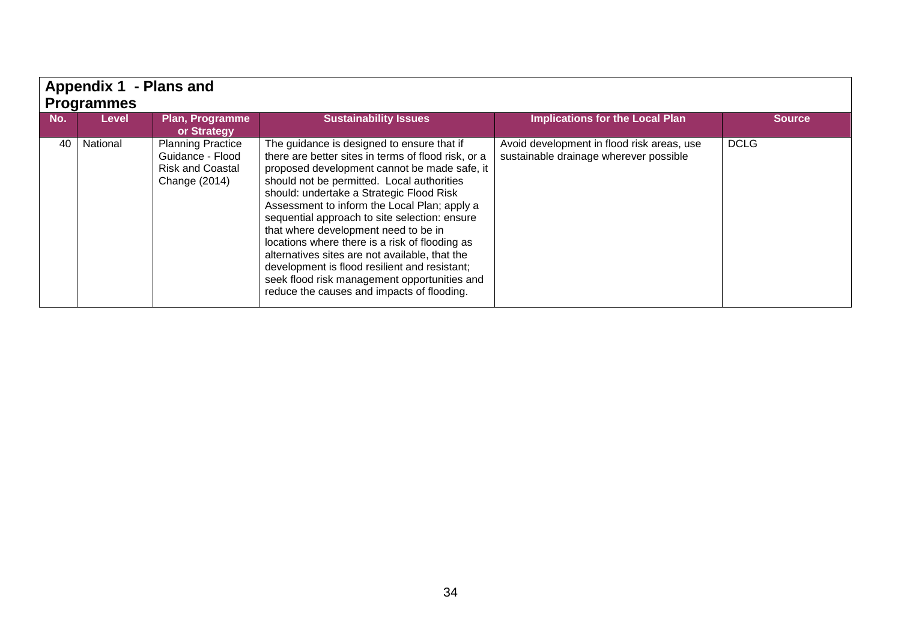|     | Appendix 1 - Plans and<br><b>Programmes</b> |                                                                                          |                                                                                                                                                                                                                                                                                                                                                                                                                                                                                                                                                                                                                                         |                                                                                      |               |  |  |  |  |
|-----|---------------------------------------------|------------------------------------------------------------------------------------------|-----------------------------------------------------------------------------------------------------------------------------------------------------------------------------------------------------------------------------------------------------------------------------------------------------------------------------------------------------------------------------------------------------------------------------------------------------------------------------------------------------------------------------------------------------------------------------------------------------------------------------------------|--------------------------------------------------------------------------------------|---------------|--|--|--|--|
| No. | <b>Level</b>                                | Plan, Programme<br>or Strategy                                                           | <b>Sustainability Issues</b>                                                                                                                                                                                                                                                                                                                                                                                                                                                                                                                                                                                                            | <b>Implications for the Local Plan</b>                                               | <b>Source</b> |  |  |  |  |
| 40  | National                                    | <b>Planning Practice</b><br>Guidance - Flood<br><b>Risk and Coastal</b><br>Change (2014) | The guidance is designed to ensure that if<br>there are better sites in terms of flood risk, or a<br>proposed development cannot be made safe, it<br>should not be permitted. Local authorities<br>should: undertake a Strategic Flood Risk<br>Assessment to inform the Local Plan; apply a<br>sequential approach to site selection: ensure<br>that where development need to be in<br>locations where there is a risk of flooding as<br>alternatives sites are not available, that the<br>development is flood resilient and resistant;<br>seek flood risk management opportunities and<br>reduce the causes and impacts of flooding. | Avoid development in flood risk areas, use<br>sustainable drainage wherever possible | <b>DCLG</b>   |  |  |  |  |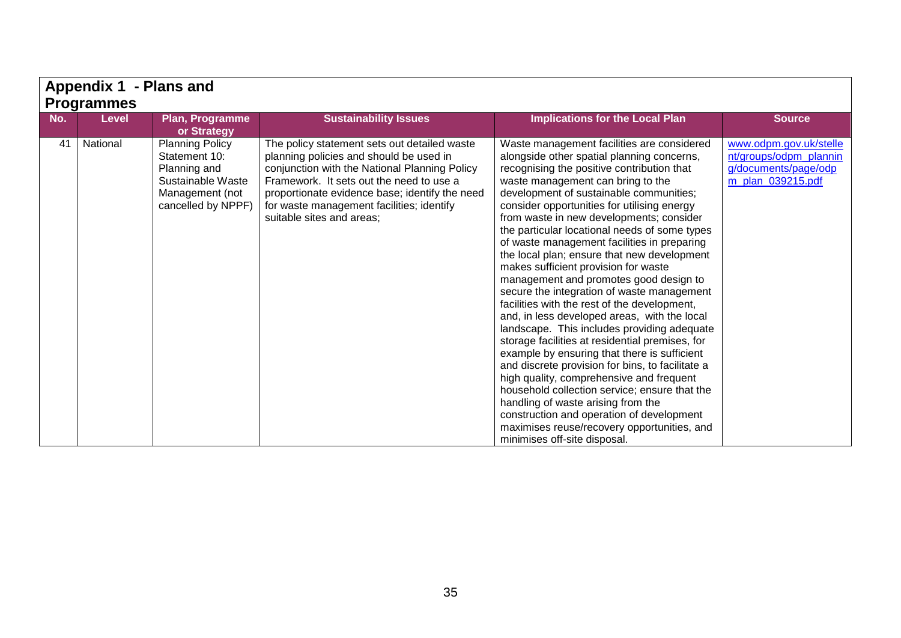|     |                   | <b>Appendix 1 - Plans and</b>                                                                                         |                                                                                                                                                                                                                                                                                                                  |                                                                                                                                                                                                                                                                                                                                                                                                                                                                                                                                                                                                                                                                                                                                                                                                                                                                                                                                                                                                                                                                                                                                                                       |                                                                                               |  |  |  |
|-----|-------------------|-----------------------------------------------------------------------------------------------------------------------|------------------------------------------------------------------------------------------------------------------------------------------------------------------------------------------------------------------------------------------------------------------------------------------------------------------|-----------------------------------------------------------------------------------------------------------------------------------------------------------------------------------------------------------------------------------------------------------------------------------------------------------------------------------------------------------------------------------------------------------------------------------------------------------------------------------------------------------------------------------------------------------------------------------------------------------------------------------------------------------------------------------------------------------------------------------------------------------------------------------------------------------------------------------------------------------------------------------------------------------------------------------------------------------------------------------------------------------------------------------------------------------------------------------------------------------------------------------------------------------------------|-----------------------------------------------------------------------------------------------|--|--|--|
|     | <b>Programmes</b> |                                                                                                                       |                                                                                                                                                                                                                                                                                                                  |                                                                                                                                                                                                                                                                                                                                                                                                                                                                                                                                                                                                                                                                                                                                                                                                                                                                                                                                                                                                                                                                                                                                                                       |                                                                                               |  |  |  |
| No. | <b>Level</b>      | Plan, Programme<br>or Strategy                                                                                        | <b>Sustainability Issues</b>                                                                                                                                                                                                                                                                                     | <b>Implications for the Local Plan</b>                                                                                                                                                                                                                                                                                                                                                                                                                                                                                                                                                                                                                                                                                                                                                                                                                                                                                                                                                                                                                                                                                                                                | <b>Source</b>                                                                                 |  |  |  |
| 41  | National          | <b>Planning Policy</b><br>Statement 10:<br>Planning and<br>Sustainable Waste<br>Management (not<br>cancelled by NPPF) | The policy statement sets out detailed waste<br>planning policies and should be used in<br>conjunction with the National Planning Policy<br>Framework. It sets out the need to use a<br>proportionate evidence base; identify the need<br>for waste management facilities; identify<br>suitable sites and areas; | Waste management facilities are considered<br>alongside other spatial planning concerns,<br>recognising the positive contribution that<br>waste management can bring to the<br>development of sustainable communities;<br>consider opportunities for utilising energy<br>from waste in new developments; consider<br>the particular locational needs of some types<br>of waste management facilities in preparing<br>the local plan; ensure that new development<br>makes sufficient provision for waste<br>management and promotes good design to<br>secure the integration of waste management<br>facilities with the rest of the development,<br>and, in less developed areas, with the local<br>landscape. This includes providing adequate<br>storage facilities at residential premises, for<br>example by ensuring that there is sufficient<br>and discrete provision for bins, to facilitate a<br>high quality, comprehensive and frequent<br>household collection service; ensure that the<br>handling of waste arising from the<br>construction and operation of development<br>maximises reuse/recovery opportunities, and<br>minimises off-site disposal. | www.odpm.gov.uk/stelle<br>nt/groups/odpm_plannin<br>g/documents/page/odp<br>m_plan_039215.pdf |  |  |  |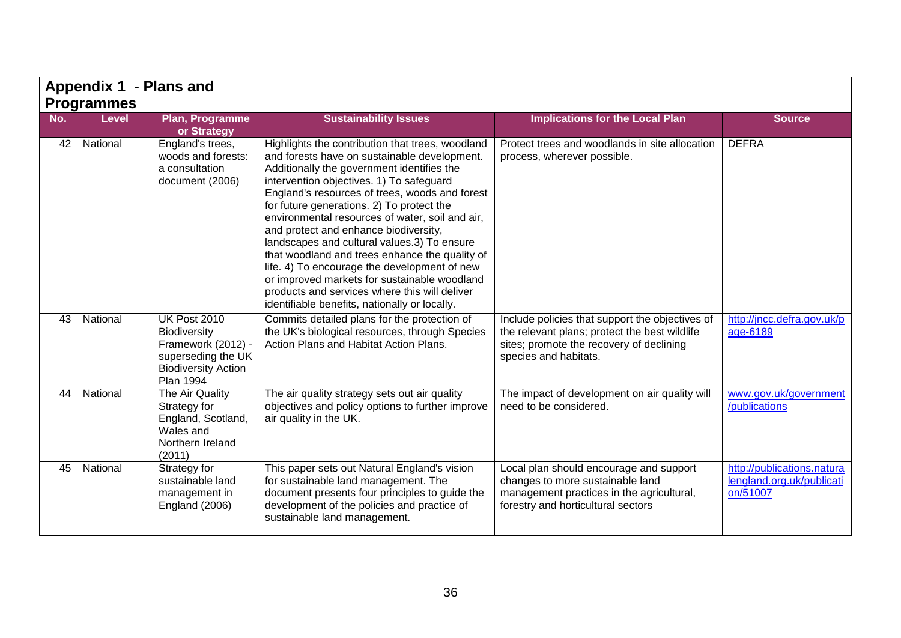|     | Appendix 1 - Plans and |                                                                                                                                   |                                                                                                                                                                                                                                                                                                                                                                                                                                                                                                                                                                                                                                                                                          |                                                                                                                                                                       |                                                                     |  |  |  |
|-----|------------------------|-----------------------------------------------------------------------------------------------------------------------------------|------------------------------------------------------------------------------------------------------------------------------------------------------------------------------------------------------------------------------------------------------------------------------------------------------------------------------------------------------------------------------------------------------------------------------------------------------------------------------------------------------------------------------------------------------------------------------------------------------------------------------------------------------------------------------------------|-----------------------------------------------------------------------------------------------------------------------------------------------------------------------|---------------------------------------------------------------------|--|--|--|
|     | <b>Programmes</b>      |                                                                                                                                   |                                                                                                                                                                                                                                                                                                                                                                                                                                                                                                                                                                                                                                                                                          |                                                                                                                                                                       |                                                                     |  |  |  |
| No. | <b>Level</b>           | Plan, Programme<br>or Strategy                                                                                                    | <b>Sustainability Issues</b>                                                                                                                                                                                                                                                                                                                                                                                                                                                                                                                                                                                                                                                             | <b>Implications for the Local Plan</b>                                                                                                                                | <b>Source</b>                                                       |  |  |  |
| 42  | National               | England's trees,<br>woods and forests:<br>a consultation<br>document (2006)                                                       | Highlights the contribution that trees, woodland<br>and forests have on sustainable development.<br>Additionally the government identifies the<br>intervention objectives. 1) To safeguard<br>England's resources of trees, woods and forest<br>for future generations. 2) To protect the<br>environmental resources of water, soil and air,<br>and protect and enhance biodiversity,<br>landscapes and cultural values.3) To ensure<br>that woodland and trees enhance the quality of<br>life. 4) To encourage the development of new<br>or improved markets for sustainable woodland<br>products and services where this will deliver<br>identifiable benefits, nationally or locally. | Protect trees and woodlands in site allocation<br>process, wherever possible.                                                                                         | <b>DEFRA</b>                                                        |  |  |  |
| 43  | National               | <b>UK Post 2010</b><br>Biodiversity<br>Framework (2012) -<br>superseding the UK<br><b>Biodiversity Action</b><br><b>Plan 1994</b> | Commits detailed plans for the protection of<br>the UK's biological resources, through Species<br>Action Plans and Habitat Action Plans.                                                                                                                                                                                                                                                                                                                                                                                                                                                                                                                                                 | Include policies that support the objectives of<br>the relevant plans; protect the best wildlife<br>sites; promote the recovery of declining<br>species and habitats. | http://jncc.defra.gov.uk/p<br>age-6189                              |  |  |  |
| 44  | National               | The Air Quality<br>Strategy for<br>England, Scotland,<br>Wales and<br>Northern Ireland<br>(2011)                                  | The air quality strategy sets out air quality<br>objectives and policy options to further improve<br>air quality in the UK.                                                                                                                                                                                                                                                                                                                                                                                                                                                                                                                                                              | The impact of development on air quality will<br>need to be considered.                                                                                               | www.gov.uk/government<br>/publications                              |  |  |  |
| 45  | National               | Strategy for<br>sustainable land<br>management in<br><b>England (2006)</b>                                                        | This paper sets out Natural England's vision<br>for sustainable land management. The<br>document presents four principles to guide the<br>development of the policies and practice of<br>sustainable land management.                                                                                                                                                                                                                                                                                                                                                                                                                                                                    | Local plan should encourage and support<br>changes to more sustainable land<br>management practices in the agricultural,<br>forestry and horticultural sectors        | http://publications.natura<br>lengland.org.uk/publicati<br>on/51007 |  |  |  |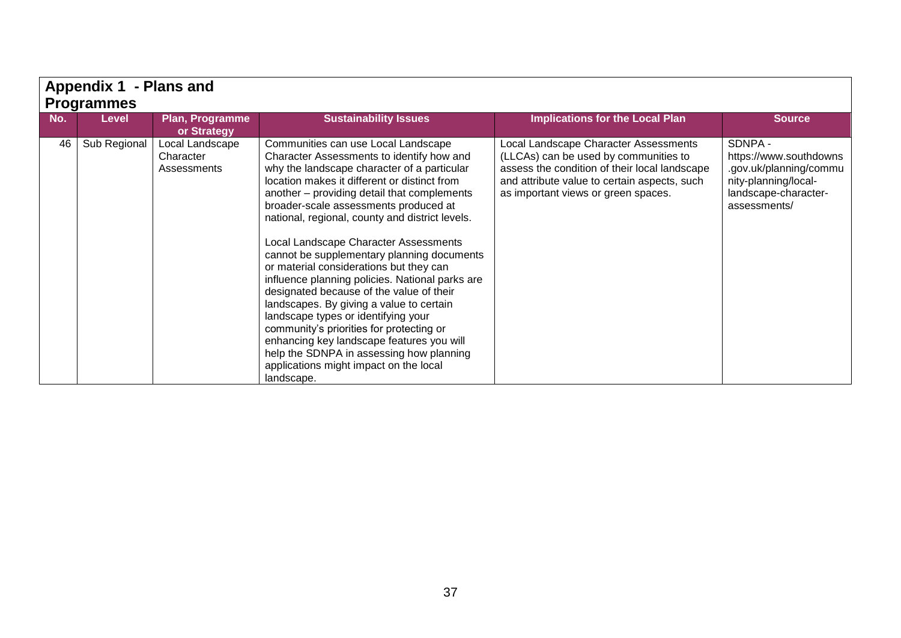|                   | Appendix 1 - Plans and |                                             |                                                                                                                                                                                                                                                                                                                                                                                                                                                                                                                                                                                                                                                                                                                                                                                     |                                                                                                                                                                                                                        |                                                                                                                             |  |  |
|-------------------|------------------------|---------------------------------------------|-------------------------------------------------------------------------------------------------------------------------------------------------------------------------------------------------------------------------------------------------------------------------------------------------------------------------------------------------------------------------------------------------------------------------------------------------------------------------------------------------------------------------------------------------------------------------------------------------------------------------------------------------------------------------------------------------------------------------------------------------------------------------------------|------------------------------------------------------------------------------------------------------------------------------------------------------------------------------------------------------------------------|-----------------------------------------------------------------------------------------------------------------------------|--|--|
| <b>Programmes</b> |                        |                                             |                                                                                                                                                                                                                                                                                                                                                                                                                                                                                                                                                                                                                                                                                                                                                                                     |                                                                                                                                                                                                                        |                                                                                                                             |  |  |
| No.               | <b>Level</b>           | Plan, Programme                             | <b>Sustainability Issues</b>                                                                                                                                                                                                                                                                                                                                                                                                                                                                                                                                                                                                                                                                                                                                                        | <b>Implications for the Local Plan</b>                                                                                                                                                                                 | <b>Source</b>                                                                                                               |  |  |
|                   |                        | or Strategy                                 |                                                                                                                                                                                                                                                                                                                                                                                                                                                                                                                                                                                                                                                                                                                                                                                     |                                                                                                                                                                                                                        |                                                                                                                             |  |  |
| 46                | Sub Regional           | Local Landscape<br>Character<br>Assessments | Communities can use Local Landscape<br>Character Assessments to identify how and<br>why the landscape character of a particular<br>location makes it different or distinct from<br>another - providing detail that complements<br>broader-scale assessments produced at<br>national, regional, county and district levels.<br>Local Landscape Character Assessments<br>cannot be supplementary planning documents<br>or material considerations but they can<br>influence planning policies. National parks are<br>designated because of the value of their<br>landscapes. By giving a value to certain<br>landscape types or identifying your<br>community's priorities for protecting or<br>enhancing key landscape features you will<br>help the SDNPA in assessing how planning | Local Landscape Character Assessments<br>(LLCAs) can be used by communities to<br>assess the condition of their local landscape<br>and attribute value to certain aspects, such<br>as important views or green spaces. | SDNPA -<br>https://www.southdowns<br>.gov.uk/planning/commu<br>nity-planning/local-<br>landscape-character-<br>assessments/ |  |  |
|                   |                        |                                             | applications might impact on the local<br>landscape.                                                                                                                                                                                                                                                                                                                                                                                                                                                                                                                                                                                                                                                                                                                                |                                                                                                                                                                                                                        |                                                                                                                             |  |  |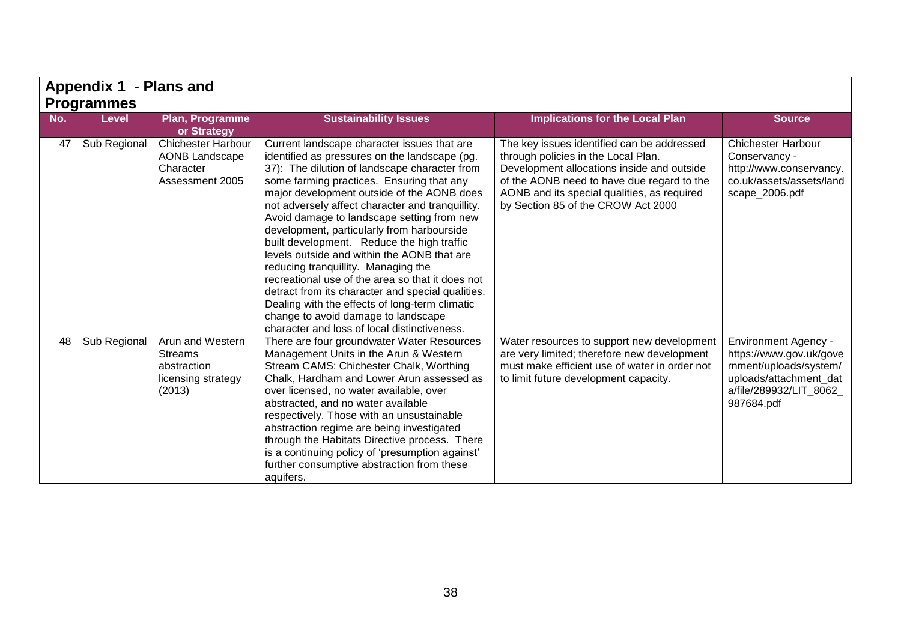|     | Appendix 1 - Plans and |                                                                                    |                                                                                                                                                                                                                                                                                                                                                                                                                                                                                                                                                                                                                                                                                                                                                                                |                                                                                                                                                                                                                                                                    |                                                                                                                                                     |  |  |  |
|-----|------------------------|------------------------------------------------------------------------------------|--------------------------------------------------------------------------------------------------------------------------------------------------------------------------------------------------------------------------------------------------------------------------------------------------------------------------------------------------------------------------------------------------------------------------------------------------------------------------------------------------------------------------------------------------------------------------------------------------------------------------------------------------------------------------------------------------------------------------------------------------------------------------------|--------------------------------------------------------------------------------------------------------------------------------------------------------------------------------------------------------------------------------------------------------------------|-----------------------------------------------------------------------------------------------------------------------------------------------------|--|--|--|
|     | Programmes             |                                                                                    |                                                                                                                                                                                                                                                                                                                                                                                                                                                                                                                                                                                                                                                                                                                                                                                |                                                                                                                                                                                                                                                                    |                                                                                                                                                     |  |  |  |
| No. | <b>Level</b>           | Plan, Programme<br>or Strategy                                                     | <b>Sustainability Issues</b>                                                                                                                                                                                                                                                                                                                                                                                                                                                                                                                                                                                                                                                                                                                                                   | <b>Implications for the Local Plan</b>                                                                                                                                                                                                                             | <b>Source</b>                                                                                                                                       |  |  |  |
| 47  | Sub Regional           | <b>Chichester Harbour</b><br><b>AONB Landscape</b><br>Character<br>Assessment 2005 | Current landscape character issues that are<br>identified as pressures on the landscape (pg.<br>37): The dilution of landscape character from<br>some farming practices. Ensuring that any<br>major development outside of the AONB does<br>not adversely affect character and tranquillity.<br>Avoid damage to landscape setting from new<br>development, particularly from harbourside<br>built development. Reduce the high traffic<br>levels outside and within the AONB that are<br>reducing tranquillity. Managing the<br>recreational use of the area so that it does not<br>detract from its character and special qualities.<br>Dealing with the effects of long-term climatic<br>change to avoid damage to landscape<br>character and loss of local distinctiveness. | The key issues identified can be addressed<br>through policies in the Local Plan.<br>Development allocations inside and outside<br>of the AONB need to have due regard to the<br>AONB and its special qualities, as required<br>by Section 85 of the CROW Act 2000 | <b>Chichester Harbour</b><br>Conservancy -<br>http://www.conservancy.<br>co.uk/assets/assets/land<br>scape_2006.pdf                                 |  |  |  |
|     | 48<br>Sub Regional     | Arun and Western<br>Streams<br>abstraction<br>licensing strategy<br>(2013)         | There are four groundwater Water Resources<br>Management Units in the Arun & Western<br>Stream CAMS: Chichester Chalk, Worthing<br>Chalk, Hardham and Lower Arun assessed as<br>over licensed, no water available, over<br>abstracted, and no water available<br>respectively. Those with an unsustainable<br>abstraction regime are being investigated<br>through the Habitats Directive process. There<br>is a continuing policy of 'presumption against'<br>further consumptive abstraction from these<br>aquifers.                                                                                                                                                                                                                                                         | Water resources to support new development<br>are very limited; therefore new development<br>must make efficient use of water in order not<br>to limit future development capacity.                                                                                | <b>Environment Agency -</b><br>https://www.gov.uk/gove<br>rnment/uploads/system/<br>uploads/attachment_dat<br>a/file/289932/LIT_8062_<br>987684.pdf |  |  |  |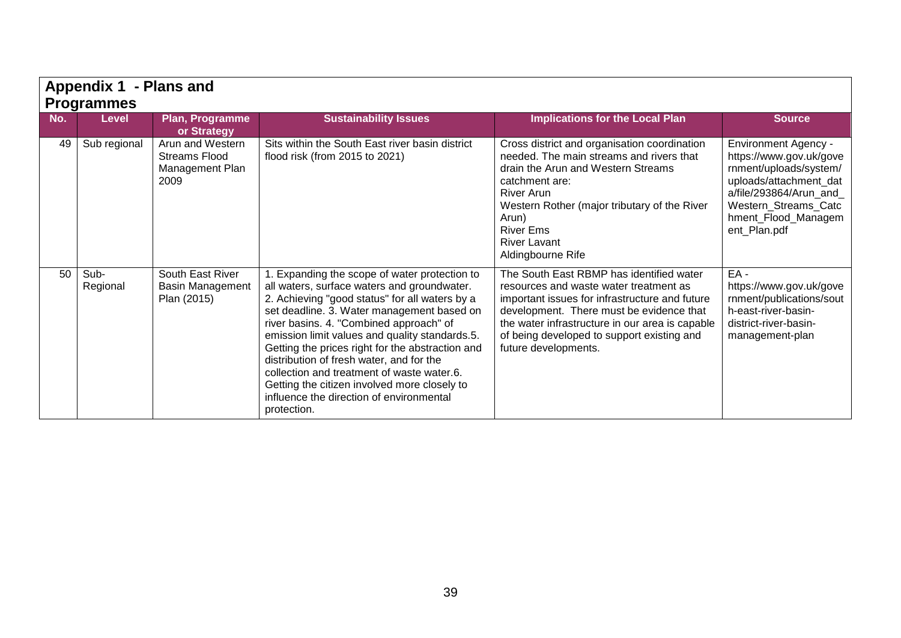|     | Appendix 1 - Plans and<br><b>Programmes</b> |                                                                     |                                                                                                                                                                                                                                                                                                                                                                                                                                                                                                                                                   |                                                                                                                                                                                                                                                                                                           |                                                                                                                                                                                                     |  |  |  |
|-----|---------------------------------------------|---------------------------------------------------------------------|---------------------------------------------------------------------------------------------------------------------------------------------------------------------------------------------------------------------------------------------------------------------------------------------------------------------------------------------------------------------------------------------------------------------------------------------------------------------------------------------------------------------------------------------------|-----------------------------------------------------------------------------------------------------------------------------------------------------------------------------------------------------------------------------------------------------------------------------------------------------------|-----------------------------------------------------------------------------------------------------------------------------------------------------------------------------------------------------|--|--|--|
| No. | <b>Level</b>                                | Plan, Programme<br>or Strategy                                      | <b>Sustainability Issues</b>                                                                                                                                                                                                                                                                                                                                                                                                                                                                                                                      | <b>Implications for the Local Plan</b>                                                                                                                                                                                                                                                                    | <b>Source</b>                                                                                                                                                                                       |  |  |  |
| 49  | Sub regional                                | Arun and Western<br><b>Streams Flood</b><br>Management Plan<br>2009 | Sits within the South East river basin district<br>flood risk (from 2015 to 2021)                                                                                                                                                                                                                                                                                                                                                                                                                                                                 | Cross district and organisation coordination<br>needed. The main streams and rivers that<br>drain the Arun and Western Streams<br>catchment are:<br><b>River Arun</b><br>Western Rother (major tributary of the River<br>Arun)<br><b>River Ems</b><br><b>River Lavant</b><br>Aldingbourne Rife            | <b>Environment Agency -</b><br>https://www.gov.uk/gove<br>rnment/uploads/system/<br>uploads/attachment_dat<br>a/file/293864/Arun and<br>Western_Streams_Catc<br>hment_Flood_Managem<br>ent_Plan.pdf |  |  |  |
| 50  | Sub-<br>Regional                            | South East River<br><b>Basin Management</b><br>Plan (2015)          | . Expanding the scope of water protection to<br>all waters, surface waters and groundwater.<br>2. Achieving "good status" for all waters by a<br>set deadline. 3. Water management based on<br>river basins. 4. "Combined approach" of<br>emission limit values and quality standards.5.<br>Getting the prices right for the abstraction and<br>distribution of fresh water, and for the<br>collection and treatment of waste water.6.<br>Getting the citizen involved more closely to<br>influence the direction of environmental<br>protection. | The South East RBMP has identified water<br>resources and waste water treatment as<br>important issues for infrastructure and future<br>development. There must be evidence that<br>the water infrastructure in our area is capable<br>of being developed to support existing and<br>future developments. | $EA -$<br>https://www.gov.uk/gove<br>rnment/publications/sout<br>h-east-river-basin-<br>district-river-basin-<br>management-plan                                                                    |  |  |  |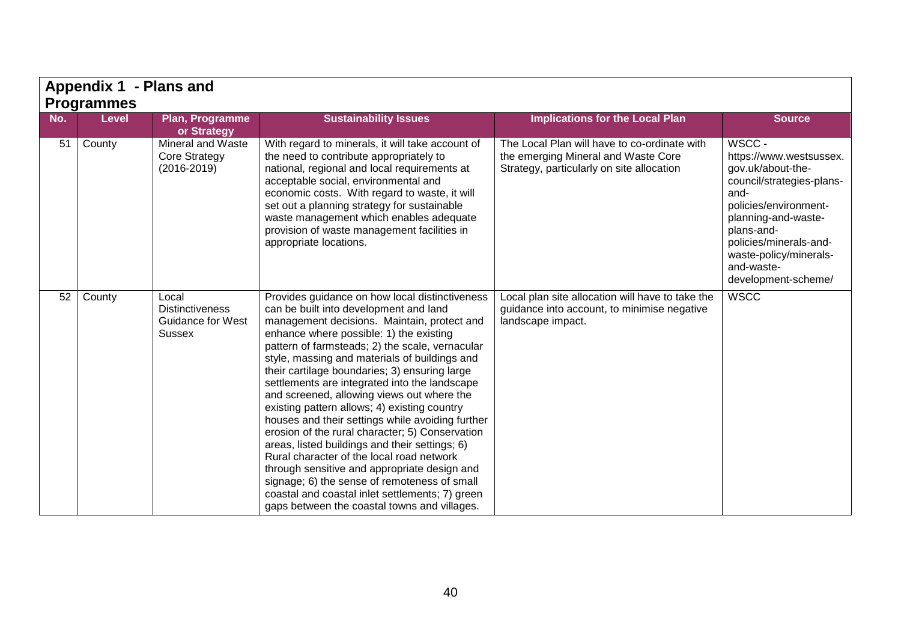|     | Appendix 1 - Plans and<br><b>Programmes</b> |                                                                              |                                                                                                                                                                                                                                                                                                                                                                                                                                                                                                                                                                                                                                                                                                                                                                                                                                                                                                 |                                                                                                                                  |                                                                                                                                                                                                                                                    |  |  |  |
|-----|---------------------------------------------|------------------------------------------------------------------------------|-------------------------------------------------------------------------------------------------------------------------------------------------------------------------------------------------------------------------------------------------------------------------------------------------------------------------------------------------------------------------------------------------------------------------------------------------------------------------------------------------------------------------------------------------------------------------------------------------------------------------------------------------------------------------------------------------------------------------------------------------------------------------------------------------------------------------------------------------------------------------------------------------|----------------------------------------------------------------------------------------------------------------------------------|----------------------------------------------------------------------------------------------------------------------------------------------------------------------------------------------------------------------------------------------------|--|--|--|
|     |                                             |                                                                              |                                                                                                                                                                                                                                                                                                                                                                                                                                                                                                                                                                                                                                                                                                                                                                                                                                                                                                 |                                                                                                                                  |                                                                                                                                                                                                                                                    |  |  |  |
| No. | <b>Level</b>                                | Plan, Programme<br>or Strategy                                               | <b>Sustainability Issues</b>                                                                                                                                                                                                                                                                                                                                                                                                                                                                                                                                                                                                                                                                                                                                                                                                                                                                    | <b>Implications for the Local Plan</b>                                                                                           | <b>Source</b>                                                                                                                                                                                                                                      |  |  |  |
| 51  | County                                      | Mineral and Waste<br><b>Core Strategy</b><br>$(2016 - 2019)$                 | With regard to minerals, it will take account of<br>the need to contribute appropriately to<br>national, regional and local requirements at<br>acceptable social, environmental and<br>economic costs. With regard to waste, it will<br>set out a planning strategy for sustainable<br>waste management which enables adequate<br>provision of waste management facilities in<br>appropriate locations.                                                                                                                                                                                                                                                                                                                                                                                                                                                                                         | The Local Plan will have to co-ordinate with<br>the emerging Mineral and Waste Core<br>Strategy, particularly on site allocation | WSCC -<br>https://www.westsussex.<br>gov.uk/about-the-<br>council/strategies-plans-<br>and-<br>policies/environment-<br>planning-and-waste-<br>plans-and-<br>policies/minerals-and-<br>waste-policy/minerals-<br>and-waste-<br>development-scheme/ |  |  |  |
| 52  | County                                      | Local<br><b>Distinctiveness</b><br><b>Guidance for West</b><br><b>Sussex</b> | Provides guidance on how local distinctiveness<br>can be built into development and land<br>management decisions. Maintain, protect and<br>enhance where possible: 1) the existing<br>pattern of farmsteads; 2) the scale, vernacular<br>style, massing and materials of buildings and<br>their cartilage boundaries; 3) ensuring large<br>settlements are integrated into the landscape<br>and screened, allowing views out where the<br>existing pattern allows; 4) existing country<br>houses and their settings while avoiding further<br>erosion of the rural character; 5) Conservation<br>areas, listed buildings and their settings; 6)<br>Rural character of the local road network<br>through sensitive and appropriate design and<br>signage; 6) the sense of remoteness of small<br>coastal and coastal inlet settlements; 7) green<br>gaps between the coastal towns and villages. | Local plan site allocation will have to take the<br>guidance into account, to minimise negative<br>landscape impact.             | <b>WSCC</b>                                                                                                                                                                                                                                        |  |  |  |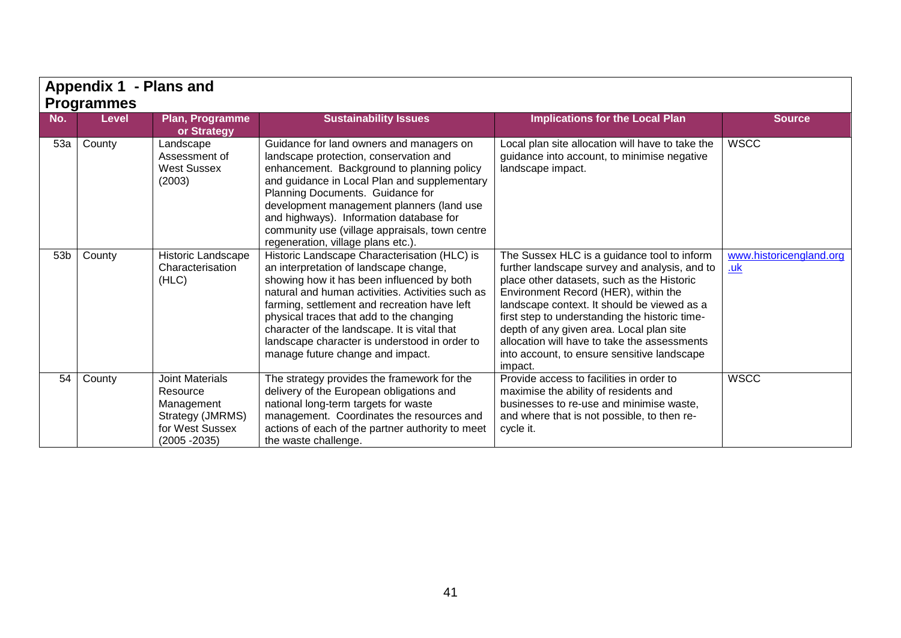|     |                   |                                                                                                            |                                                                                                                                                                                                                                                                                                                                                                                                                           | Appendix 1 - Plans and                                                                                                                                                                                                                                                                                                                                                                                                                    |                                       |  |  |  |  |  |
|-----|-------------------|------------------------------------------------------------------------------------------------------------|---------------------------------------------------------------------------------------------------------------------------------------------------------------------------------------------------------------------------------------------------------------------------------------------------------------------------------------------------------------------------------------------------------------------------|-------------------------------------------------------------------------------------------------------------------------------------------------------------------------------------------------------------------------------------------------------------------------------------------------------------------------------------------------------------------------------------------------------------------------------------------|---------------------------------------|--|--|--|--|--|
|     | <b>Programmes</b> |                                                                                                            |                                                                                                                                                                                                                                                                                                                                                                                                                           |                                                                                                                                                                                                                                                                                                                                                                                                                                           |                                       |  |  |  |  |  |
| No. | <b>Level</b>      | Plan, Programme<br>or Strategy                                                                             | <b>Sustainability Issues</b>                                                                                                                                                                                                                                                                                                                                                                                              | <b>Implications for the Local Plan</b>                                                                                                                                                                                                                                                                                                                                                                                                    | <b>Source</b>                         |  |  |  |  |  |
| 53a | County            | Landscape<br>Assessment of<br><b>West Sussex</b><br>(2003)                                                 | Guidance for land owners and managers on<br>landscape protection, conservation and<br>enhancement. Background to planning policy<br>and guidance in Local Plan and supplementary<br>Planning Documents. Guidance for<br>development management planners (land use<br>and highways). Information database for<br>community use (village appraisals, town centre<br>regeneration, village plans etc.).                      | Local plan site allocation will have to take the<br>guidance into account, to minimise negative<br>landscape impact.                                                                                                                                                                                                                                                                                                                      | <b>WSCC</b>                           |  |  |  |  |  |
| 53b | County            | Historic Landscape<br>Characterisation<br>(HLC)                                                            | Historic Landscape Characterisation (HLC) is<br>an interpretation of landscape change,<br>showing how it has been influenced by both<br>natural and human activities. Activities such as<br>farming, settlement and recreation have left<br>physical traces that add to the changing<br>character of the landscape. It is vital that<br>landscape character is understood in order to<br>manage future change and impact. | The Sussex HLC is a guidance tool to inform<br>further landscape survey and analysis, and to<br>place other datasets, such as the Historic<br>Environment Record (HER), within the<br>landscape context. It should be viewed as a<br>first step to understanding the historic time-<br>depth of any given area. Local plan site<br>allocation will have to take the assessments<br>into account, to ensure sensitive landscape<br>impact. | www.historicengland.org<br><u>.uk</u> |  |  |  |  |  |
| 54  | County            | <b>Joint Materials</b><br>Resource<br>Management<br>Strategy (JMRMS)<br>for West Sussex<br>$(2005 - 2035)$ | The strategy provides the framework for the<br>delivery of the European obligations and<br>national long-term targets for waste<br>management. Coordinates the resources and<br>actions of each of the partner authority to meet<br>the waste challenge.                                                                                                                                                                  | Provide access to facilities in order to<br>maximise the ability of residents and<br>businesses to re-use and minimise waste.<br>and where that is not possible, to then re-<br>cycle it.                                                                                                                                                                                                                                                 | <b>WSCC</b>                           |  |  |  |  |  |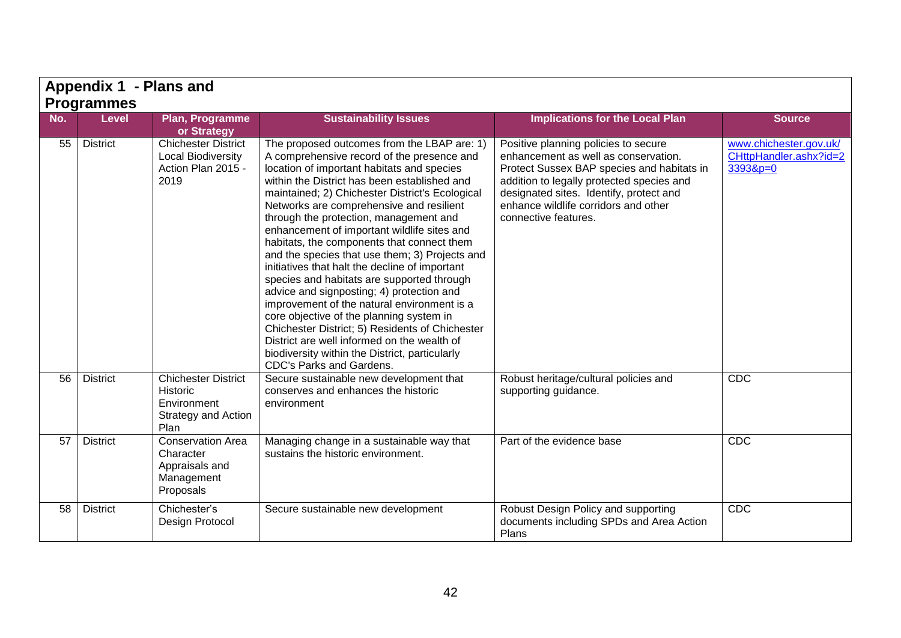|     | Appendix 1 - Plans and |                                                                                             |                                                                                                                                                                                                                                                                                                                                                                                                                                                                                                                                                                                                                                                                                                                                                                                                                                                                                                                |                                                                                                                                                                                                                                                                                    |                                                                |
|-----|------------------------|---------------------------------------------------------------------------------------------|----------------------------------------------------------------------------------------------------------------------------------------------------------------------------------------------------------------------------------------------------------------------------------------------------------------------------------------------------------------------------------------------------------------------------------------------------------------------------------------------------------------------------------------------------------------------------------------------------------------------------------------------------------------------------------------------------------------------------------------------------------------------------------------------------------------------------------------------------------------------------------------------------------------|------------------------------------------------------------------------------------------------------------------------------------------------------------------------------------------------------------------------------------------------------------------------------------|----------------------------------------------------------------|
|     | <b>Programmes</b>      |                                                                                             |                                                                                                                                                                                                                                                                                                                                                                                                                                                                                                                                                                                                                                                                                                                                                                                                                                                                                                                |                                                                                                                                                                                                                                                                                    |                                                                |
| No. | <b>Level</b>           | Plan, Programme<br>or Strategy                                                              | <b>Sustainability Issues</b>                                                                                                                                                                                                                                                                                                                                                                                                                                                                                                                                                                                                                                                                                                                                                                                                                                                                                   | <b>Implications for the Local Plan</b>                                                                                                                                                                                                                                             | <b>Source</b>                                                  |
| 55  | <b>District</b>        | <b>Chichester District</b><br><b>Local Biodiversity</b><br>Action Plan 2015 -<br>2019       | The proposed outcomes from the LBAP are: 1)<br>A comprehensive record of the presence and<br>location of important habitats and species<br>within the District has been established and<br>maintained; 2) Chichester District's Ecological<br>Networks are comprehensive and resilient<br>through the protection, management and<br>enhancement of important wildlife sites and<br>habitats, the components that connect them<br>and the species that use them; 3) Projects and<br>initiatives that halt the decline of important<br>species and habitats are supported through<br>advice and signposting; 4) protection and<br>improvement of the natural environment is a<br>core objective of the planning system in<br>Chichester District; 5) Residents of Chichester<br>District are well informed on the wealth of<br>biodiversity within the District, particularly<br><b>CDC's Parks and Gardens.</b> | Positive planning policies to secure<br>enhancement as well as conservation.<br>Protect Sussex BAP species and habitats in<br>addition to legally protected species and<br>designated sites. Identify, protect and<br>enhance wildlife corridors and other<br>connective features. | www.chichester.gov.uk/<br>CHttpHandler.ashx?id=2<br>$33938p=0$ |
| 56  | <b>District</b>        | <b>Chichester District</b><br>Historic<br>Environment<br><b>Strategy and Action</b><br>Plan | Secure sustainable new development that<br>conserves and enhances the historic<br>environment                                                                                                                                                                                                                                                                                                                                                                                                                                                                                                                                                                                                                                                                                                                                                                                                                  | Robust heritage/cultural policies and<br>supporting guidance.                                                                                                                                                                                                                      | CDC                                                            |
| 57  | <b>District</b>        | <b>Conservation Area</b><br>Character<br>Appraisals and<br>Management<br>Proposals          | Managing change in a sustainable way that<br>sustains the historic environment.                                                                                                                                                                                                                                                                                                                                                                                                                                                                                                                                                                                                                                                                                                                                                                                                                                | Part of the evidence base                                                                                                                                                                                                                                                          | <b>CDC</b>                                                     |
| 58  | <b>District</b>        | Chichester's<br>Design Protocol                                                             | Secure sustainable new development                                                                                                                                                                                                                                                                                                                                                                                                                                                                                                                                                                                                                                                                                                                                                                                                                                                                             | Robust Design Policy and supporting<br>documents including SPDs and Area Action<br>Plans                                                                                                                                                                                           | CDC                                                            |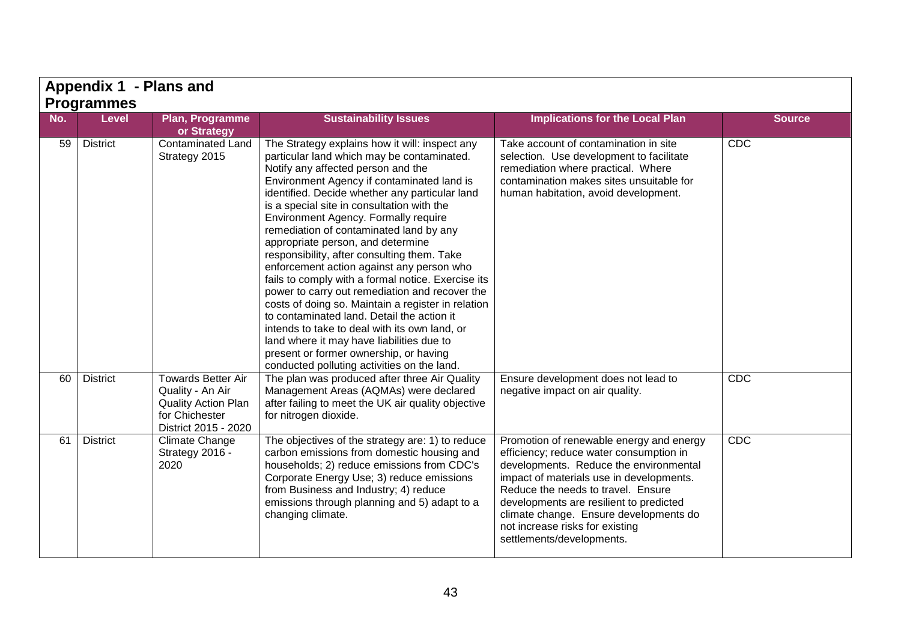|     | Appendix 1 - Plans and |                                                                                                                       |                                                                                                                                                                                                                                                                                                                                                                                                                                                                                                                                                                                                                                                                                                                                                                                                                                                                                                         |                                                                                                                                                                                                                                                                                                                                                                      |               |  |  |
|-----|------------------------|-----------------------------------------------------------------------------------------------------------------------|---------------------------------------------------------------------------------------------------------------------------------------------------------------------------------------------------------------------------------------------------------------------------------------------------------------------------------------------------------------------------------------------------------------------------------------------------------------------------------------------------------------------------------------------------------------------------------------------------------------------------------------------------------------------------------------------------------------------------------------------------------------------------------------------------------------------------------------------------------------------------------------------------------|----------------------------------------------------------------------------------------------------------------------------------------------------------------------------------------------------------------------------------------------------------------------------------------------------------------------------------------------------------------------|---------------|--|--|
|     | <b>Programmes</b>      |                                                                                                                       |                                                                                                                                                                                                                                                                                                                                                                                                                                                                                                                                                                                                                                                                                                                                                                                                                                                                                                         |                                                                                                                                                                                                                                                                                                                                                                      |               |  |  |
| No. | <b>Level</b>           | Plan, Programme<br>or Strategy                                                                                        | <b>Sustainability Issues</b>                                                                                                                                                                                                                                                                                                                                                                                                                                                                                                                                                                                                                                                                                                                                                                                                                                                                            | <b>Implications for the Local Plan</b>                                                                                                                                                                                                                                                                                                                               | <b>Source</b> |  |  |
| 59  | <b>District</b>        | Contaminated Land<br>Strategy 2015                                                                                    | The Strategy explains how it will: inspect any<br>particular land which may be contaminated.<br>Notify any affected person and the<br>Environment Agency if contaminated land is<br>identified. Decide whether any particular land<br>is a special site in consultation with the<br>Environment Agency. Formally require<br>remediation of contaminated land by any<br>appropriate person, and determine<br>responsibility, after consulting them. Take<br>enforcement action against any person who<br>fails to comply with a formal notice. Exercise its<br>power to carry out remediation and recover the<br>costs of doing so. Maintain a register in relation<br>to contaminated land. Detail the action it<br>intends to take to deal with its own land, or<br>land where it may have liabilities due to<br>present or former ownership, or having<br>conducted polluting activities on the land. | Take account of contamination in site<br>selection. Use development to facilitate<br>remediation where practical. Where<br>contamination makes sites unsuitable for<br>human habitation, avoid development.                                                                                                                                                          | <b>CDC</b>    |  |  |
| 60  | <b>District</b>        | <b>Towards Better Air</b><br>Quality - An Air<br><b>Quality Action Plan</b><br>for Chichester<br>District 2015 - 2020 | The plan was produced after three Air Quality<br>Management Areas (AQMAs) were declared<br>after failing to meet the UK air quality objective<br>for nitrogen dioxide.                                                                                                                                                                                                                                                                                                                                                                                                                                                                                                                                                                                                                                                                                                                                  | Ensure development does not lead to<br>negative impact on air quality.                                                                                                                                                                                                                                                                                               | CDC           |  |  |
| 61  | <b>District</b>        | <b>Climate Change</b><br>Strategy 2016 -<br>2020                                                                      | The objectives of the strategy are: 1) to reduce<br>carbon emissions from domestic housing and<br>households; 2) reduce emissions from CDC's<br>Corporate Energy Use; 3) reduce emissions<br>from Business and Industry; 4) reduce<br>emissions through planning and 5) adapt to a<br>changing climate.                                                                                                                                                                                                                                                                                                                                                                                                                                                                                                                                                                                                 | Promotion of renewable energy and energy<br>efficiency; reduce water consumption in<br>developments. Reduce the environmental<br>impact of materials use in developments.<br>Reduce the needs to travel. Ensure<br>developments are resilient to predicted<br>climate change. Ensure developments do<br>not increase risks for existing<br>settlements/developments. | <b>CDC</b>    |  |  |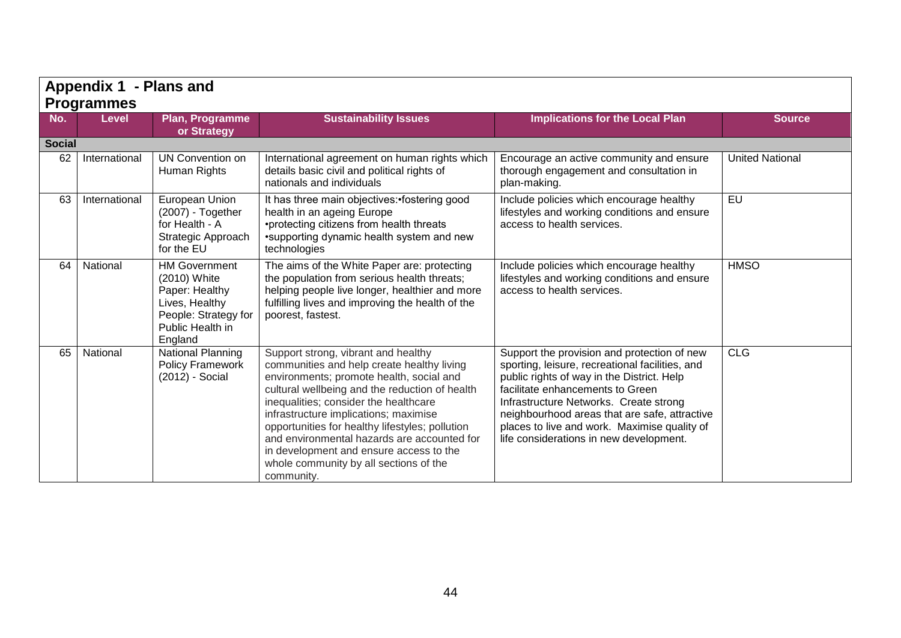|               | Appendix 1 - Plans and<br><b>Programmes</b> |                                                                                                                                 |                                                                                                                                                                                                                                                                                                                                                                                                                                                                        |                                                                                                                                                                                                                                                                                                                                                                        |                        |  |
|---------------|---------------------------------------------|---------------------------------------------------------------------------------------------------------------------------------|------------------------------------------------------------------------------------------------------------------------------------------------------------------------------------------------------------------------------------------------------------------------------------------------------------------------------------------------------------------------------------------------------------------------------------------------------------------------|------------------------------------------------------------------------------------------------------------------------------------------------------------------------------------------------------------------------------------------------------------------------------------------------------------------------------------------------------------------------|------------------------|--|
| No.           | <b>Level</b>                                | <b>Plan, Programme</b><br>or Strategy                                                                                           | <b>Sustainability Issues</b>                                                                                                                                                                                                                                                                                                                                                                                                                                           | <b>Implications for the Local Plan</b>                                                                                                                                                                                                                                                                                                                                 | <b>Source</b>          |  |
| <b>Social</b> |                                             |                                                                                                                                 |                                                                                                                                                                                                                                                                                                                                                                                                                                                                        |                                                                                                                                                                                                                                                                                                                                                                        |                        |  |
| 62            | International                               | UN Convention on<br>Human Rights                                                                                                | International agreement on human rights which<br>details basic civil and political rights of<br>nationals and individuals                                                                                                                                                                                                                                                                                                                                              | Encourage an active community and ensure<br>thorough engagement and consultation in<br>plan-making.                                                                                                                                                                                                                                                                    | <b>United National</b> |  |
| 63            | International                               | European Union<br>(2007) - Together<br>for Health - A<br>Strategic Approach<br>for the EU                                       | It has three main objectives: fostering good<br>health in an ageing Europe<br>•protecting citizens from health threats<br>•supporting dynamic health system and new<br>technologies                                                                                                                                                                                                                                                                                    | Include policies which encourage healthy<br>lifestyles and working conditions and ensure<br>access to health services.                                                                                                                                                                                                                                                 | $E$ U                  |  |
| 64            | National                                    | <b>HM Government</b><br>(2010) White<br>Paper: Healthy<br>Lives, Healthy<br>People: Strategy for<br>Public Health in<br>England | The aims of the White Paper are: protecting<br>the population from serious health threats;<br>helping people live longer, healthier and more<br>fulfilling lives and improving the health of the<br>poorest, fastest.                                                                                                                                                                                                                                                  | Include policies which encourage healthy<br>lifestyles and working conditions and ensure<br>access to health services.                                                                                                                                                                                                                                                 | <b>HMSO</b>            |  |
| 65            | National                                    | <b>National Planning</b><br><b>Policy Framework</b><br>(2012) - Social                                                          | Support strong, vibrant and healthy<br>communities and help create healthy living<br>environments; promote health, social and<br>cultural wellbeing and the reduction of health<br>inequalities; consider the healthcare<br>infrastructure implications; maximise<br>opportunities for healthy lifestyles; pollution<br>and environmental hazards are accounted for<br>in development and ensure access to the<br>whole community by all sections of the<br>community. | Support the provision and protection of new<br>sporting, leisure, recreational facilities, and<br>public rights of way in the District. Help<br>facilitate enhancements to Green<br>Infrastructure Networks. Create strong<br>neighbourhood areas that are safe, attractive<br>places to live and work. Maximise quality of<br>life considerations in new development. | <b>CLG</b>             |  |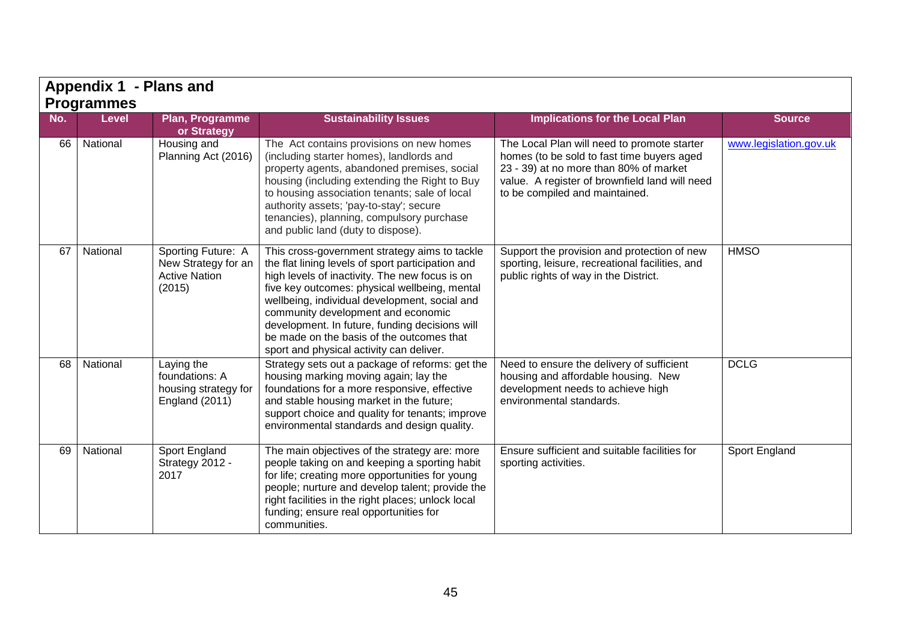|     | Appendix 1 - Plans and     |                                                                               |                                                                                                                                                                                                                                                                                                                                                                                                                                         |                                                                                                                                                                                                                         |                        |  |  |
|-----|----------------------------|-------------------------------------------------------------------------------|-----------------------------------------------------------------------------------------------------------------------------------------------------------------------------------------------------------------------------------------------------------------------------------------------------------------------------------------------------------------------------------------------------------------------------------------|-------------------------------------------------------------------------------------------------------------------------------------------------------------------------------------------------------------------------|------------------------|--|--|
| No. | <b>Programmes</b><br>Level | <b>Plan, Programme</b><br>or Strategy                                         | <b>Sustainability Issues</b>                                                                                                                                                                                                                                                                                                                                                                                                            | <b>Implications for the Local Plan</b>                                                                                                                                                                                  | <b>Source</b>          |  |  |
| 66  | National                   | Housing and<br>Planning Act (2016)                                            | The Act contains provisions on new homes<br>(including starter homes), landlords and<br>property agents, abandoned premises, social<br>housing (including extending the Right to Buy<br>to housing association tenants; sale of local<br>authority assets; 'pay-to-stay'; secure<br>tenancies), planning, compulsory purchase<br>and public land (duty to dispose).                                                                     | The Local Plan will need to promote starter<br>homes (to be sold to fast time buyers aged<br>23 - 39) at no more than 80% of market<br>value. A register of brownfield land will need<br>to be compiled and maintained. | www.legislation.gov.uk |  |  |
| 67  | National                   | Sporting Future: A<br>New Strategy for an<br><b>Active Nation</b><br>(2015)   | This cross-government strategy aims to tackle<br>the flat lining levels of sport participation and<br>high levels of inactivity. The new focus is on<br>five key outcomes: physical wellbeing, mental<br>wellbeing, individual development, social and<br>community development and economic<br>development. In future, funding decisions will<br>be made on the basis of the outcomes that<br>sport and physical activity can deliver. | Support the provision and protection of new<br>sporting, leisure, recreational facilities, and<br>public rights of way in the District.                                                                                 | <b>HMSO</b>            |  |  |
| 68  | National                   | Laying the<br>foundations: A<br>housing strategy for<br><b>England (2011)</b> | Strategy sets out a package of reforms: get the<br>housing marking moving again; lay the<br>foundations for a more responsive, effective<br>and stable housing market in the future;<br>support choice and quality for tenants; improve<br>environmental standards and design quality.                                                                                                                                                  | Need to ensure the delivery of sufficient<br>housing and affordable housing. New<br>development needs to achieve high<br>environmental standards.                                                                       | <b>DCLG</b>            |  |  |
| 69  | National                   | Sport England<br>Strategy 2012 -<br>2017                                      | The main objectives of the strategy are: more<br>people taking on and keeping a sporting habit<br>for life; creating more opportunities for young<br>people; nurture and develop talent; provide the<br>right facilities in the right places; unlock local<br>funding; ensure real opportunities for<br>communities.                                                                                                                    | Ensure sufficient and suitable facilities for<br>sporting activities.                                                                                                                                                   | Sport England          |  |  |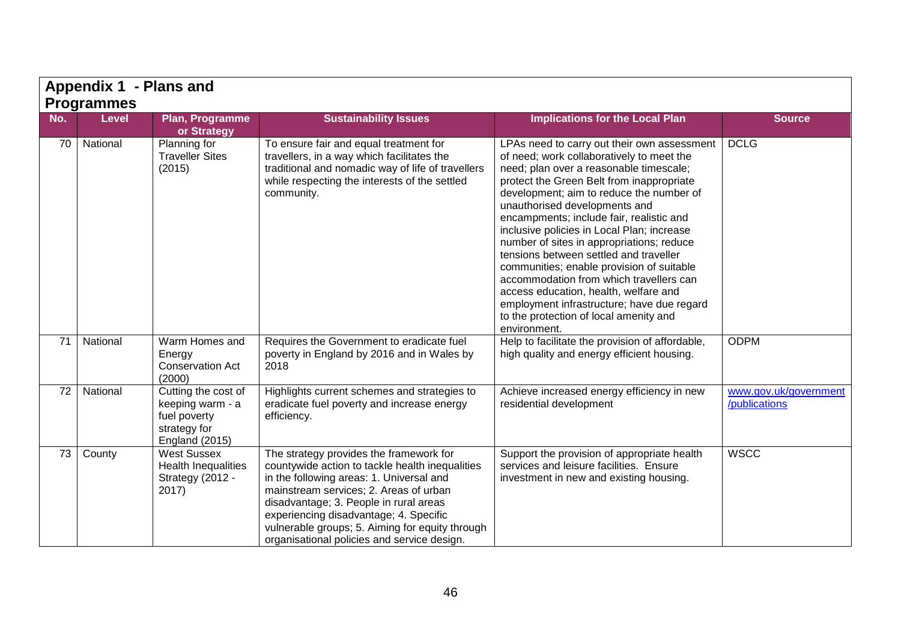|     | Appendix 1 - Plans and |                                                                                                  |                                                                                                                                                                                                                                                                                                                                                                        |                                                                                                                                                                                                                                                                                                                                                                                                                                                                                                                                                                                                                                                                                         |                                        |  |  |
|-----|------------------------|--------------------------------------------------------------------------------------------------|------------------------------------------------------------------------------------------------------------------------------------------------------------------------------------------------------------------------------------------------------------------------------------------------------------------------------------------------------------------------|-----------------------------------------------------------------------------------------------------------------------------------------------------------------------------------------------------------------------------------------------------------------------------------------------------------------------------------------------------------------------------------------------------------------------------------------------------------------------------------------------------------------------------------------------------------------------------------------------------------------------------------------------------------------------------------------|----------------------------------------|--|--|
|     | <b>Programmes</b>      |                                                                                                  |                                                                                                                                                                                                                                                                                                                                                                        |                                                                                                                                                                                                                                                                                                                                                                                                                                                                                                                                                                                                                                                                                         |                                        |  |  |
| No. | <b>Level</b>           | Plan, Programme<br>or Strategy                                                                   | <b>Sustainability Issues</b>                                                                                                                                                                                                                                                                                                                                           | <b>Implications for the Local Plan</b>                                                                                                                                                                                                                                                                                                                                                                                                                                                                                                                                                                                                                                                  | <b>Source</b>                          |  |  |
| 70  | National               | Planning for<br><b>Traveller Sites</b><br>(2015)                                                 | To ensure fair and equal treatment for<br>travellers, in a way which facilitates the<br>traditional and nomadic way of life of travellers<br>while respecting the interests of the settled<br>community.                                                                                                                                                               | LPAs need to carry out their own assessment<br>of need; work collaboratively to meet the<br>need; plan over a reasonable timescale;<br>protect the Green Belt from inappropriate<br>development; aim to reduce the number of<br>unauthorised developments and<br>encampments; include fair, realistic and<br>inclusive policies in Local Plan; increase<br>number of sites in appropriations; reduce<br>tensions between settled and traveller<br>communities; enable provision of suitable<br>accommodation from which travellers can<br>access education, health, welfare and<br>employment infrastructure; have due regard<br>to the protection of local amenity and<br>environment. | <b>DCLG</b>                            |  |  |
| 71  | National               | Warm Homes and<br>Energy<br><b>Conservation Act</b><br>(2000)                                    | Requires the Government to eradicate fuel<br>poverty in England by 2016 and in Wales by<br>2018                                                                                                                                                                                                                                                                        | Help to facilitate the provision of affordable,<br>high quality and energy efficient housing.                                                                                                                                                                                                                                                                                                                                                                                                                                                                                                                                                                                           | <b>ODPM</b>                            |  |  |
| 72  | National               | Cutting the cost of<br>keeping warm - a<br>fuel poverty<br>strategy for<br><b>England (2015)</b> | Highlights current schemes and strategies to<br>eradicate fuel poverty and increase energy<br>efficiency.                                                                                                                                                                                                                                                              | Achieve increased energy efficiency in new<br>residential development                                                                                                                                                                                                                                                                                                                                                                                                                                                                                                                                                                                                                   | www.gov.uk/government<br>/publications |  |  |
| 73  | County                 | <b>West Sussex</b><br><b>Health Inequalities</b><br>Strategy (2012 -<br>2017)                    | The strategy provides the framework for<br>countywide action to tackle health inequalities<br>in the following areas: 1. Universal and<br>mainstream services; 2. Areas of urban<br>disadvantage; 3. People in rural areas<br>experiencing disadvantage; 4. Specific<br>vulnerable groups; 5. Aiming for equity through<br>organisational policies and service design. | Support the provision of appropriate health<br>services and leisure facilities. Ensure<br>investment in new and existing housing.                                                                                                                                                                                                                                                                                                                                                                                                                                                                                                                                                       | <b>WSCC</b>                            |  |  |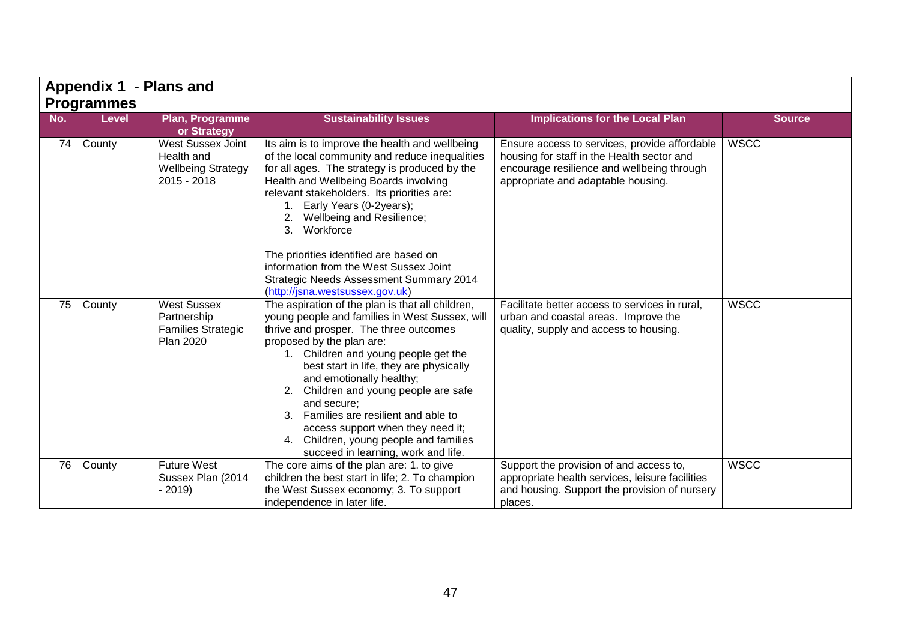|     | Appendix 1 - Plans and |                                                                                    |                                                                                                                                                                                                                                                                                                                                                                                                                                                                                                                    |                                                                                                                                                                                 |               |  |  |  |
|-----|------------------------|------------------------------------------------------------------------------------|--------------------------------------------------------------------------------------------------------------------------------------------------------------------------------------------------------------------------------------------------------------------------------------------------------------------------------------------------------------------------------------------------------------------------------------------------------------------------------------------------------------------|---------------------------------------------------------------------------------------------------------------------------------------------------------------------------------|---------------|--|--|--|
|     | <b>Programmes</b>      |                                                                                    |                                                                                                                                                                                                                                                                                                                                                                                                                                                                                                                    |                                                                                                                                                                                 |               |  |  |  |
| No. | <b>Level</b>           | Plan, Programme<br>or Strategy                                                     | <b>Sustainability Issues</b>                                                                                                                                                                                                                                                                                                                                                                                                                                                                                       | <b>Implications for the Local Plan</b>                                                                                                                                          | <b>Source</b> |  |  |  |
| 74  | County                 | West Sussex Joint<br>Health and<br><b>Wellbeing Strategy</b><br>$2015 - 2018$      | Its aim is to improve the health and wellbeing<br>of the local community and reduce inequalities<br>for all ages. The strategy is produced by the<br>Health and Wellbeing Boards involving<br>relevant stakeholders. Its priorities are:<br>Early Years (0-2years);<br>Wellbeing and Resilience;<br>3. Workforce<br>The priorities identified are based on<br>information from the West Sussex Joint<br><b>Strategic Needs Assessment Summary 2014</b><br>(http://jsna.westsussex.gov.uk)                          | Ensure access to services, provide affordable<br>housing for staff in the Health sector and<br>encourage resilience and wellbeing through<br>appropriate and adaptable housing. | <b>WSCC</b>   |  |  |  |
| 75  | County                 | <b>West Sussex</b><br>Partnership<br><b>Families Strategic</b><br><b>Plan 2020</b> | The aspiration of the plan is that all children,<br>young people and families in West Sussex, will<br>thrive and prosper. The three outcomes<br>proposed by the plan are:<br>1. Children and young people get the<br>best start in life, they are physically<br>and emotionally healthy;<br>Children and young people are safe<br>2.<br>and secure;<br>3. Families are resilient and able to<br>access support when they need it;<br>4. Children, young people and families<br>succeed in learning, work and life. | Facilitate better access to services in rural,<br>urban and coastal areas. Improve the<br>quality, supply and access to housing.                                                | <b>WSCC</b>   |  |  |  |
| 76  | County                 | <b>Future West</b><br>Sussex Plan (2014<br>$-2019$                                 | The core aims of the plan are: 1. to give<br>children the best start in life; 2. To champion<br>the West Sussex economy; 3. To support<br>independence in later life.                                                                                                                                                                                                                                                                                                                                              | Support the provision of and access to,<br>appropriate health services, leisure facilities<br>and housing. Support the provision of nursery<br>places.                          | <b>WSCC</b>   |  |  |  |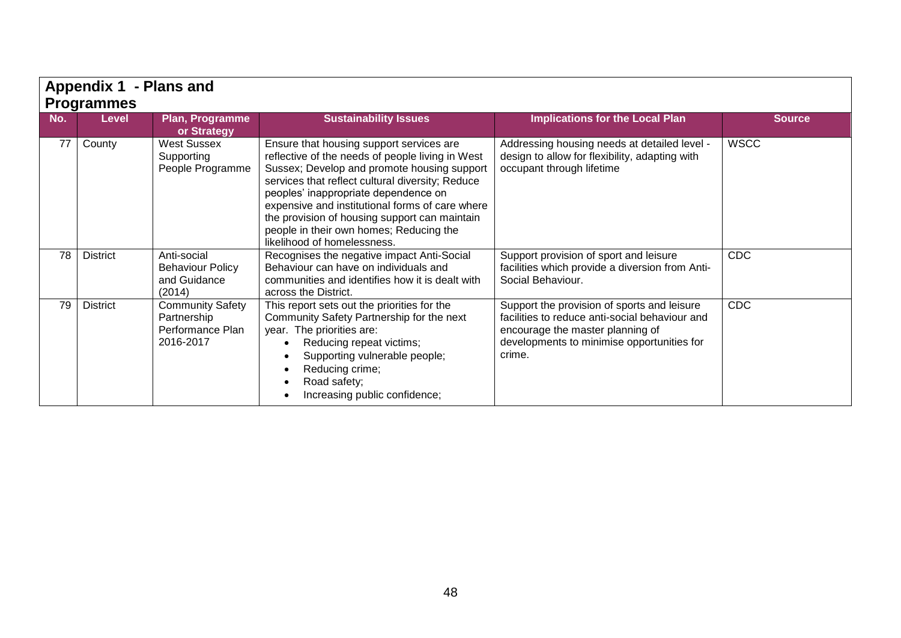| Appendix 1 - Plans and |                 |                                                                  |                                                                                                                                                                                                                                                                                                                                                                                                                       |                                                                                                                                                                                           |               |  |  |
|------------------------|-----------------|------------------------------------------------------------------|-----------------------------------------------------------------------------------------------------------------------------------------------------------------------------------------------------------------------------------------------------------------------------------------------------------------------------------------------------------------------------------------------------------------------|-------------------------------------------------------------------------------------------------------------------------------------------------------------------------------------------|---------------|--|--|
| <b>Programmes</b>      |                 |                                                                  |                                                                                                                                                                                                                                                                                                                                                                                                                       |                                                                                                                                                                                           |               |  |  |
| No.                    | <b>Level</b>    | Plan, Programme<br>or Strategy                                   | <b>Sustainability Issues</b>                                                                                                                                                                                                                                                                                                                                                                                          | <b>Implications for the Local Plan</b>                                                                                                                                                    | <b>Source</b> |  |  |
| 77                     | County          | <b>West Sussex</b><br>Supporting<br>People Programme             | Ensure that housing support services are<br>reflective of the needs of people living in West<br>Sussex; Develop and promote housing support<br>services that reflect cultural diversity; Reduce<br>peoples' inappropriate dependence on<br>expensive and institutional forms of care where<br>the provision of housing support can maintain<br>people in their own homes; Reducing the<br>likelihood of homelessness. | Addressing housing needs at detailed level -<br>design to allow for flexibility, adapting with<br>occupant through lifetime                                                               | <b>WSCC</b>   |  |  |
| 78                     | <b>District</b> | Anti-social<br><b>Behaviour Policy</b><br>and Guidance<br>(2014) | Recognises the negative impact Anti-Social<br>Behaviour can have on individuals and<br>communities and identifies how it is dealt with<br>across the District.                                                                                                                                                                                                                                                        | Support provision of sport and leisure<br>facilities which provide a diversion from Anti-<br>Social Behaviour.                                                                            | <b>CDC</b>    |  |  |
| 79                     | <b>District</b> | Community Safety<br>Partnership<br>Performance Plan<br>2016-2017 | This report sets out the priorities for the<br>Community Safety Partnership for the next<br>year. The priorities are:<br>Reducing repeat victims;<br>Supporting vulnerable people;<br>Reducing crime;<br>Road safety;<br>Increasing public confidence;                                                                                                                                                                | Support the provision of sports and leisure<br>facilities to reduce anti-social behaviour and<br>encourage the master planning of<br>developments to minimise opportunities for<br>crime. | <b>CDC</b>    |  |  |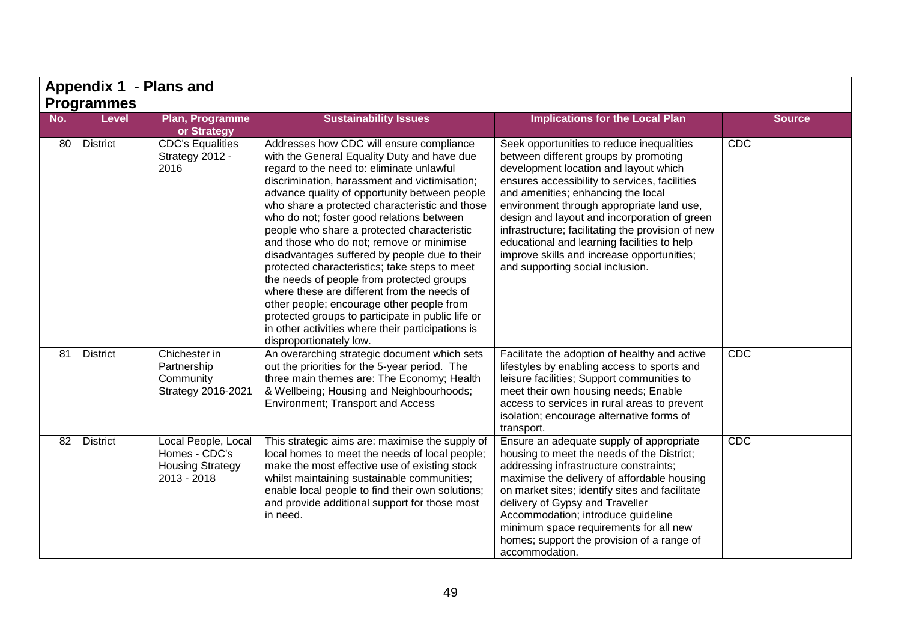| Appendix 1 - Plans and |                 |                                                                                  |                                                                                                                                                                                                                                                                                                                                                                                                                                                                                                                                                                                                                                                                                                                                                                                                                  |                                                                                                                                                                                                                                                                                                                                                                                                                                                                                                       |               |  |  |  |
|------------------------|-----------------|----------------------------------------------------------------------------------|------------------------------------------------------------------------------------------------------------------------------------------------------------------------------------------------------------------------------------------------------------------------------------------------------------------------------------------------------------------------------------------------------------------------------------------------------------------------------------------------------------------------------------------------------------------------------------------------------------------------------------------------------------------------------------------------------------------------------------------------------------------------------------------------------------------|-------------------------------------------------------------------------------------------------------------------------------------------------------------------------------------------------------------------------------------------------------------------------------------------------------------------------------------------------------------------------------------------------------------------------------------------------------------------------------------------------------|---------------|--|--|--|
| <b>Programmes</b>      |                 |                                                                                  |                                                                                                                                                                                                                                                                                                                                                                                                                                                                                                                                                                                                                                                                                                                                                                                                                  |                                                                                                                                                                                                                                                                                                                                                                                                                                                                                                       |               |  |  |  |
| No.                    | <b>Level</b>    | Plan, Programme<br>or Strategy                                                   | <b>Sustainability Issues</b>                                                                                                                                                                                                                                                                                                                                                                                                                                                                                                                                                                                                                                                                                                                                                                                     | <b>Implications for the Local Plan</b>                                                                                                                                                                                                                                                                                                                                                                                                                                                                | <b>Source</b> |  |  |  |
| 80                     | <b>District</b> | <b>CDC's Equalities</b><br>Strategy 2012 -<br>2016                               | Addresses how CDC will ensure compliance<br>with the General Equality Duty and have due<br>regard to the need to: eliminate unlawful<br>discrimination, harassment and victimisation;<br>advance quality of opportunity between people<br>who share a protected characteristic and those<br>who do not; foster good relations between<br>people who share a protected characteristic<br>and those who do not; remove or minimise<br>disadvantages suffered by people due to their<br>protected characteristics; take steps to meet<br>the needs of people from protected groups<br>where these are different from the needs of<br>other people; encourage other people from<br>protected groups to participate in public life or<br>in other activities where their participations is<br>disproportionately low. | Seek opportunities to reduce inequalities<br>between different groups by promoting<br>development location and layout which<br>ensures accessibility to services, facilities<br>and amenities; enhancing the local<br>environment through appropriate land use,<br>design and layout and incorporation of green<br>infrastructure; facilitating the provision of new<br>educational and learning facilities to help<br>improve skills and increase opportunities;<br>and supporting social inclusion. | CDC           |  |  |  |
| 81                     | <b>District</b> | Chichester in<br>Partnership<br>Community<br>Strategy 2016-2021                  | An overarching strategic document which sets<br>out the priorities for the 5-year period. The<br>three main themes are: The Economy; Health<br>& Wellbeing; Housing and Neighbourhoods;<br>Environment; Transport and Access                                                                                                                                                                                                                                                                                                                                                                                                                                                                                                                                                                                     | Facilitate the adoption of healthy and active<br>lifestyles by enabling access to sports and<br>leisure facilities; Support communities to<br>meet their own housing needs; Enable<br>access to services in rural areas to prevent<br>isolation; encourage alternative forms of<br>transport.                                                                                                                                                                                                         | CDC           |  |  |  |
| 82                     | <b>District</b> | Local People, Local<br>Homes - CDC's<br><b>Housing Strategy</b><br>$2013 - 2018$ | This strategic aims are: maximise the supply of<br>local homes to meet the needs of local people;<br>make the most effective use of existing stock<br>whilst maintaining sustainable communities;<br>enable local people to find their own solutions;<br>and provide additional support for those most<br>in need.                                                                                                                                                                                                                                                                                                                                                                                                                                                                                               | Ensure an adequate supply of appropriate<br>housing to meet the needs of the District;<br>addressing infrastructure constraints;<br>maximise the delivery of affordable housing<br>on market sites; identify sites and facilitate<br>delivery of Gypsy and Traveller<br>Accommodation; introduce guideline<br>minimum space requirements for all new<br>homes; support the provision of a range of<br>accommodation.                                                                                  | CDC           |  |  |  |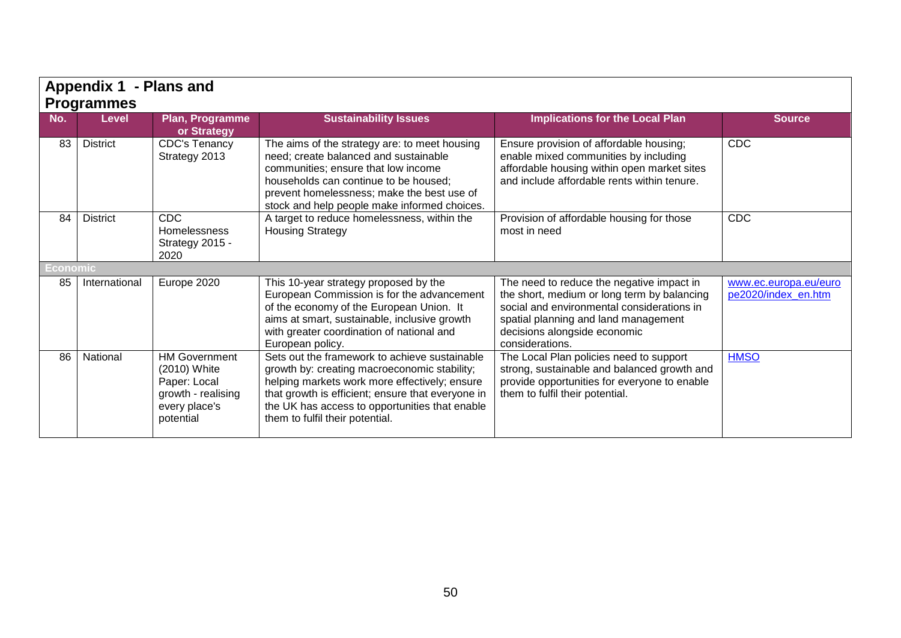|          | Appendix 1 - Plans and            |                                                                                                          |                                                                                                                                                                                                                                                                                          |                                                                                                                                                                                                                                   |                                              |
|----------|-----------------------------------|----------------------------------------------------------------------------------------------------------|------------------------------------------------------------------------------------------------------------------------------------------------------------------------------------------------------------------------------------------------------------------------------------------|-----------------------------------------------------------------------------------------------------------------------------------------------------------------------------------------------------------------------------------|----------------------------------------------|
| No.      | <b>Programmes</b><br><b>Level</b> | <b>Plan, Programme</b><br>or Strategy                                                                    | <b>Sustainability Issues</b>                                                                                                                                                                                                                                                             | <b>Implications for the Local Plan</b>                                                                                                                                                                                            | <b>Source</b>                                |
| 83       | <b>District</b>                   | <b>CDC's Tenancy</b><br>Strategy 2013                                                                    | The aims of the strategy are: to meet housing<br>need; create balanced and sustainable<br>communities; ensure that low income<br>households can continue to be housed;<br>prevent homelessness; make the best use of<br>stock and help people make informed choices.                     | Ensure provision of affordable housing;<br>enable mixed communities by including<br>affordable housing within open market sites<br>and include affordable rents within tenure.                                                    | <b>CDC</b>                                   |
| 84       | <b>District</b>                   | <b>CDC</b><br>Homelessness<br>Strategy 2015 -<br>2020                                                    | A target to reduce homelessness, within the<br><b>Housing Strategy</b>                                                                                                                                                                                                                   | Provision of affordable housing for those<br>most in need                                                                                                                                                                         | <b>CDC</b>                                   |
| Economic |                                   |                                                                                                          |                                                                                                                                                                                                                                                                                          |                                                                                                                                                                                                                                   |                                              |
| 85       | International                     | Europe 2020                                                                                              | This 10-year strategy proposed by the<br>European Commission is for the advancement<br>of the economy of the European Union. It<br>aims at smart, sustainable, inclusive growth<br>with greater coordination of national and<br>European policy.                                         | The need to reduce the negative impact in<br>the short, medium or long term by balancing<br>social and environmental considerations in<br>spatial planning and land management<br>decisions alongside economic<br>considerations. | www.ec.europa.eu/euro<br>pe2020/index_en.htm |
| 86       | National                          | <b>HM Government</b><br>(2010) White<br>Paper: Local<br>growth - realising<br>every place's<br>potential | Sets out the framework to achieve sustainable<br>growth by: creating macroeconomic stability;<br>helping markets work more effectively; ensure<br>that growth is efficient; ensure that everyone in<br>the UK has access to opportunities that enable<br>them to fulfil their potential. | The Local Plan policies need to support<br>strong, sustainable and balanced growth and<br>provide opportunities for everyone to enable<br>them to fulfil their potential.                                                         | <b>HMSO</b>                                  |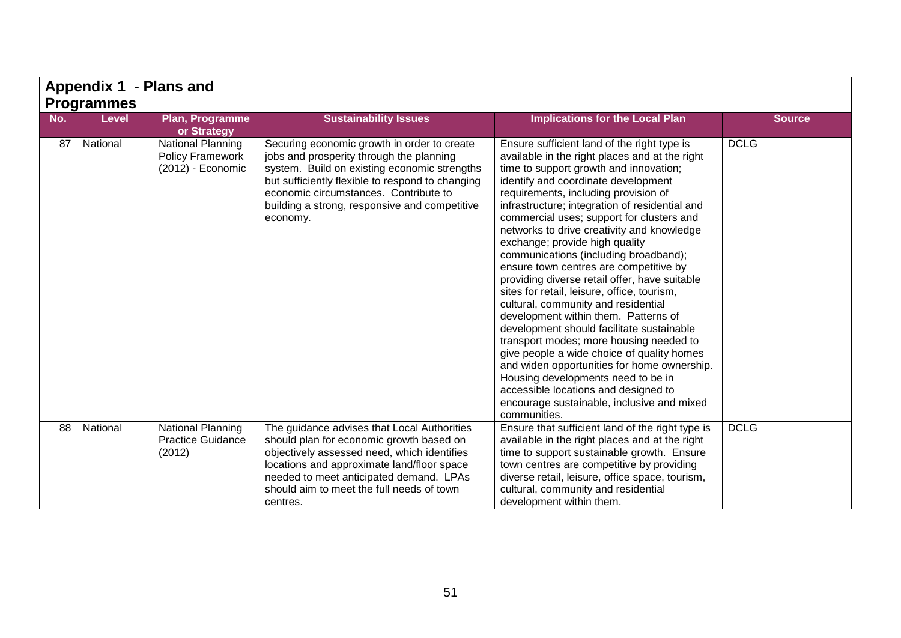| Appendix 1 - Plans and |              |                                                                          |                                                                                                                                                                                                                                                                                                   |                                                                                                                                                                                                                                                                                                                                                                                                                                                                                                                                                                                                                                                                                                                                                                                                                                                                                                                                                                                                          |               |  |  |  |  |
|------------------------|--------------|--------------------------------------------------------------------------|---------------------------------------------------------------------------------------------------------------------------------------------------------------------------------------------------------------------------------------------------------------------------------------------------|----------------------------------------------------------------------------------------------------------------------------------------------------------------------------------------------------------------------------------------------------------------------------------------------------------------------------------------------------------------------------------------------------------------------------------------------------------------------------------------------------------------------------------------------------------------------------------------------------------------------------------------------------------------------------------------------------------------------------------------------------------------------------------------------------------------------------------------------------------------------------------------------------------------------------------------------------------------------------------------------------------|---------------|--|--|--|--|
| <b>Programmes</b>      |              |                                                                          |                                                                                                                                                                                                                                                                                                   |                                                                                                                                                                                                                                                                                                                                                                                                                                                                                                                                                                                                                                                                                                                                                                                                                                                                                                                                                                                                          |               |  |  |  |  |
| No.                    | <b>Level</b> | Plan, Programme<br>or Strategy                                           | <b>Sustainability Issues</b>                                                                                                                                                                                                                                                                      | <b>Implications for the Local Plan</b>                                                                                                                                                                                                                                                                                                                                                                                                                                                                                                                                                                                                                                                                                                                                                                                                                                                                                                                                                                   | <b>Source</b> |  |  |  |  |
| 87                     | National     | <b>National Planning</b><br><b>Policy Framework</b><br>(2012) - Economic | Securing economic growth in order to create<br>jobs and prosperity through the planning<br>system. Build on existing economic strengths<br>but sufficiently flexible to respond to changing<br>economic circumstances. Contribute to<br>building a strong, responsive and competitive<br>economy. | Ensure sufficient land of the right type is<br>available in the right places and at the right<br>time to support growth and innovation;<br>identify and coordinate development<br>requirements, including provision of<br>infrastructure; integration of residential and<br>commercial uses; support for clusters and<br>networks to drive creativity and knowledge<br>exchange; provide high quality<br>communications (including broadband);<br>ensure town centres are competitive by<br>providing diverse retail offer, have suitable<br>sites for retail, leisure, office, tourism,<br>cultural, community and residential<br>development within them. Patterns of<br>development should facilitate sustainable<br>transport modes; more housing needed to<br>give people a wide choice of quality homes<br>and widen opportunities for home ownership.<br>Housing developments need to be in<br>accessible locations and designed to<br>encourage sustainable, inclusive and mixed<br>communities. | <b>DCLG</b>   |  |  |  |  |
| 88                     | National     | <b>National Planning</b><br><b>Practice Guidance</b><br>(2012)           | The guidance advises that Local Authorities<br>should plan for economic growth based on<br>objectively assessed need, which identifies<br>locations and approximate land/floor space<br>needed to meet anticipated demand. LPAs<br>should aim to meet the full needs of town<br>centres.          | Ensure that sufficient land of the right type is<br>available in the right places and at the right<br>time to support sustainable growth. Ensure<br>town centres are competitive by providing<br>diverse retail, leisure, office space, tourism,<br>cultural, community and residential<br>development within them.                                                                                                                                                                                                                                                                                                                                                                                                                                                                                                                                                                                                                                                                                      | <b>DCLG</b>   |  |  |  |  |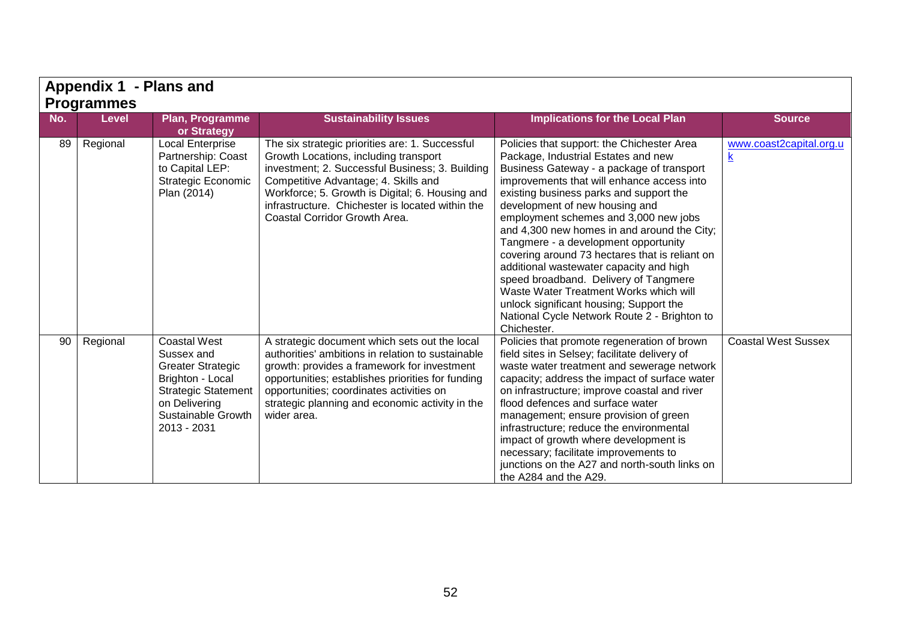| Appendix 1 - Plans and |                            |                                                                                                                                                                       |                                                                                                                                                                                                                                                                                                                             |                                                                                                                                                                                                                                                                                                                                                                                                                                                                                                                                                                                                                                                                                     |                            |  |  |
|------------------------|----------------------------|-----------------------------------------------------------------------------------------------------------------------------------------------------------------------|-----------------------------------------------------------------------------------------------------------------------------------------------------------------------------------------------------------------------------------------------------------------------------------------------------------------------------|-------------------------------------------------------------------------------------------------------------------------------------------------------------------------------------------------------------------------------------------------------------------------------------------------------------------------------------------------------------------------------------------------------------------------------------------------------------------------------------------------------------------------------------------------------------------------------------------------------------------------------------------------------------------------------------|----------------------------|--|--|
| No.                    | Programmes<br><b>Level</b> | Plan, Programme<br>or Strategy                                                                                                                                        | <b>Sustainability Issues</b>                                                                                                                                                                                                                                                                                                | <b>Implications for the Local Plan</b>                                                                                                                                                                                                                                                                                                                                                                                                                                                                                                                                                                                                                                              | <b>Source</b>              |  |  |
| 89                     | Regional                   | <b>Local Enterprise</b><br>Partnership: Coast<br>to Capital LEP:<br><b>Strategic Economic</b><br>Plan (2014)                                                          | The six strategic priorities are: 1. Successful<br>Growth Locations, including transport<br>investment; 2. Successful Business; 3. Building<br>Competitive Advantage; 4. Skills and<br>Workforce; 5. Growth is Digital; 6. Housing and<br>infrastructure. Chichester is located within the<br>Coastal Corridor Growth Area. | Policies that support: the Chichester Area<br>Package, Industrial Estates and new<br>Business Gateway - a package of transport<br>improvements that will enhance access into<br>existing business parks and support the<br>development of new housing and<br>employment schemes and 3,000 new jobs<br>and 4,300 new homes in and around the City;<br>Tangmere - a development opportunity<br>covering around 73 hectares that is reliant on<br>additional wastewater capacity and high<br>speed broadband. Delivery of Tangmere<br>Waste Water Treatment Works which will<br>unlock significant housing; Support the<br>National Cycle Network Route 2 - Brighton to<br>Chichester. | www.coast2capital.org.u    |  |  |
| 90                     | Regional                   | <b>Coastal West</b><br>Sussex and<br><b>Greater Strategic</b><br>Brighton - Local<br><b>Strategic Statement</b><br>on Delivering<br>Sustainable Growth<br>2013 - 2031 | A strategic document which sets out the local<br>authorities' ambitions in relation to sustainable<br>growth: provides a framework for investment<br>opportunities; establishes priorities for funding<br>opportunities; coordinates activities on<br>strategic planning and economic activity in the<br>wider area.        | Policies that promote regeneration of brown<br>field sites in Selsey; facilitate delivery of<br>waste water treatment and sewerage network<br>capacity; address the impact of surface water<br>on infrastructure; improve coastal and river<br>flood defences and surface water<br>management; ensure provision of green<br>infrastructure; reduce the environmental<br>impact of growth where development is<br>necessary; facilitate improvements to<br>junctions on the A27 and north-south links on<br>the A284 and the A29.                                                                                                                                                    | <b>Coastal West Sussex</b> |  |  |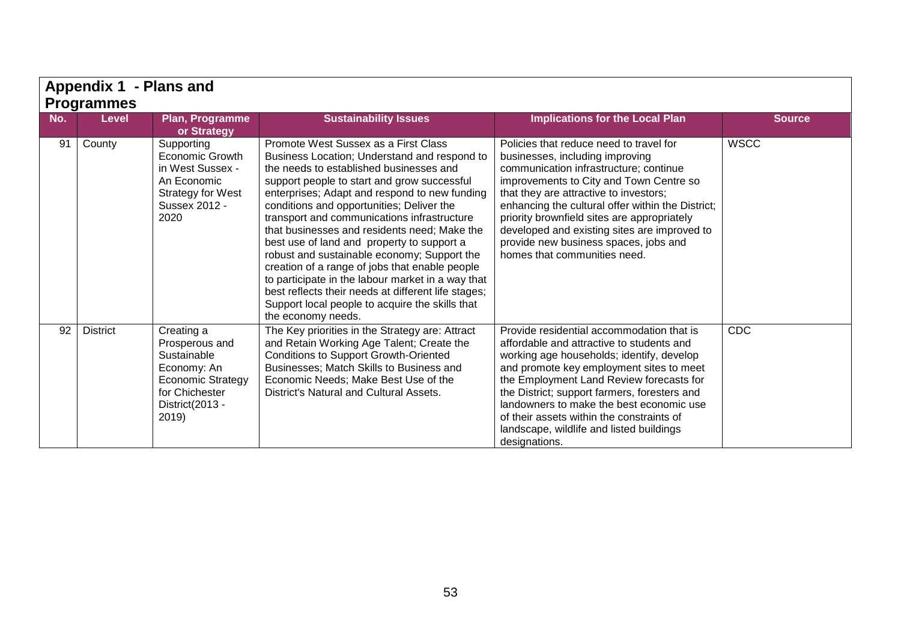|                                                                                                                                                        | <b>Appendix 1 - Plans and</b> |                                                                                                                                      |                                                                                                                                                                                                                                                                                                                                                                                                                                                                                                                                                                                                                                                                                                                 |                                                                                                                                                                                                                                                                                                                                                                                                                                        |             |  |  |
|--------------------------------------------------------------------------------------------------------------------------------------------------------|-------------------------------|--------------------------------------------------------------------------------------------------------------------------------------|-----------------------------------------------------------------------------------------------------------------------------------------------------------------------------------------------------------------------------------------------------------------------------------------------------------------------------------------------------------------------------------------------------------------------------------------------------------------------------------------------------------------------------------------------------------------------------------------------------------------------------------------------------------------------------------------------------------------|----------------------------------------------------------------------------------------------------------------------------------------------------------------------------------------------------------------------------------------------------------------------------------------------------------------------------------------------------------------------------------------------------------------------------------------|-------------|--|--|
| <b>Programmes</b><br>No.<br><b>Sustainability Issues</b><br><b>Implications for the Local Plan</b><br><b>Level</b><br>Plan, Programme<br><b>Source</b> |                               |                                                                                                                                      |                                                                                                                                                                                                                                                                                                                                                                                                                                                                                                                                                                                                                                                                                                                 |                                                                                                                                                                                                                                                                                                                                                                                                                                        |             |  |  |
|                                                                                                                                                        |                               | or Strategy                                                                                                                          |                                                                                                                                                                                                                                                                                                                                                                                                                                                                                                                                                                                                                                                                                                                 |                                                                                                                                                                                                                                                                                                                                                                                                                                        |             |  |  |
| 91                                                                                                                                                     | County                        | Supporting<br><b>Economic Growth</b><br>in West Sussex -<br>An Economic<br><b>Strategy for West</b><br>Sussex 2012 -<br>2020         | Promote West Sussex as a First Class<br>Business Location; Understand and respond to<br>the needs to established businesses and<br>support people to start and grow successful<br>enterprises; Adapt and respond to new funding<br>conditions and opportunities; Deliver the<br>transport and communications infrastructure<br>that businesses and residents need; Make the<br>best use of land and property to support a<br>robust and sustainable economy; Support the<br>creation of a range of jobs that enable people<br>to participate in the labour market in a way that<br>best reflects their needs at different life stages;<br>Support local people to acquire the skills that<br>the economy needs. | Policies that reduce need to travel for<br>businesses, including improving<br>communication infrastructure; continue<br>improvements to City and Town Centre so<br>that they are attractive to investors;<br>enhancing the cultural offer within the District;<br>priority brownfield sites are appropriately<br>developed and existing sites are improved to<br>provide new business spaces, jobs and<br>homes that communities need. | <b>WSCC</b> |  |  |
| 92                                                                                                                                                     | <b>District</b>               | Creating a<br>Prosperous and<br>Sustainable<br>Economy: An<br><b>Economic Strategy</b><br>for Chichester<br>District(2013 -<br>2019) | The Key priorities in the Strategy are: Attract<br>and Retain Working Age Talent; Create the<br><b>Conditions to Support Growth-Oriented</b><br>Businesses; Match Skills to Business and<br>Economic Needs; Make Best Use of the<br>District's Natural and Cultural Assets.                                                                                                                                                                                                                                                                                                                                                                                                                                     | Provide residential accommodation that is<br>affordable and attractive to students and<br>working age households; identify, develop<br>and promote key employment sites to meet<br>the Employment Land Review forecasts for<br>the District; support farmers, foresters and<br>landowners to make the best economic use<br>of their assets within the constraints of<br>landscape, wildlife and listed buildings<br>designations.      | CDC         |  |  |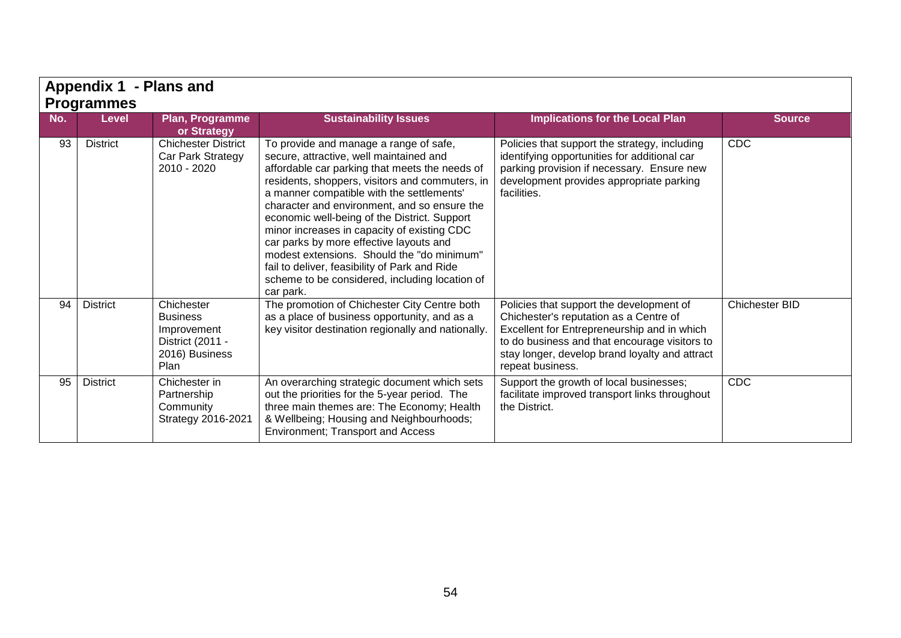|                   | Appendix 1 - Plans and |                                                                                            |                                                                                                                                                                                                                                                                                                                                                                                                                                                                                                                                                                                             |                                                                                                                                                                                                                                                          |                       |  |  |  |
|-------------------|------------------------|--------------------------------------------------------------------------------------------|---------------------------------------------------------------------------------------------------------------------------------------------------------------------------------------------------------------------------------------------------------------------------------------------------------------------------------------------------------------------------------------------------------------------------------------------------------------------------------------------------------------------------------------------------------------------------------------------|----------------------------------------------------------------------------------------------------------------------------------------------------------------------------------------------------------------------------------------------------------|-----------------------|--|--|--|
| <b>Programmes</b> |                        |                                                                                            |                                                                                                                                                                                                                                                                                                                                                                                                                                                                                                                                                                                             |                                                                                                                                                                                                                                                          |                       |  |  |  |
| No.               | <b>Level</b>           | Plan, Programme<br>or Strategy                                                             | <b>Sustainability Issues</b>                                                                                                                                                                                                                                                                                                                                                                                                                                                                                                                                                                | <b>Implications for the Local Plan</b>                                                                                                                                                                                                                   | <b>Source</b>         |  |  |  |
| 93                | <b>District</b>        | <b>Chichester District</b><br>Car Park Strategy<br>2010 - 2020                             | To provide and manage a range of safe,<br>secure, attractive, well maintained and<br>affordable car parking that meets the needs of<br>residents, shoppers, visitors and commuters, in<br>a manner compatible with the settlements'<br>character and environment, and so ensure the<br>economic well-being of the District. Support<br>minor increases in capacity of existing CDC<br>car parks by more effective layouts and<br>modest extensions. Should the "do minimum"<br>fail to deliver, feasibility of Park and Ride<br>scheme to be considered, including location of<br>car park. | Policies that support the strategy, including<br>identifying opportunities for additional car<br>parking provision if necessary. Ensure new<br>development provides appropriate parking<br>facilities.                                                   | <b>CDC</b>            |  |  |  |
| 94                | <b>District</b>        | Chichester<br><b>Business</b><br>Improvement<br>District (2011 -<br>2016) Business<br>Plan | The promotion of Chichester City Centre both<br>as a place of business opportunity, and as a<br>key visitor destination regionally and nationally.                                                                                                                                                                                                                                                                                                                                                                                                                                          | Policies that support the development of<br>Chichester's reputation as a Centre of<br>Excellent for Entrepreneurship and in which<br>to do business and that encourage visitors to<br>stay longer, develop brand loyalty and attract<br>repeat business. | <b>Chichester BID</b> |  |  |  |
| 95                | <b>District</b>        | Chichester in<br>Partnership<br>Community<br>Strategy 2016-2021                            | An overarching strategic document which sets<br>out the priorities for the 5-year period. The<br>three main themes are: The Economy; Health<br>& Wellbeing; Housing and Neighbourhoods;<br>Environment; Transport and Access                                                                                                                                                                                                                                                                                                                                                                | Support the growth of local businesses;<br>facilitate improved transport links throughout<br>the District.                                                                                                                                               | <b>CDC</b>            |  |  |  |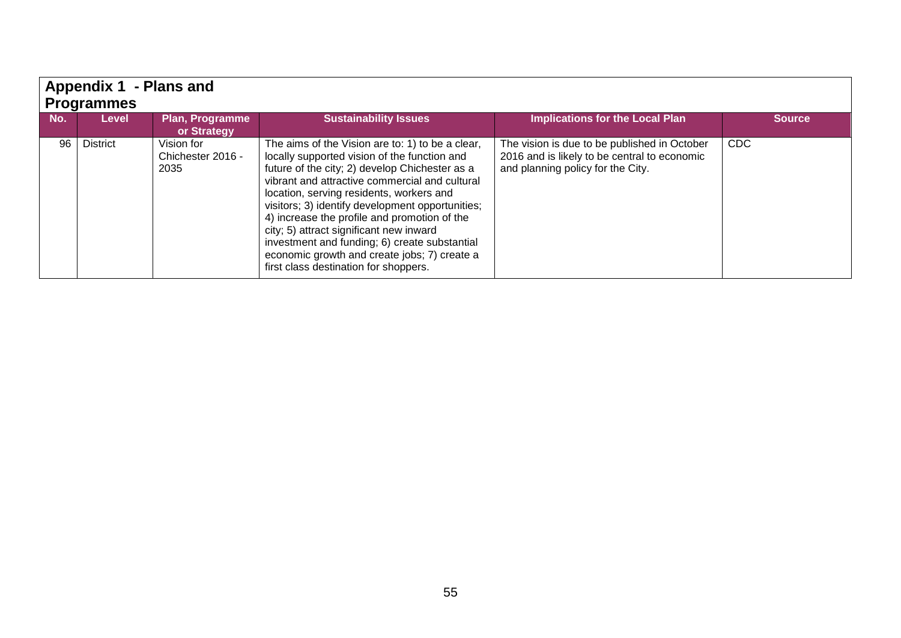| - Plans and<br><b>Appendix 1</b><br><b>Programmes</b> |                 |                                         |                                                                                                                                                                                                                                                                                                                                                                                                                                                                                                                                           |                                                                                                                                   |               |  |  |
|-------------------------------------------------------|-----------------|-----------------------------------------|-------------------------------------------------------------------------------------------------------------------------------------------------------------------------------------------------------------------------------------------------------------------------------------------------------------------------------------------------------------------------------------------------------------------------------------------------------------------------------------------------------------------------------------------|-----------------------------------------------------------------------------------------------------------------------------------|---------------|--|--|
| No.                                                   | <b>Level</b>    | <b>Plan, Programme</b><br>or Strategy   | <b>Sustainability Issues</b>                                                                                                                                                                                                                                                                                                                                                                                                                                                                                                              | <b>Implications for the Local Plan</b>                                                                                            | <b>Source</b> |  |  |
| 96                                                    | <b>District</b> | Vision for<br>Chichester 2016 -<br>2035 | The aims of the Vision are to: 1) to be a clear,<br>locally supported vision of the function and<br>future of the city; 2) develop Chichester as a<br>vibrant and attractive commercial and cultural<br>location, serving residents, workers and<br>visitors; 3) identify development opportunities;<br>4) increase the profile and promotion of the<br>city; 5) attract significant new inward<br>investment and funding; 6) create substantial<br>economic growth and create jobs; 7) create a<br>first class destination for shoppers. | The vision is due to be published in October<br>2016 and is likely to be central to economic<br>and planning policy for the City. | <b>CDC</b>    |  |  |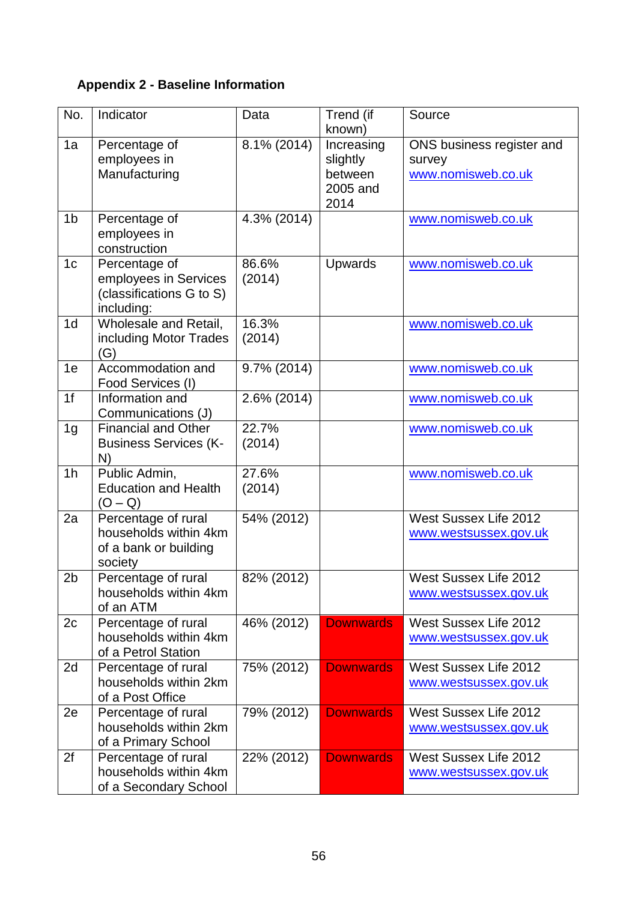# **Appendix 2 - Baseline Information**

| No.            | Indicator                                                                        | Data            | Trend (if<br>known)                                   | Source                                                    |
|----------------|----------------------------------------------------------------------------------|-----------------|-------------------------------------------------------|-----------------------------------------------------------|
| 1a             | Percentage of<br>employees in<br>Manufacturing                                   | 8.1% (2014)     | Increasing<br>slightly<br>between<br>2005 and<br>2014 | ONS business register and<br>survey<br>www.nomisweb.co.uk |
| 1 <sub>b</sub> | Percentage of<br>employees in<br>construction                                    | 4.3% (2014)     |                                                       | www.nomisweb.co.uk                                        |
| 1 <sub>c</sub> | Percentage of<br>employees in Services<br>(classifications G to S)<br>including: | 86.6%<br>(2014) | <b>Upwards</b>                                        | www.nomisweb.co.uk                                        |
| 1 <sub>d</sub> | Wholesale and Retail,<br>including Motor Trades<br>(G)                           | 16.3%<br>(2014) |                                                       | www.nomisweb.co.uk                                        |
| 1e             | Accommodation and<br>Food Services (I)                                           | 9.7% (2014)     |                                                       | www.nomisweb.co.uk                                        |
| 1f             | Information and<br>Communications (J)                                            | 2.6% (2014)     |                                                       | www.nomisweb.co.uk                                        |
| 1 <sub>g</sub> | <b>Financial and Other</b><br><b>Business Services (K-</b><br>N)                 | 22.7%<br>(2014) |                                                       | www.nomisweb.co.uk                                        |
| 1 <sub>h</sub> | Public Admin,<br><b>Education and Health</b><br>$(O-Q)$                          | 27.6%<br>(2014) |                                                       | www.nomisweb.co.uk                                        |
| 2a             | Percentage of rural<br>households within 4km<br>of a bank or building<br>society | 54% (2012)      |                                                       | West Sussex Life 2012<br>www.westsussex.gov.uk            |
| 2b             | Percentage of rural<br>households within 4km<br>of an ATM                        | 82% (2012)      |                                                       | <b>West Sussex Life 2012</b><br>www.westsussex.gov.uk     |
| 2c             | Percentage of rural<br>households within 4km<br>of a Petrol Station              | 46% (2012)      | <b>Downwards</b>                                      | West Sussex Life 2012<br>www.westsussex.gov.uk            |
| 2d             | Percentage of rural<br>households within 2km<br>of a Post Office                 | 75% (2012)      | <b>Downwards</b>                                      | West Sussex Life 2012<br>www.westsussex.gov.uk            |
| 2e             | Percentage of rural<br>households within 2km<br>of a Primary School              | 79% (2012)      | <b>Downwards</b>                                      | West Sussex Life 2012<br>www.westsussex.gov.uk            |
| 2f             | Percentage of rural<br>households within 4km<br>of a Secondary School            | 22% (2012)      | <b>Downwards</b>                                      | West Sussex Life 2012<br>www.westsussex.gov.uk            |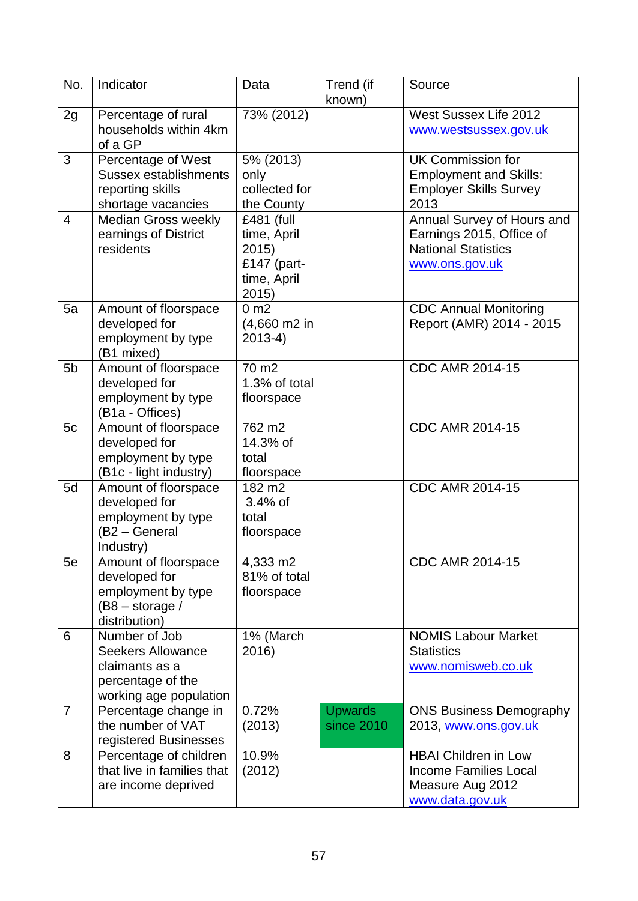| No.            | Indicator                                                                                                  | Data                                                                      | Trend (if<br>known)          | Source                                                                                                 |
|----------------|------------------------------------------------------------------------------------------------------------|---------------------------------------------------------------------------|------------------------------|--------------------------------------------------------------------------------------------------------|
| 2g             | Percentage of rural<br>households within 4km<br>of a GP                                                    | 73% (2012)                                                                |                              | West Sussex Life 2012<br>www.westsussex.gov.uk                                                         |
| 3              | Percentage of West<br><b>Sussex establishments</b><br>reporting skills<br>shortage vacancies               | 5% (2013)<br>only<br>collected for<br>the County                          |                              | <b>UK Commission for</b><br><b>Employment and Skills:</b><br><b>Employer Skills Survey</b><br>2013     |
| $\overline{4}$ | Median Gross weekly<br>earnings of District<br>residents                                                   | £481 (full<br>time, April<br>2015)<br>£147 (part-<br>time, April<br>2015) |                              | Annual Survey of Hours and<br>Earnings 2015, Office of<br><b>National Statistics</b><br>www.ons.gov.uk |
| 5a             | Amount of floorspace<br>developed for<br>employment by type<br>(B1 mixed)                                  | 0 <sub>m2</sub><br>(4,660 m2 in<br>$2013-4)$                              |                              | <b>CDC Annual Monitoring</b><br>Report (AMR) 2014 - 2015                                               |
| 5 <sub>b</sub> | Amount of floorspace<br>developed for<br>employment by type<br>(B1a - Offices)                             | $\overline{7}0 \text{ m2}$<br>1.3% of total<br>floorspace                 |                              | <b>CDC AMR 2014-15</b>                                                                                 |
| 5c             | Amount of floorspace<br>developed for<br>employment by type<br>(B1c - light industry)                      | 762 m <sub>2</sub><br>14.3% of<br>total<br>floorspace                     |                              | <b>CDC AMR 2014-15</b>                                                                                 |
| 5d             | Amount of floorspace<br>developed for<br>employment by type<br>(B2 - General<br>Industry)                  | 182 m <sub>2</sub><br>$3.4%$ of<br>total<br>floorspace                    |                              | <b>CDC AMR 2014-15</b>                                                                                 |
| 5e             | Amount of floorspace<br>developed for<br>employment by type<br>$(B8 - storage /$<br>distribution)          | 4,333 m2<br>81% of total<br>floorspace                                    |                              | <b>CDC AMR 2014-15</b>                                                                                 |
| 6              | Number of Job<br><b>Seekers Allowance</b><br>claimants as a<br>percentage of the<br>working age population | 1% (March<br>2016)                                                        |                              | <b>NOMIS Labour Market</b><br><b>Statistics</b><br>www.nomisweb.co.uk                                  |
| $\overline{7}$ | Percentage change in<br>the number of VAT<br>registered Businesses                                         | 0.72%<br>(2013)                                                           | <b>Upwards</b><br>since 2010 | <b>ONS Business Demography</b><br>2013, www.ons.gov.uk                                                 |
| 8              | Percentage of children<br>that live in families that<br>are income deprived                                | 10.9%<br>(2012)                                                           |                              | <b>HBAI Children in Low</b><br><b>Income Families Local</b><br>Measure Aug 2012<br>www.data.gov.uk     |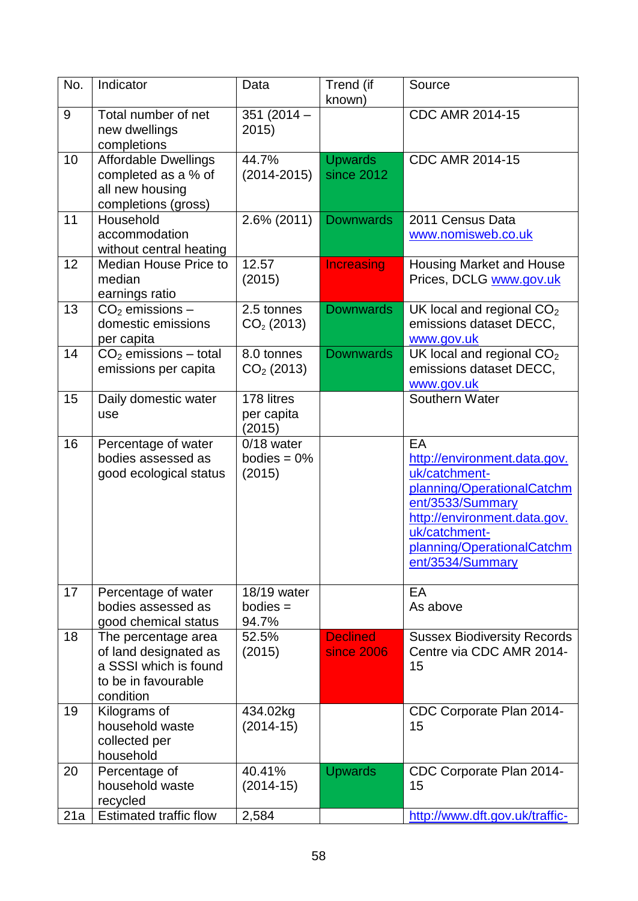| No. | Indicator                                                                                                 | Data                                   | Trend (if<br>known)                  | Source                                                                                                                                                                                                   |
|-----|-----------------------------------------------------------------------------------------------------------|----------------------------------------|--------------------------------------|----------------------------------------------------------------------------------------------------------------------------------------------------------------------------------------------------------|
| 9   | Total number of net<br>new dwellings<br>completions                                                       | 351 $(2014 -$<br>2015                  |                                      | <b>CDC AMR 2014-15</b>                                                                                                                                                                                   |
| 10  | <b>Affordable Dwellings</b><br>completed as a % of<br>all new housing<br>completions (gross)              | 44.7%<br>$(2014 - 2015)$               | <b>Upwards</b><br>since 2012         | CDC AMR 2014-15                                                                                                                                                                                          |
| 11  | Household<br>accommodation<br>without central heating                                                     | 2.6% (2011)                            | <b>Downwards</b>                     | 2011 Census Data<br>www.nomisweb.co.uk                                                                                                                                                                   |
| 12  | <b>Median House Price to</b><br>median<br>earnings ratio                                                  | 12.57<br>(2015)                        | <b>Increasing</b>                    | <b>Housing Market and House</b><br>Prices, DCLG www.gov.uk                                                                                                                                               |
| 13  | $CO2$ emissions –<br>domestic emissions<br>per capita                                                     | 2.5 tonnes<br>$CO2$ (2013)             | <b>Downwards</b>                     | UK local and regional CO <sub>2</sub><br>emissions dataset DECC,<br>www.gov.uk                                                                                                                           |
| 14  | $CO2$ emissions – total<br>emissions per capita                                                           | 8.0 tonnes<br>$CO2$ (2013)             | <b>Downwards</b>                     | UK local and regional $CO2$<br>emissions dataset DECC,<br>www.gov.uk                                                                                                                                     |
| 15  | Daily domestic water<br>use                                                                               | 178 litres<br>per capita<br>(2015)     |                                      | Southern Water                                                                                                                                                                                           |
| 16  | Percentage of water<br>bodies assessed as<br>good ecological status                                       | 0/18 water<br>bodies = $0\%$<br>(2015) |                                      | EA<br>http://environment.data.gov.<br>uk/catchment-<br>planning/OperationalCatchm<br>ent/3533/Summary<br>http://environment.data.gov.<br>uk/catchment-<br>planning/OperationalCatchm<br>ent/3534/Summary |
| 17  | Percentage of water<br>bodies assessed as<br>good chemical status                                         | 18/19 water<br>$b$ odies $=$<br>94.7%  |                                      | EA<br>As above                                                                                                                                                                                           |
| 18  | The percentage area<br>of land designated as<br>a SSSI which is found<br>to be in favourable<br>condition | 52.5%<br>(2015)                        | <b>Declined</b><br><b>since 2006</b> | <b>Sussex Biodiversity Records</b><br>Centre via CDC AMR 2014-<br>15                                                                                                                                     |
| 19  | Kilograms of<br>household waste<br>collected per<br>household                                             | 434.02kg<br>$(2014-15)$                |                                      | CDC Corporate Plan 2014-<br>15                                                                                                                                                                           |
| 20  | Percentage of<br>household waste<br>recycled                                                              | 40.41%<br>$(2014-15)$                  | <b>Upwards</b>                       | CDC Corporate Plan 2014-<br>15                                                                                                                                                                           |
| 21a | <b>Estimated traffic flow</b>                                                                             | 2,584                                  |                                      | http://www.dft.gov.uk/traffic-                                                                                                                                                                           |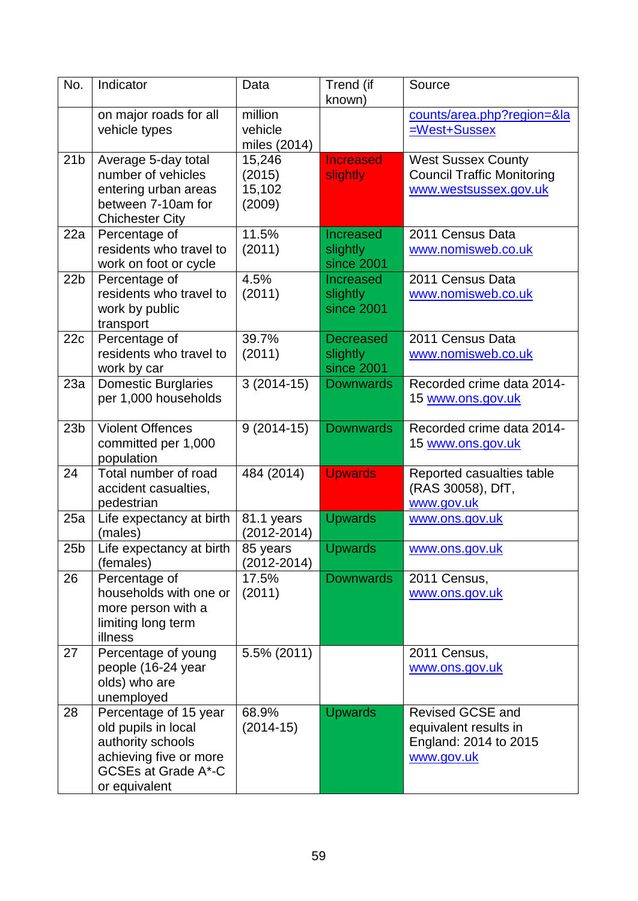| No.             | Indicator                                                                                                                                  | Data                                 | Trend (if<br>known)                        | Source                                                                                  |
|-----------------|--------------------------------------------------------------------------------------------------------------------------------------------|--------------------------------------|--------------------------------------------|-----------------------------------------------------------------------------------------|
|                 | on major roads for all<br>vehicle types                                                                                                    | million<br>vehicle<br>miles (2014)   |                                            | counts/area.php?region=&la<br>=West+Sussex                                              |
| 21 <sub>b</sub> | Average 5-day total<br>number of vehicles<br>entering urban areas<br>between 7-10am for<br><b>Chichester City</b>                          | 15,246<br>(2015)<br>15,102<br>(2009) | <b>Increased</b><br>slightly               | <b>West Sussex County</b><br><b>Council Traffic Monitoring</b><br>www.westsussex.gov.uk |
| 22a             | Percentage of<br>residents who travel to<br>work on foot or cycle                                                                          | 11.5%<br>(2011)                      | Increased<br>slightly<br>since 2001        | 2011 Census Data<br>www.nomisweb.co.uk                                                  |
| 22 <sub>b</sub> | Percentage of<br>residents who travel to<br>work by public<br>transport                                                                    | 4.5%<br>(2011)                       | <b>Increased</b><br>slightly<br>since 2001 | 2011 Census Data<br>www.nomisweb.co.uk                                                  |
| 22c             | Percentage of<br>residents who travel to<br>work by car                                                                                    | 39.7%<br>(2011)                      | <b>Decreased</b><br>slightly<br>since 2001 | 2011 Census Data<br>www.nomisweb.co.uk                                                  |
| 23a             | <b>Domestic Burglaries</b><br>per 1,000 households                                                                                         | $3(2014-15)$                         | <b>Downwards</b>                           | Recorded crime data 2014-<br>15 www.ons.gov.uk                                          |
| 23 <sub>b</sub> | <b>Violent Offences</b><br>committed per 1,000<br>population                                                                               | $9(2014-15)$                         | <b>Downwards</b>                           | Recorded crime data 2014-<br>15 www.ons.gov.uk                                          |
| 24              | Total number of road<br>accident casualties,<br>pedestrian                                                                                 | 484 (2014)                           | <b>Upwards</b>                             | Reported casualties table<br>(RAS 30058), DfT,<br>www.gov.uk                            |
| 25a             | Life expectancy at birth<br>(males)                                                                                                        | 81.1 years<br>$(2012 - 2014)$        | <b>Upwards</b>                             | <u>www.ons.gov.uk</u>                                                                   |
| 25 <sub>b</sub> | Life expectancy at birth<br>(females)                                                                                                      | 85 years<br>(2012-2014)              | <b>Upwards</b>                             | www.ons.gov.uk                                                                          |
| 26              | Percentage of<br>households with one or<br>more person with a<br>limiting long term<br>illness                                             | 17.5%<br>(2011)                      | <b>Downwards</b>                           | 2011 Census,<br>www.ons.gov.uk                                                          |
| 27              | Percentage of young<br>people (16-24 year<br>olds) who are<br>unemployed                                                                   | 5.5% (2011)                          |                                            | 2011 Census,<br>www.ons.gov.uk                                                          |
| 28              | Percentage of 15 year<br>old pupils in local<br>authority schools<br>achieving five or more<br><b>GCSEs at Grade A*-C</b><br>or equivalent | 68.9%<br>$(2014-15)$                 | <b>Upwards</b>                             | <b>Revised GCSE and</b><br>equivalent results in<br>England: 2014 to 2015<br>www.gov.uk |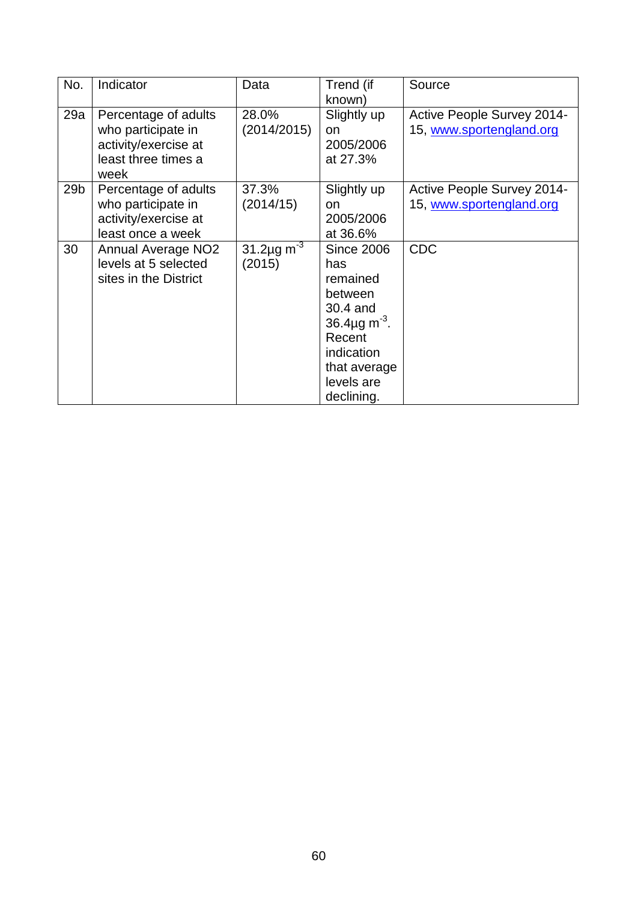| No.             | Indicator                                                                                         | Data                             | Trend (if<br>known)                                                                                                                                               | Source                                                        |
|-----------------|---------------------------------------------------------------------------------------------------|----------------------------------|-------------------------------------------------------------------------------------------------------------------------------------------------------------------|---------------------------------------------------------------|
| 29a             | Percentage of adults<br>who participate in<br>activity/exercise at<br>least three times a<br>week | 28.0%<br>(2014/2015)             | Slightly up<br>on<br>2005/2006<br>at 27.3%                                                                                                                        | <b>Active People Survey 2014-</b><br>15, www.sportengland.org |
| 29 <sub>b</sub> | Percentage of adults<br>who participate in<br>activity/exercise at<br>least once a week           | 37.3%<br>(2014/15)               | Slightly up<br>on<br>2005/2006<br>at 36.6%                                                                                                                        | <b>Active People Survey 2014-</b><br>15, www.sportengland.org |
| 30              | <b>Annual Average NO2</b><br>levels at 5 selected<br>sites in the District                        | 31.2µg m <sup>-3</sup><br>(2015) | <b>Since 2006</b><br>has<br>remained<br>between<br>30.4 and<br>36.4 $\mu$ g m <sup>-3</sup> .<br>Recent<br>indication<br>that average<br>levels are<br>declining. | <b>CDC</b>                                                    |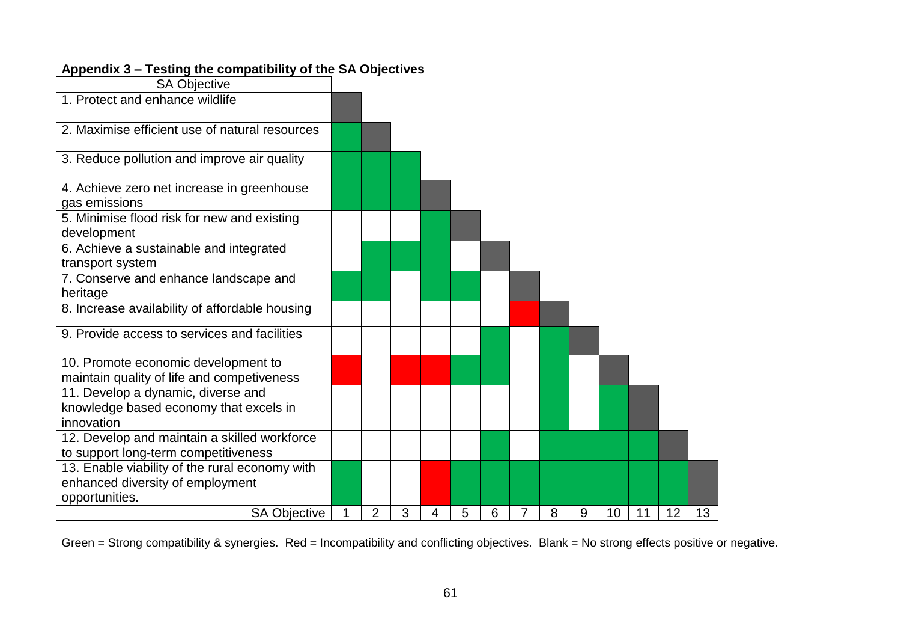| <b>SA Objective</b>                                                               |   |                |   |   |   |   |                |   |   |    |    |    |    |
|-----------------------------------------------------------------------------------|---|----------------|---|---|---|---|----------------|---|---|----|----|----|----|
| 1. Protect and enhance wildlife                                                   |   |                |   |   |   |   |                |   |   |    |    |    |    |
| 2. Maximise efficient use of natural resources                                    |   |                |   |   |   |   |                |   |   |    |    |    |    |
| 3. Reduce pollution and improve air quality                                       |   |                |   |   |   |   |                |   |   |    |    |    |    |
| 4. Achieve zero net increase in greenhouse<br>gas emissions                       |   |                |   |   |   |   |                |   |   |    |    |    |    |
| 5. Minimise flood risk for new and existing<br>development                        |   |                |   |   |   |   |                |   |   |    |    |    |    |
| 6. Achieve a sustainable and integrated<br>transport system                       |   |                |   |   |   |   |                |   |   |    |    |    |    |
| 7. Conserve and enhance landscape and<br>heritage                                 |   |                |   |   |   |   |                |   |   |    |    |    |    |
| 8. Increase availability of affordable housing                                    |   |                |   |   |   |   |                |   |   |    |    |    |    |
| 9. Provide access to services and facilities                                      |   |                |   |   |   |   |                |   |   |    |    |    |    |
| 10. Promote economic development to<br>maintain quality of life and competiveness |   |                |   |   |   |   |                |   |   |    |    |    |    |
| 11. Develop a dynamic, diverse and                                                |   |                |   |   |   |   |                |   |   |    |    |    |    |
| knowledge based economy that excels in                                            |   |                |   |   |   |   |                |   |   |    |    |    |    |
| innovation                                                                        |   |                |   |   |   |   |                |   |   |    |    |    |    |
| 12. Develop and maintain a skilled workforce                                      |   |                |   |   |   |   |                |   |   |    |    |    |    |
| to support long-term competitiveness                                              |   |                |   |   |   |   |                |   |   |    |    |    |    |
| 13. Enable viability of the rural economy with                                    |   |                |   |   |   |   |                |   |   |    |    |    |    |
| enhanced diversity of employment                                                  |   |                |   |   |   |   |                |   |   |    |    |    |    |
| opportunities.                                                                    |   |                |   |   |   |   |                |   |   |    |    |    |    |
| <b>SA Objective</b>                                                               | 1 | $\overline{2}$ | 3 | 4 | 5 | 6 | $\overline{7}$ | 8 | 9 | 10 | 11 | 12 | 13 |

# **Appendix 3 – Testing the compatibility of the SA Objectives**

Green = Strong compatibility & synergies. Red = Incompatibility and conflicting objectives. Blank = No strong effects positive or negative.